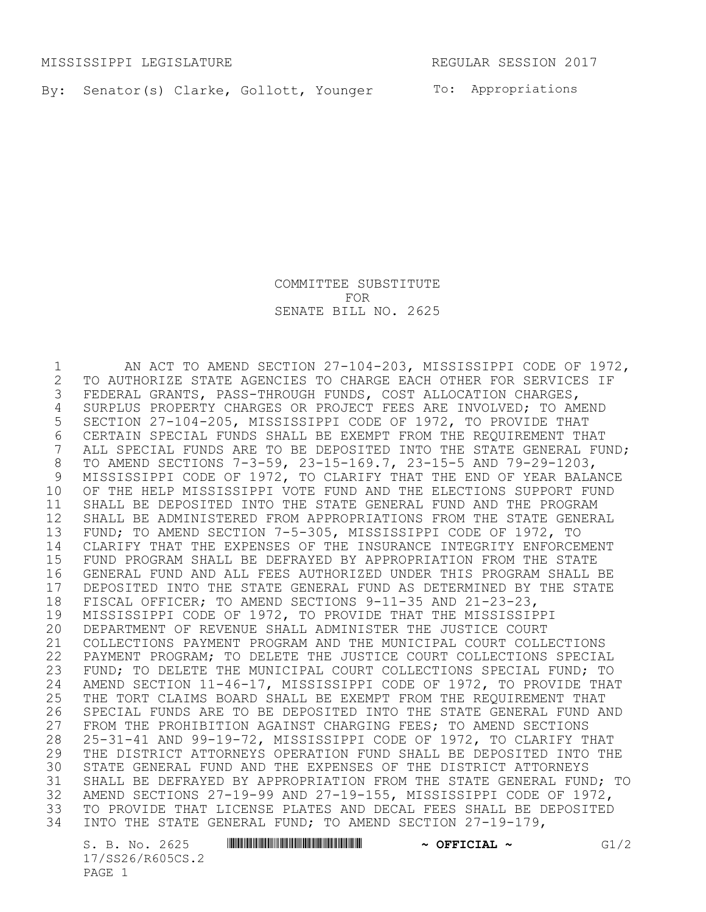MISSISSIPPI LEGISLATURE REGULAR SESSION 2017

By: Senator(s) Clarke, Gollott, Younger To: Appropriations

COMMITTEE SUBSTITUTE FOR SENATE BILL NO. 2625

 AN ACT TO AMEND SECTION 27-104-203, MISSISSIPPI CODE OF 1972, 2 TO AUTHORIZE STATE AGENCIES TO CHARGE EACH OTHER FOR SERVICES IF<br>3 FEDERAL GRANTS, PASS-THROUGH FUNDS, COST ALLOCATION CHARGES, FEDERAL GRANTS, PASS-THROUGH FUNDS, COST ALLOCATION CHARGES, SURPLUS PROPERTY CHARGES OR PROJECT FEES ARE INVOLVED; TO AMEND SECTION 27-104-205, MISSISSIPPI CODE OF 1972, TO PROVIDE THAT 6 CERTAIN SPECIAL FUNDS SHALL BE EXEMPT FROM THE REQUIREMENT THAT<br>7 ALL SPECIAL FUNDS ARE TO BE DEPOSITED INTO THE STATE GENERAL FU ALL SPECIAL FUNDS ARE TO BE DEPOSITED INTO THE STATE GENERAL FUND; TO AMEND SECTIONS 7-3-59, 23-15-169.7, 23-15-5 AND 79-29-1203, MISSISSIPPI CODE OF 1972, TO CLARIFY THAT THE END OF YEAR BALANCE OF THE HELP MISSISSIPPI VOTE FUND AND THE ELECTIONS SUPPORT FUND SHALL BE DEPOSITED INTO THE STATE GENERAL FUND AND THE PROGRAM SHALL BE ADMINISTERED FROM APPROPRIATIONS FROM THE STATE GENERAL FUND; TO AMEND SECTION 7-5-305, MISSISSIPPI CODE OF 1972, TO CLARIFY THAT THE EXPENSES OF THE INSURANCE INTEGRITY ENFORCEMENT FUND PROGRAM SHALL BE DEFRAYED BY APPROPRIATION FROM THE STATE GENERAL FUND AND ALL FEES AUTHORIZED UNDER THIS PROGRAM SHALL BE 17 DEPOSITED INTO THE STATE GENERAL FUND AS DETERMINED BY THE STATE<br>18 FISCAL OFFICER: TO AMEND SECTIONS 9-11-35 AND 21-23-23. 18 FISCAL OFFICER; TO AMEND SECTIONS 9-11-35 AND 21-23-23,<br>19 MISSISSIPPI CODE OF 1972, TO PROVIDE THAT THE MISSISSIP 19 MISSISSIPPI CODE OF 1972, TO PROVIDE THAT THE MISSISSIPPI<br>20 DEPARTMENT OF REVENUE SHALL ADMINISTER THE JUSTICE COURT DEPARTMENT OF REVENUE SHALL ADMINISTER THE JUSTICE COURT COLLECTIONS PAYMENT PROGRAM AND THE MUNICIPAL COURT COLLECTIONS PAYMENT PROGRAM; TO DELETE THE JUSTICE COURT COLLECTIONS SPECIAL FUND; TO DELETE THE MUNICIPAL COURT COLLECTIONS SPECIAL FUND; TO 24 AMEND SECTION 11-46-17, MISSISSIPPI CODE OF 1972, TO PROVIDE THAT<br>25 THE TORT CLAIMS BOARD SHALL BE EXEMPT FROM THE REOUIREMENT THAT 25 THE TORT CLAIMS BOARD SHALL BE EXEMPT FROM THE REQUIREMENT THAT<br>26 SPECIAL FUNDS ARE TO BE DEPOSITED INTO THE STATE GENERAL FUND A SPECIAL FUNDS ARE TO BE DEPOSITED INTO THE STATE GENERAL FUND AND FROM THE PROHIBITION AGAINST CHARGING FEES; TO AMEND SECTIONS 25-31-41 AND 99-19-72, MISSISSIPPI CODE OF 1972, TO CLARIFY THAT 29 THE DISTRICT ATTORNEYS OPERATION FUND SHALL BE DEPOSITED INTO THE 30 STATE GENERAL FUND AND THE EXPENSES OF THE DISTRICT ATTORNEYS STATE GENERAL FUND AND THE EXPENSES OF THE DISTRICT ATTORNEYS SHALL BE DEFRAYED BY APPROPRIATION FROM THE STATE GENERAL FUND; TO AMEND SECTIONS 27-19-99 AND 27-19-155, MISSISSIPPI CODE OF 1972, TO PROVIDE THAT LICENSE PLATES AND DECAL FEES SHALL BE DEPOSITED INTO THE STATE GENERAL FUND; TO AMEND SECTION 27-19-179,

17/SS26/R605CS.2 PAGE 1

S. B. No. 2625 \*SS26/R605CS.2\* **~ OFFICIAL ~** G1/2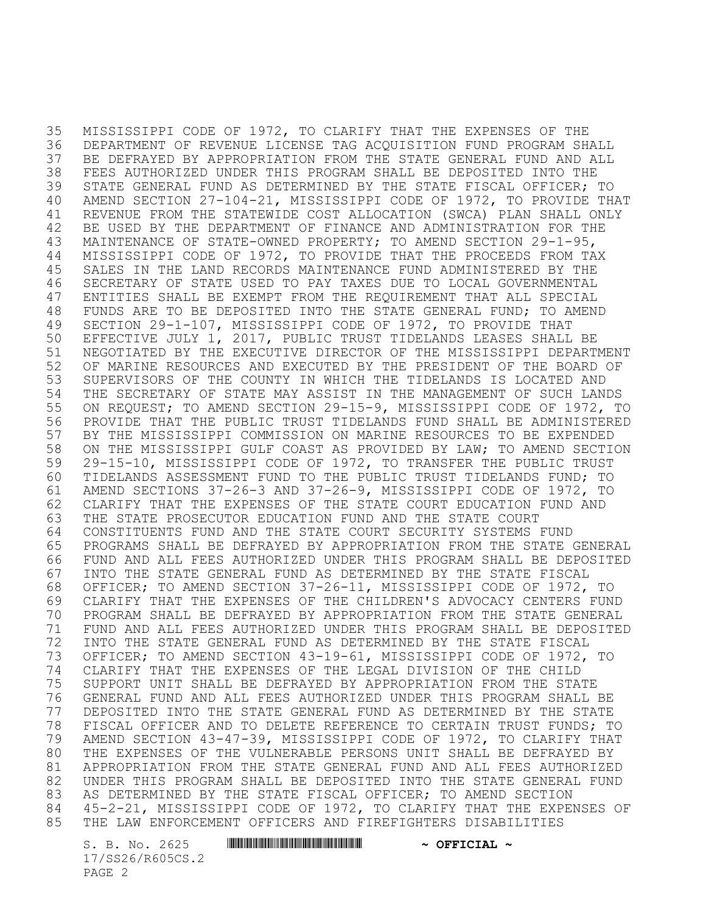MISSISSIPPI CODE OF 1972, TO CLARIFY THAT THE EXPENSES OF THE DEPARTMENT OF REVENUE LICENSE TAG ACQUISITION FUND PROGRAM SHALL BE DEFRAYED BY APPROPRIATION FROM THE STATE GENERAL FUND AND ALL FEES AUTHORIZED UNDER THIS PROGRAM SHALL BE DEPOSITED INTO THE STATE GENERAL FUND AS DETERMINED BY THE STATE FISCAL OFFICER; TO AMEND SECTION 27-104-21, MISSISSIPPI CODE OF 1972, TO PROVIDE THAT REVENUE FROM THE STATEWIDE COST ALLOCATION (SWCA) PLAN SHALL ONLY BE USED BY THE DEPARTMENT OF FINANCE AND ADMINISTRATION FOR THE MAINTENANCE OF STATE-OWNED PROPERTY; TO AMEND SECTION 29-1-95, MISSISSIPPI CODE OF 1972, TO PROVIDE THAT THE PROCEEDS FROM TAX SALES IN THE LAND RECORDS MAINTENANCE FUND ADMINISTERED BY THE SECRETARY OF STATE USED TO PAY TAXES DUE TO LOCAL GOVERNMENTAL ENTITIES SHALL BE EXEMPT FROM THE REQUIREMENT THAT ALL SPECIAL FUNDS ARE TO BE DEPOSITED INTO THE STATE GENERAL FUND; TO AMEND SECTION 29-1-107, MISSISSIPPI CODE OF 1972, TO PROVIDE THAT EFFECTIVE JULY 1, 2017, PUBLIC TRUST TIDELANDS LEASES SHALL BE NEGOTIATED BY THE EXECUTIVE DIRECTOR OF THE MISSISSIPPI DEPARTMENT OF MARINE RESOURCES AND EXECUTED BY THE PRESIDENT OF THE BOARD OF SUPERVISORS OF THE COUNTY IN WHICH THE TIDELANDS IS LOCATED AND THE SECRETARY OF STATE MAY ASSIST IN THE MANAGEMENT OF SUCH LANDS ON REQUEST; TO AMEND SECTION 29-15-9, MISSISSIPPI CODE OF 1972, TO PROVIDE THAT THE PUBLIC TRUST TIDELANDS FUND SHALL BE ADMINISTERED BY THE MISSISSIPPI COMMISSION ON MARINE RESOURCES TO BE EXPENDED ON THE MISSISSIPPI GULF COAST AS PROVIDED BY LAW; TO AMEND SECTION 29-15-10, MISSISSIPPI CODE OF 1972, TO TRANSFER THE PUBLIC TRUST TIDELANDS ASSESSMENT FUND TO THE PUBLIC TRUST TIDELANDS FUND; TO AMEND SECTIONS 37-26-3 AND 37-26-9, MISSISSIPPI CODE OF 1972, TO CLARIFY THAT THE EXPENSES OF THE STATE COURT EDUCATION FUND AND THE STATE PROSECUTOR EDUCATION FUND AND THE STATE COURT CONSTITUENTS FUND AND THE STATE COURT SECURITY SYSTEMS FUND PROGRAMS SHALL BE DEFRAYED BY APPROPRIATION FROM THE STATE GENERAL FUND AND ALL FEES AUTHORIZED UNDER THIS PROGRAM SHALL BE DEPOSITED INTO THE STATE GENERAL FUND AS DETERMINED BY THE STATE FISCAL OFFICER; TO AMEND SECTION 37-26-11, MISSISSIPPI CODE OF 1972, TO CLARIFY THAT THE EXPENSES OF THE CHILDREN'S ADVOCACY CENTERS FUND PROGRAM SHALL BE DEFRAYED BY APPROPRIATION FROM THE STATE GENERAL FUND AND ALL FEES AUTHORIZED UNDER THIS PROGRAM SHALL BE DEPOSITED INTO THE STATE GENERAL FUND AS DETERMINED BY THE STATE FISCAL OFFICER; TO AMEND SECTION 43-19-61, MISSISSIPPI CODE OF 1972, TO CLARIFY THAT THE EXPENSES OF THE LEGAL DIVISION OF THE CHILD SUPPORT UNIT SHALL BE DEFRAYED BY APPROPRIATION FROM THE STATE GENERAL FUND AND ALL FEES AUTHORIZED UNDER THIS PROGRAM SHALL BE DEPOSITED INTO THE STATE GENERAL FUND AS DETERMINED BY THE STATE FISCAL OFFICER AND TO DELETE REFERENCE TO CERTAIN TRUST FUNDS; TO AMEND SECTION 43-47-39, MISSISSIPPI CODE OF 1972, TO CLARIFY THAT THE EXPENSES OF THE VULNERABLE PERSONS UNIT SHALL BE DEFRAYED BY APPROPRIATION FROM THE STATE GENERAL FUND AND ALL FEES AUTHORIZED UNDER THIS PROGRAM SHALL BE DEPOSITED INTO THE STATE GENERAL FUND AS DETERMINED BY THE STATE FISCAL OFFICER; TO AMEND SECTION 45-2-21, MISSISSIPPI CODE OF 1972, TO CLARIFY THAT THE EXPENSES OF THE LAW ENFORCEMENT OFFICERS AND FIREFIGHTERS DISABILITIES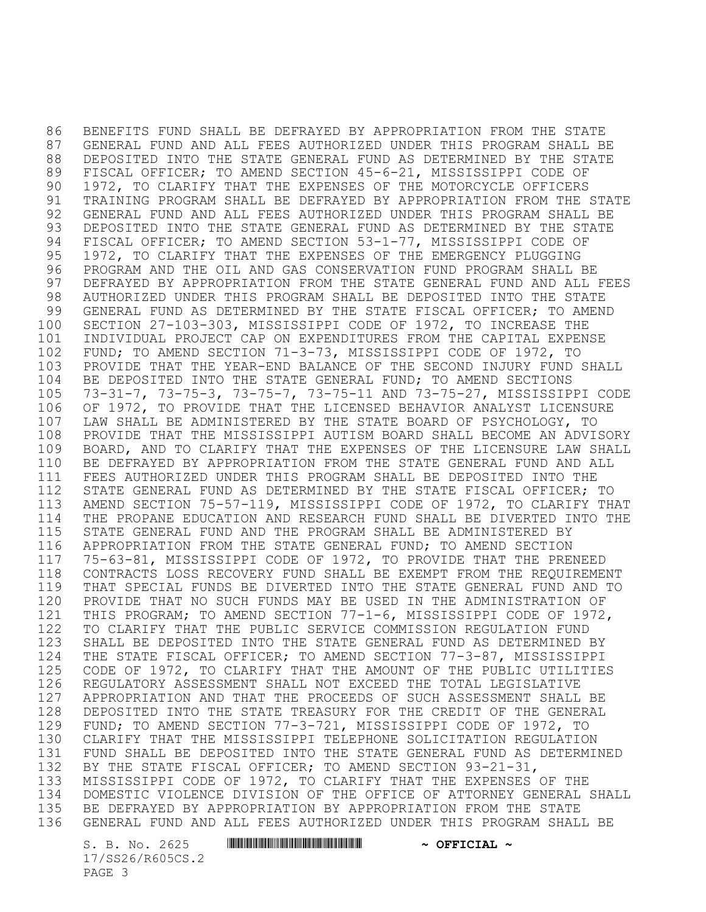BENEFITS FUND SHALL BE DEFRAYED BY APPROPRIATION FROM THE STATE GENERAL FUND AND ALL FEES AUTHORIZED UNDER THIS PROGRAM SHALL BE DEPOSITED INTO THE STATE GENERAL FUND AS DETERMINED BY THE STATE FISCAL OFFICER; TO AMEND SECTION 45-6-21, MISSISSIPPI CODE OF 1972, TO CLARIFY THAT THE EXPENSES OF THE MOTORCYCLE OFFICERS TRAINING PROGRAM SHALL BE DEFRAYED BY APPROPRIATION FROM THE STATE GENERAL FUND AND ALL FEES AUTHORIZED UNDER THIS PROGRAM SHALL BE DEPOSITED INTO THE STATE GENERAL FUND AS DETERMINED BY THE STATE FISCAL OFFICER; TO AMEND SECTION 53-1-77, MISSISSIPPI CODE OF 1972, TO CLARIFY THAT THE EXPENSES OF THE EMERGENCY PLUGGING PROGRAM AND THE OIL AND GAS CONSERVATION FUND PROGRAM SHALL BE DEFRAYED BY APPROPRIATION FROM THE STATE GENERAL FUND AND ALL FEES AUTHORIZED UNDER THIS PROGRAM SHALL BE DEPOSITED INTO THE STATE GENERAL FUND AS DETERMINED BY THE STATE FISCAL OFFICER; TO AMEND SECTION 27-103-303, MISSISSIPPI CODE OF 1972, TO INCREASE THE INDIVIDUAL PROJECT CAP ON EXPENDITURES FROM THE CAPITAL EXPENSE FUND; TO AMEND SECTION 71-3-73, MISSISSIPPI CODE OF 1972, TO PROVIDE THAT THE YEAR-END BALANCE OF THE SECOND INJURY FUND SHALL BE DEPOSITED INTO THE STATE GENERAL FUND; TO AMEND SECTIONS 73-31-7, 73-75-3, 73-75-7, 73-75-11 AND 73-75-27, MISSISSIPPI CODE OF 1972, TO PROVIDE THAT THE LICENSED BEHAVIOR ANALYST LICENSURE LAW SHALL BE ADMINISTERED BY THE STATE BOARD OF PSYCHOLOGY, TO PROVIDE THAT THE MISSISSIPPI AUTISM BOARD SHALL BECOME AN ADVISORY BOARD, AND TO CLARIFY THAT THE EXPENSES OF THE LICENSURE LAW SHALL BE DEFRAYED BY APPROPRIATION FROM THE STATE GENERAL FUND AND ALL FEES AUTHORIZED UNDER THIS PROGRAM SHALL BE DEPOSITED INTO THE STATE GENERAL FUND AS DETERMINED BY THE STATE FISCAL OFFICER; TO AMEND SECTION 75-57-119, MISSISSIPPI CODE OF 1972, TO CLARIFY THAT THE PROPANE EDUCATION AND RESEARCH FUND SHALL BE DIVERTED INTO THE STATE GENERAL FUND AND THE PROGRAM SHALL BE ADMINISTERED BY APPROPRIATION FROM THE STATE GENERAL FUND; TO AMEND SECTION 75-63-81, MISSISSIPPI CODE OF 1972, TO PROVIDE THAT THE PRENEED CONTRACTS LOSS RECOVERY FUND SHALL BE EXEMPT FROM THE REQUIREMENT THAT SPECIAL FUNDS BE DIVERTED INTO THE STATE GENERAL FUND AND TO PROVIDE THAT NO SUCH FUNDS MAY BE USED IN THE ADMINISTRATION OF THIS PROGRAM; TO AMEND SECTION 77-1-6, MISSISSIPPI CODE OF 1972, TO CLARIFY THAT THE PUBLIC SERVICE COMMISSION REGULATION FUND SHALL BE DEPOSITED INTO THE STATE GENERAL FUND AS DETERMINED BY THE STATE FISCAL OFFICER; TO AMEND SECTION 77-3-87, MISSISSIPPI CODE OF 1972, TO CLARIFY THAT THE AMOUNT OF THE PUBLIC UTILITIES REGULATORY ASSESSMENT SHALL NOT EXCEED THE TOTAL LEGISLATIVE APPROPRIATION AND THAT THE PROCEEDS OF SUCH ASSESSMENT SHALL BE DEPOSITED INTO THE STATE TREASURY FOR THE CREDIT OF THE GENERAL FUND; TO AMEND SECTION 77-3-721, MISSISSIPPI CODE OF 1972, TO CLARIFY THAT THE MISSISSIPPI TELEPHONE SOLICITATION REGULATION FUND SHALL BE DEPOSITED INTO THE STATE GENERAL FUND AS DETERMINED BY THE STATE FISCAL OFFICER; TO AMEND SECTION 93-21-31, MISSISSIPPI CODE OF 1972, TO CLARIFY THAT THE EXPENSES OF THE DOMESTIC VIOLENCE DIVISION OF THE OFFICE OF ATTORNEY GENERAL SHALL BE DEFRAYED BY APPROPRIATION BY APPROPRIATION FROM THE STATE GENERAL FUND AND ALL FEES AUTHORIZED UNDER THIS PROGRAM SHALL BE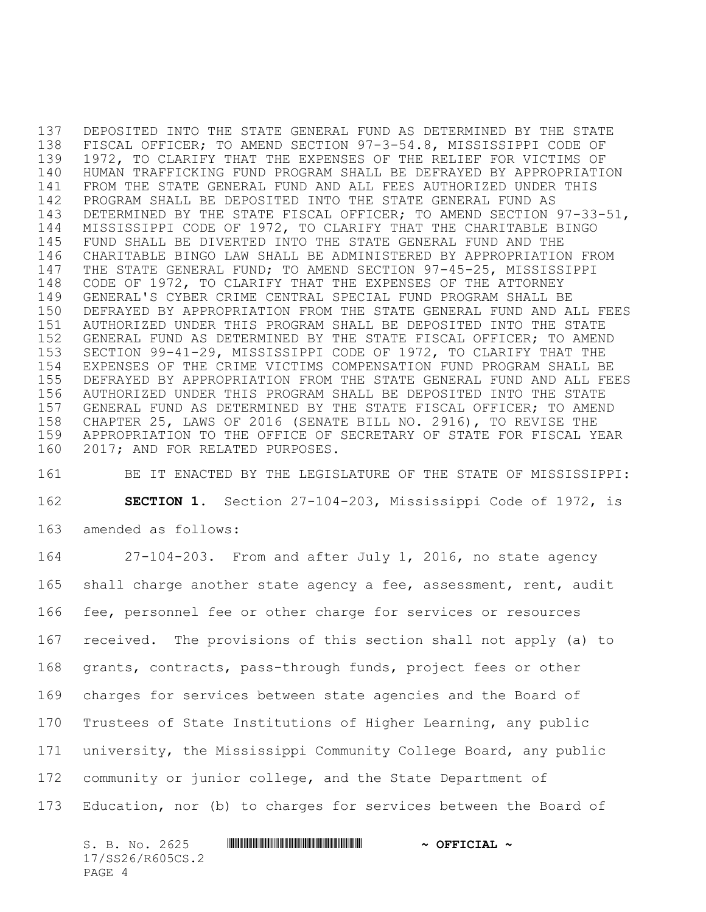DEPOSITED INTO THE STATE GENERAL FUND AS DETERMINED BY THE STATE FISCAL OFFICER; TO AMEND SECTION 97-3-54.8, MISSISSIPPI CODE OF 1972, TO CLARIFY THAT THE EXPENSES OF THE RELIEF FOR VICTIMS OF HUMAN TRAFFICKING FUND PROGRAM SHALL BE DEFRAYED BY APPROPRIATION FROM THE STATE GENERAL FUND AND ALL FEES AUTHORIZED UNDER THIS PROGRAM SHALL BE DEPOSITED INTO THE STATE GENERAL FUND AS DETERMINED BY THE STATE FISCAL OFFICER; TO AMEND SECTION 97-33-51, MISSISSIPPI CODE OF 1972, TO CLARIFY THAT THE CHARITABLE BINGO FUND SHALL BE DIVERTED INTO THE STATE GENERAL FUND AND THE CHARITABLE BINGO LAW SHALL BE ADMINISTERED BY APPROPRIATION FROM THE STATE GENERAL FUND; TO AMEND SECTION 97-45-25, MISSISSIPPI CODE OF 1972, TO CLARIFY THAT THE EXPENSES OF THE ATTORNEY GENERAL'S CYBER CRIME CENTRAL SPECIAL FUND PROGRAM SHALL BE DEFRAYED BY APPROPRIATION FROM THE STATE GENERAL FUND AND ALL FEES AUTHORIZED UNDER THIS PROGRAM SHALL BE DEPOSITED INTO THE STATE GENERAL FUND AS DETERMINED BY THE STATE FISCAL OFFICER; TO AMEND SECTION 99-41-29, MISSISSIPPI CODE OF 1972, TO CLARIFY THAT THE EXPENSES OF THE CRIME VICTIMS COMPENSATION FUND PROGRAM SHALL BE DEFRAYED BY APPROPRIATION FROM THE STATE GENERAL FUND AND ALL FEES AUTHORIZED UNDER THIS PROGRAM SHALL BE DEPOSITED INTO THE STATE GENERAL FUND AS DETERMINED BY THE STATE FISCAL OFFICER; TO AMEND CHAPTER 25, LAWS OF 2016 (SENATE BILL NO. 2916), TO REVISE THE APPROPRIATION TO THE OFFICE OF SECRETARY OF STATE FOR FISCAL YEAR 2017; AND FOR RELATED PURPOSES.

 BE IT ENACTED BY THE LEGISLATURE OF THE STATE OF MISSISSIPPI: **SECTION 1.** Section 27-104-203, Mississippi Code of 1972, is amended as follows:

 27-104-203. From and after July 1, 2016, no state agency 165 shall charge another state agency a fee, assessment, rent, audit fee, personnel fee or other charge for services or resources received. The provisions of this section shall not apply (a) to grants, contracts, pass-through funds, project fees or other charges for services between state agencies and the Board of Trustees of State Institutions of Higher Learning, any public university, the Mississippi Community College Board, any public community or junior college, and the State Department of Education, nor (b) to charges for services between the Board of

S. B. No. 2625 **\*\*\* A SECONDENT AND A SECONDENT AND A OFFICIAL ~** 17/SS26/R605CS.2 PAGE 4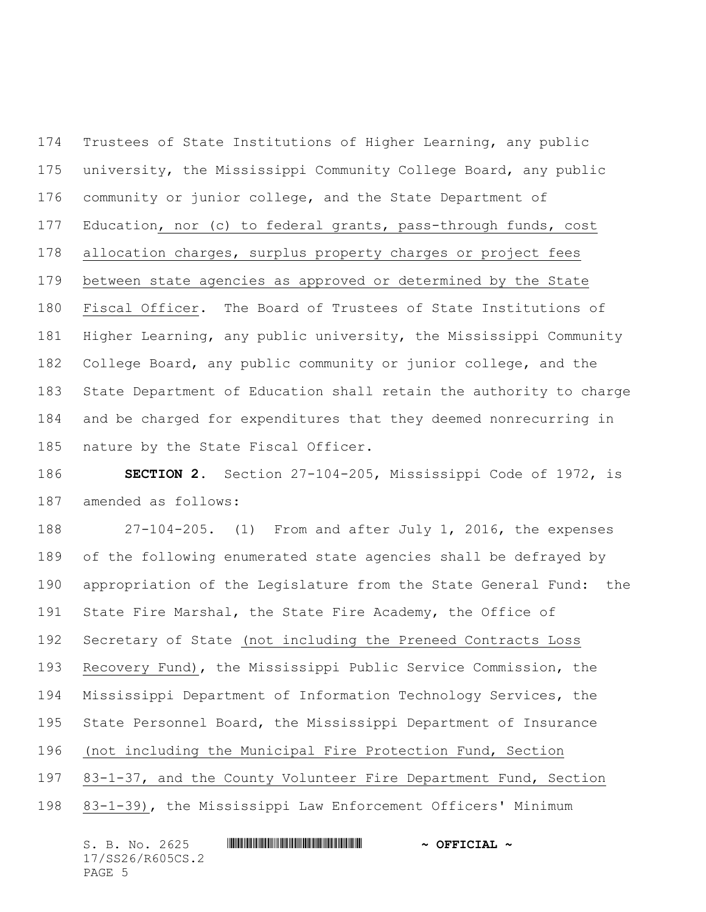Trustees of State Institutions of Higher Learning, any public university, the Mississippi Community College Board, any public community or junior college, and the State Department of Education, nor (c) to federal grants, pass-through funds, cost allocation charges, surplus property charges or project fees between state agencies as approved or determined by the State Fiscal Officer. The Board of Trustees of State Institutions of Higher Learning, any public university, the Mississippi Community College Board, any public community or junior college, and the State Department of Education shall retain the authority to charge and be charged for expenditures that they deemed nonrecurring in nature by the State Fiscal Officer.

 **SECTION 2.** Section 27-104-205, Mississippi Code of 1972, is amended as follows:

 27-104-205. (1) From and after July 1, 2016, the expenses of the following enumerated state agencies shall be defrayed by appropriation of the Legislature from the State General Fund: the State Fire Marshal, the State Fire Academy, the Office of Secretary of State (not including the Preneed Contracts Loss Recovery Fund), the Mississippi Public Service Commission, the Mississippi Department of Information Technology Services, the State Personnel Board, the Mississippi Department of Insurance (not including the Municipal Fire Protection Fund, Section 83-1-37, and the County Volunteer Fire Department Fund, Section 83-1-39), the Mississippi Law Enforcement Officers' Minimum

| S. B. No. 2625   | <u> 1999 - 1999 - 1999 - 1999 - 1999 - 1999 - 1999 - 1999 - 1999 - 1999 - 1999 - 1999 - 1999 - 1999 - 1999 - 199</u> | $\sim$ OFFICIAL $\sim$ |
|------------------|----------------------------------------------------------------------------------------------------------------------|------------------------|
| 17/SS26/R605CS.2 |                                                                                                                      |                        |
| PAGE 5           |                                                                                                                      |                        |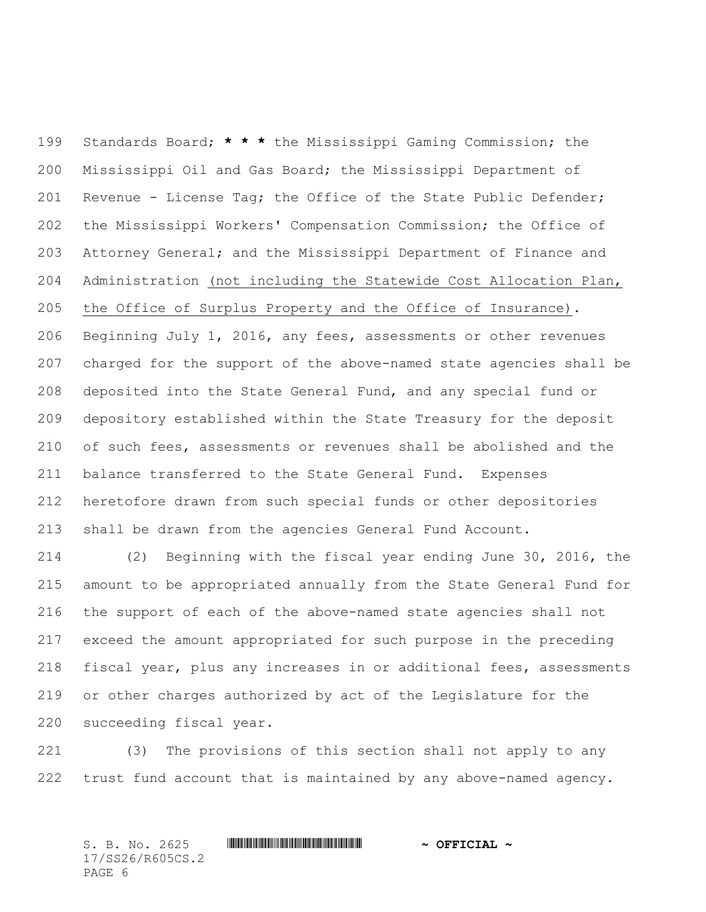Standards Board; **\* \* \*** the Mississippi Gaming Commission; the Mississippi Oil and Gas Board; the Mississippi Department of Revenue - License Tag; the Office of the State Public Defender; the Mississippi Workers' Compensation Commission; the Office of Attorney General; and the Mississippi Department of Finance and Administration (not including the Statewide Cost Allocation Plan, the Office of Surplus Property and the Office of Insurance). Beginning July 1, 2016, any fees, assessments or other revenues charged for the support of the above-named state agencies shall be deposited into the State General Fund, and any special fund or depository established within the State Treasury for the deposit of such fees, assessments or revenues shall be abolished and the balance transferred to the State General Fund. Expenses heretofore drawn from such special funds or other depositories shall be drawn from the agencies General Fund Account.

 (2) Beginning with the fiscal year ending June 30, 2016, the amount to be appropriated annually from the State General Fund for the support of each of the above-named state agencies shall not exceed the amount appropriated for such purpose in the preceding fiscal year, plus any increases in or additional fees, assessments or other charges authorized by act of the Legislature for the succeeding fiscal year.

 (3) The provisions of this section shall not apply to any trust fund account that is maintained by any above-named agency.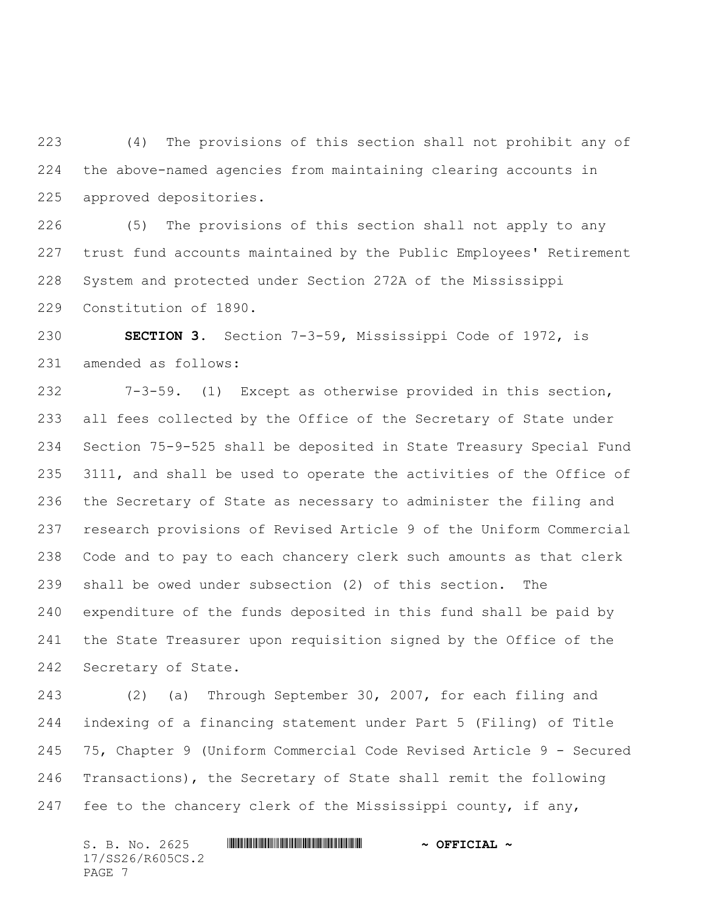(4) The provisions of this section shall not prohibit any of the above-named agencies from maintaining clearing accounts in approved depositories.

 (5) The provisions of this section shall not apply to any trust fund accounts maintained by the Public Employees' Retirement System and protected under Section 272A of the Mississippi Constitution of 1890.

 **SECTION 3.** Section 7-3-59, Mississippi Code of 1972, is amended as follows:

 7-3-59. (1) Except as otherwise provided in this section, all fees collected by the Office of the Secretary of State under Section 75-9-525 shall be deposited in State Treasury Special Fund 3111, and shall be used to operate the activities of the Office of the Secretary of State as necessary to administer the filing and research provisions of Revised Article 9 of the Uniform Commercial Code and to pay to each chancery clerk such amounts as that clerk shall be owed under subsection (2) of this section. The expenditure of the funds deposited in this fund shall be paid by the State Treasurer upon requisition signed by the Office of the Secretary of State.

 (2) (a) Through September 30, 2007, for each filing and indexing of a financing statement under Part 5 (Filing) of Title 75, Chapter 9 (Uniform Commercial Code Revised Article 9 - Secured Transactions), the Secretary of State shall remit the following fee to the chancery clerk of the Mississippi county, if any,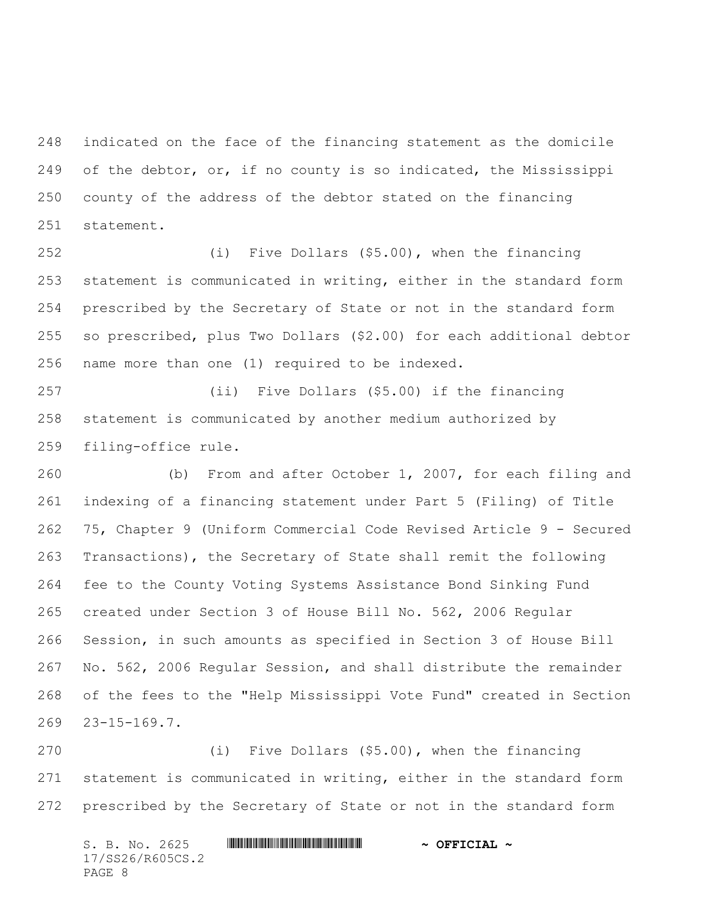indicated on the face of the financing statement as the domicile of the debtor, or, if no county is so indicated, the Mississippi county of the address of the debtor stated on the financing statement.

 (i) Five Dollars (\$5.00), when the financing statement is communicated in writing, either in the standard form prescribed by the Secretary of State or not in the standard form so prescribed, plus Two Dollars (\$2.00) for each additional debtor name more than one (1) required to be indexed.

 (ii) Five Dollars (\$5.00) if the financing statement is communicated by another medium authorized by filing-office rule.

 (b) From and after October 1, 2007, for each filing and indexing of a financing statement under Part 5 (Filing) of Title 75, Chapter 9 (Uniform Commercial Code Revised Article 9 - Secured Transactions), the Secretary of State shall remit the following fee to the County Voting Systems Assistance Bond Sinking Fund created under Section 3 of House Bill No. 562, 2006 Regular Session, in such amounts as specified in Section 3 of House Bill No. 562, 2006 Regular Session, and shall distribute the remainder of the fees to the "Help Mississippi Vote Fund" created in Section 23-15-169.7.

 (i) Five Dollars (\$5.00), when the financing statement is communicated in writing, either in the standard form prescribed by the Secretary of State or not in the standard form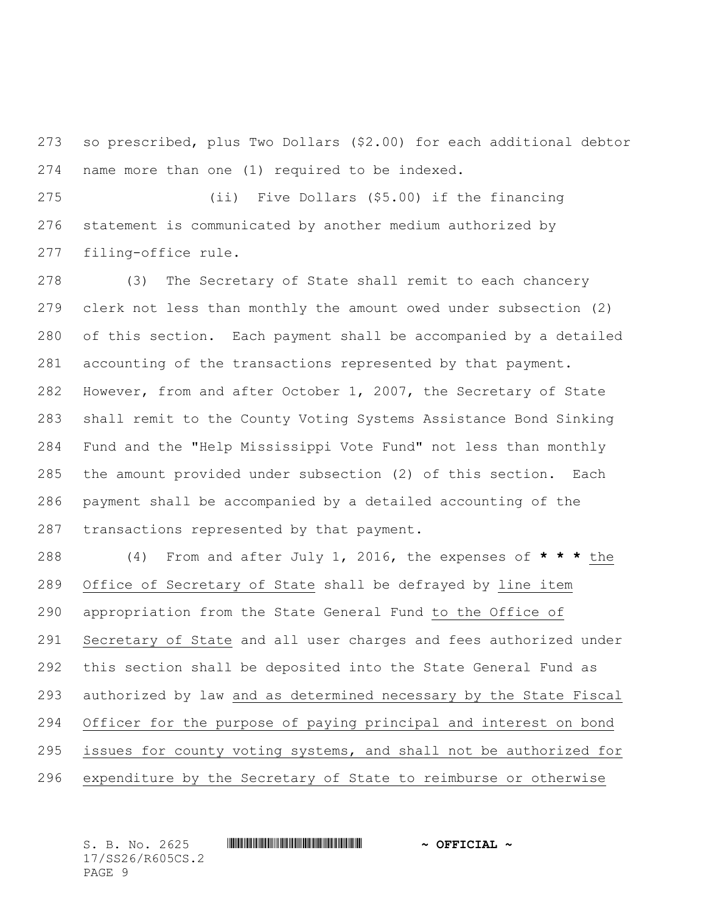so prescribed, plus Two Dollars (\$2.00) for each additional debtor name more than one (1) required to be indexed.

 (ii) Five Dollars (\$5.00) if the financing statement is communicated by another medium authorized by filing-office rule.

 (3) The Secretary of State shall remit to each chancery clerk not less than monthly the amount owed under subsection (2) of this section. Each payment shall be accompanied by a detailed accounting of the transactions represented by that payment. However, from and after October 1, 2007, the Secretary of State shall remit to the County Voting Systems Assistance Bond Sinking Fund and the "Help Mississippi Vote Fund" not less than monthly the amount provided under subsection (2) of this section. Each payment shall be accompanied by a detailed accounting of the transactions represented by that payment.

 (4) From and after July 1, 2016, the expenses of **\* \* \*** the Office of Secretary of State shall be defrayed by line item appropriation from the State General Fund to the Office of Secretary of State and all user charges and fees authorized under this section shall be deposited into the State General Fund as authorized by law and as determined necessary by the State Fiscal Officer for the purpose of paying principal and interest on bond issues for county voting systems, and shall not be authorized for expenditure by the Secretary of State to reimburse or otherwise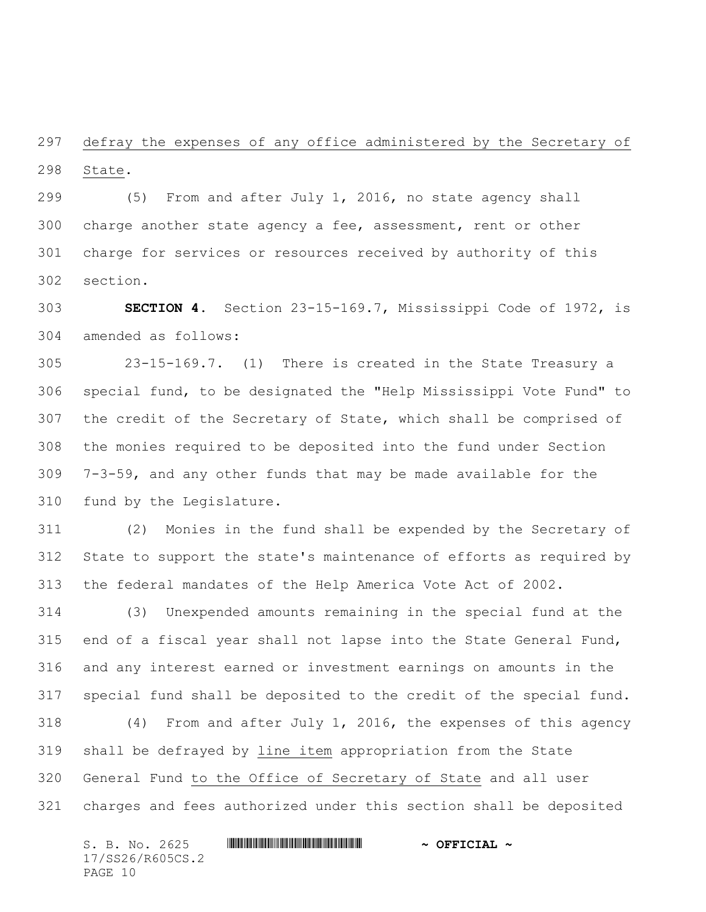defray the expenses of any office administered by the Secretary of State.

 (5) From and after July 1, 2016, no state agency shall charge another state agency a fee, assessment, rent or other charge for services or resources received by authority of this section.

 **SECTION 4.** Section 23-15-169.7, Mississippi Code of 1972, is amended as follows:

 23-15-169.7. (1) There is created in the State Treasury a special fund, to be designated the "Help Mississippi Vote Fund" to the credit of the Secretary of State, which shall be comprised of the monies required to be deposited into the fund under Section 7-3-59, and any other funds that may be made available for the fund by the Legislature.

 (2) Monies in the fund shall be expended by the Secretary of State to support the state's maintenance of efforts as required by the federal mandates of the Help America Vote Act of 2002.

 (3) Unexpended amounts remaining in the special fund at the end of a fiscal year shall not lapse into the State General Fund, and any interest earned or investment earnings on amounts in the special fund shall be deposited to the credit of the special fund. (4) From and after July 1, 2016, the expenses of this agency shall be defrayed by line item appropriation from the State General Fund to the Office of Secretary of State and all user

charges and fees authorized under this section shall be deposited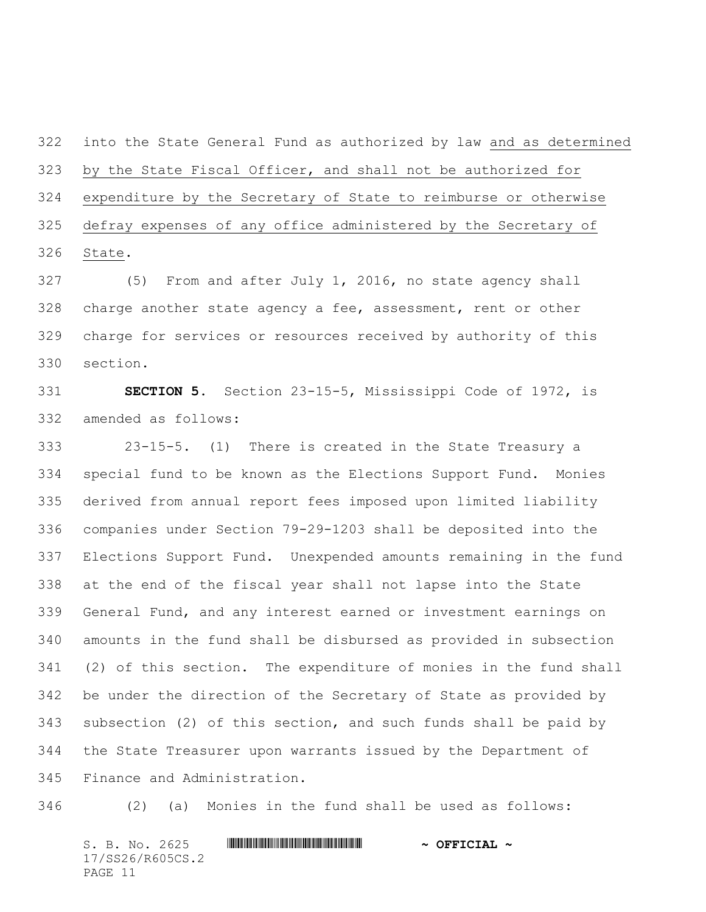into the State General Fund as authorized by law and as determined by the State Fiscal Officer, and shall not be authorized for expenditure by the Secretary of State to reimburse or otherwise defray expenses of any office administered by the Secretary of State.

 (5) From and after July 1, 2016, no state agency shall charge another state agency a fee, assessment, rent or other charge for services or resources received by authority of this section.

 **SECTION 5.** Section 23-15-5, Mississippi Code of 1972, is amended as follows:

 23-15-5. (1) There is created in the State Treasury a special fund to be known as the Elections Support Fund. Monies derived from annual report fees imposed upon limited liability companies under Section 79-29-1203 shall be deposited into the Elections Support Fund. Unexpended amounts remaining in the fund at the end of the fiscal year shall not lapse into the State General Fund, and any interest earned or investment earnings on amounts in the fund shall be disbursed as provided in subsection (2) of this section. The expenditure of monies in the fund shall be under the direction of the Secretary of State as provided by subsection (2) of this section, and such funds shall be paid by the State Treasurer upon warrants issued by the Department of Finance and Administration.

(2) (a) Monies in the fund shall be used as follows: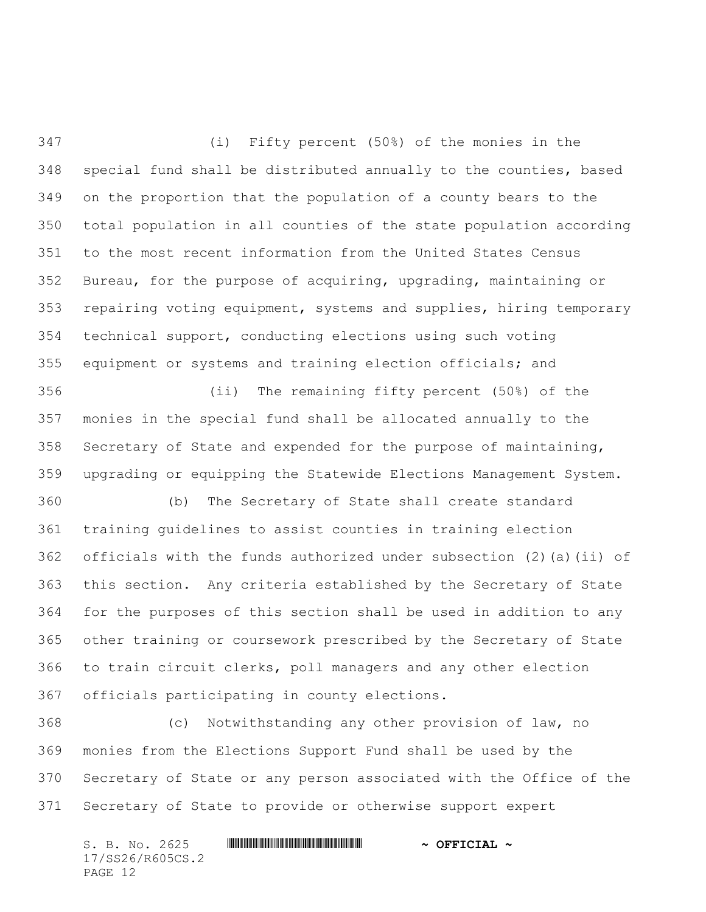(i) Fifty percent (50%) of the monies in the special fund shall be distributed annually to the counties, based on the proportion that the population of a county bears to the total population in all counties of the state population according to the most recent information from the United States Census Bureau, for the purpose of acquiring, upgrading, maintaining or repairing voting equipment, systems and supplies, hiring temporary technical support, conducting elections using such voting equipment or systems and training election officials; and

 (ii) The remaining fifty percent (50%) of the monies in the special fund shall be allocated annually to the Secretary of State and expended for the purpose of maintaining, upgrading or equipping the Statewide Elections Management System.

 (b) The Secretary of State shall create standard training guidelines to assist counties in training election officials with the funds authorized under subsection (2)(a)(ii) of this section. Any criteria established by the Secretary of State for the purposes of this section shall be used in addition to any other training or coursework prescribed by the Secretary of State to train circuit clerks, poll managers and any other election officials participating in county elections.

 (c) Notwithstanding any other provision of law, no monies from the Elections Support Fund shall be used by the Secretary of State or any person associated with the Office of the Secretary of State to provide or otherwise support expert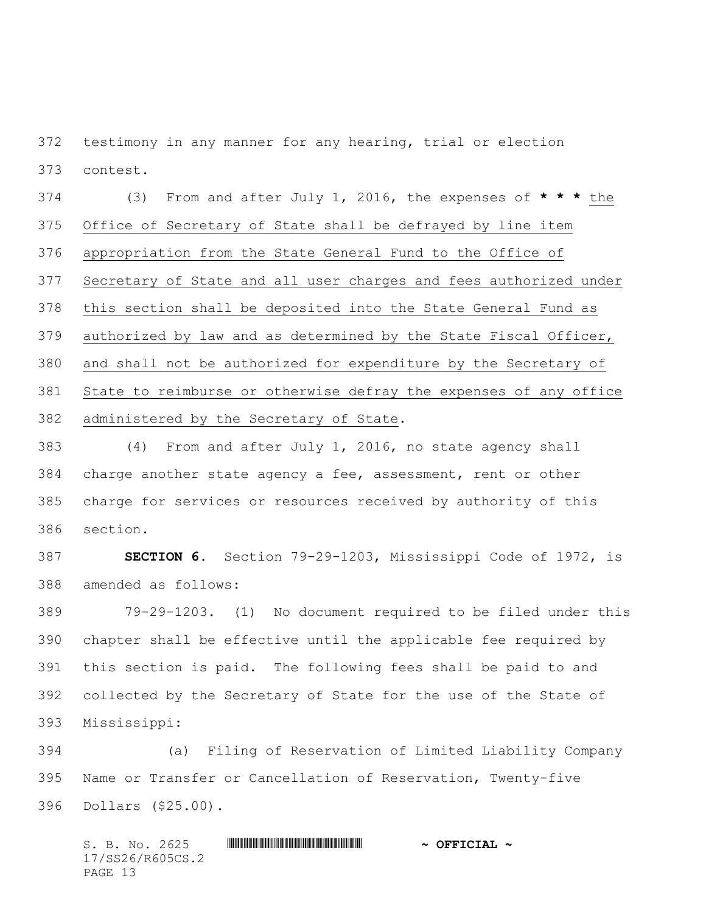testimony in any manner for any hearing, trial or election contest.

 (3) From and after July 1, 2016, the expenses of **\* \* \*** the Office of Secretary of State shall be defrayed by line item appropriation from the State General Fund to the Office of Secretary of State and all user charges and fees authorized under this section shall be deposited into the State General Fund as authorized by law and as determined by the State Fiscal Officer, and shall not be authorized for expenditure by the Secretary of State to reimburse or otherwise defray the expenses of any office administered by the Secretary of State.

 (4) From and after July 1, 2016, no state agency shall charge another state agency a fee, assessment, rent or other charge for services or resources received by authority of this section.

 **SECTION 6.** Section 79-29-1203, Mississippi Code of 1972, is amended as follows:

 79-29-1203. (1) No document required to be filed under this chapter shall be effective until the applicable fee required by this section is paid. The following fees shall be paid to and collected by the Secretary of State for the use of the State of Mississippi:

 (a) Filing of Reservation of Limited Liability Company Name or Transfer or Cancellation of Reservation, Twenty-five Dollars (\$25.00).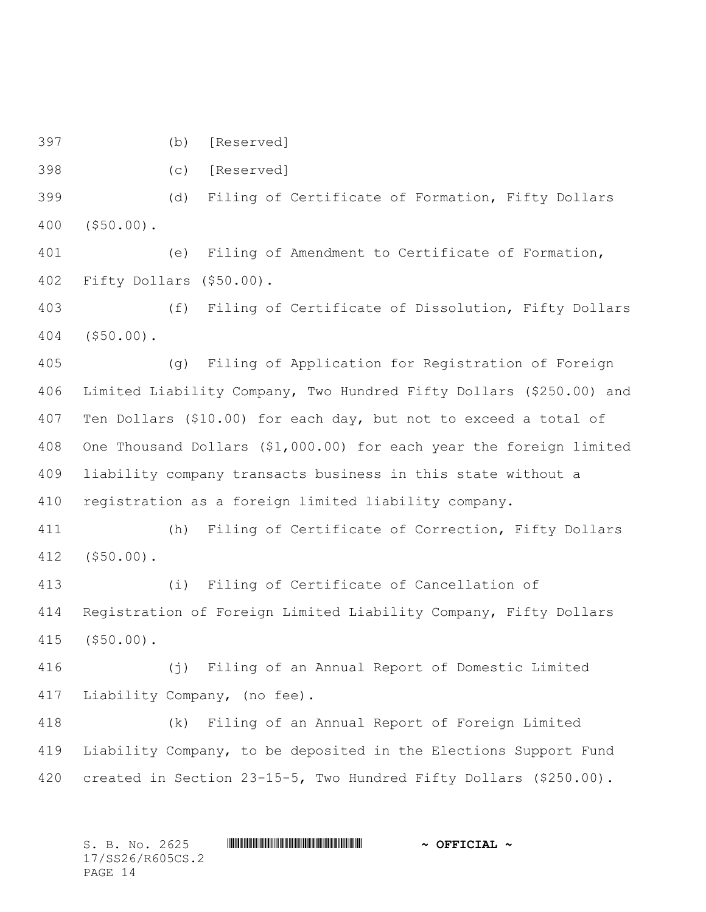(b) [Reserved]

(c) [Reserved]

 (d) Filing of Certificate of Formation, Fifty Dollars (\$50.00).

 (e) Filing of Amendment to Certificate of Formation, Fifty Dollars (\$50.00).

 (f) Filing of Certificate of Dissolution, Fifty Dollars (\$50.00).

 (g) Filing of Application for Registration of Foreign Limited Liability Company, Two Hundred Fifty Dollars (\$250.00) and Ten Dollars (\$10.00) for each day, but not to exceed a total of One Thousand Dollars (\$1,000.00) for each year the foreign limited liability company transacts business in this state without a registration as a foreign limited liability company.

 (h) Filing of Certificate of Correction, Fifty Dollars (\$50.00).

 (i) Filing of Certificate of Cancellation of Registration of Foreign Limited Liability Company, Fifty Dollars (\$50.00).

 (j) Filing of an Annual Report of Domestic Limited Liability Company, (no fee).

 (k) Filing of an Annual Report of Foreign Limited Liability Company, to be deposited in the Elections Support Fund created in Section 23-15-5, Two Hundred Fifty Dollars (\$250.00).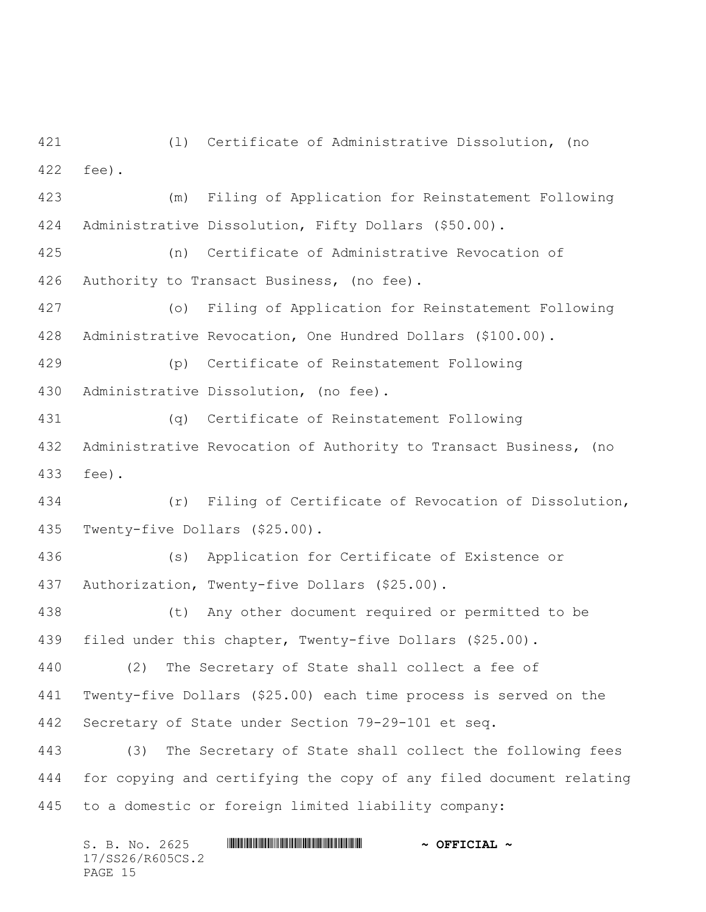(l) Certificate of Administrative Dissolution, (no fee).

 (m) Filing of Application for Reinstatement Following Administrative Dissolution, Fifty Dollars (\$50.00).

 (n) Certificate of Administrative Revocation of Authority to Transact Business, (no fee).

 (o) Filing of Application for Reinstatement Following Administrative Revocation, One Hundred Dollars (\$100.00).

 (p) Certificate of Reinstatement Following Administrative Dissolution, (no fee).

 (q) Certificate of Reinstatement Following Administrative Revocation of Authority to Transact Business, (no fee).

 (r) Filing of Certificate of Revocation of Dissolution, Twenty-five Dollars (\$25.00).

 (s) Application for Certificate of Existence or Authorization, Twenty-five Dollars (\$25.00).

 (t) Any other document required or permitted to be filed under this chapter, Twenty-five Dollars (\$25.00).

 (2) The Secretary of State shall collect a fee of Twenty-five Dollars (\$25.00) each time process is served on the Secretary of State under Section 79-29-101 et seq.

 (3) The Secretary of State shall collect the following fees for copying and certifying the copy of any filed document relating to a domestic or foreign limited liability company: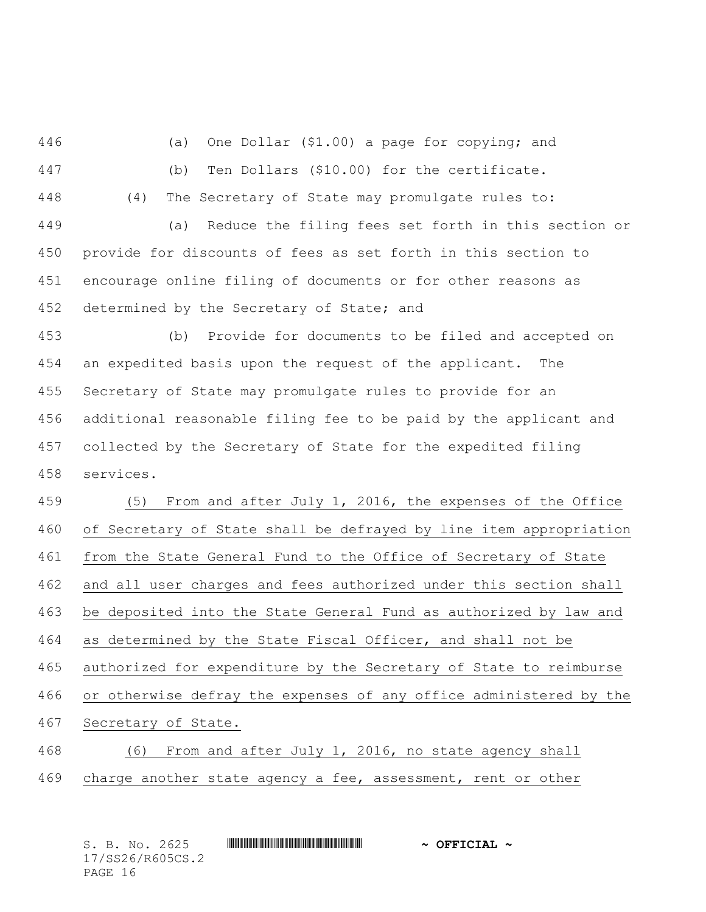(a) One Dollar (\$1.00) a page for copying; and

- 
- (b) Ten Dollars (\$10.00) for the certificate.
- 
- (4) The Secretary of State may promulgate rules to:

 (a) Reduce the filing fees set forth in this section or provide for discounts of fees as set forth in this section to encourage online filing of documents or for other reasons as 452 determined by the Secretary of State; and

 (b) Provide for documents to be filed and accepted on an expedited basis upon the request of the applicant. The Secretary of State may promulgate rules to provide for an additional reasonable filing fee to be paid by the applicant and collected by the Secretary of State for the expedited filing services.

 (5) From and after July 1, 2016, the expenses of the Office of Secretary of State shall be defrayed by line item appropriation from the State General Fund to the Office of Secretary of State and all user charges and fees authorized under this section shall be deposited into the State General Fund as authorized by law and as determined by the State Fiscal Officer, and shall not be authorized for expenditure by the Secretary of State to reimburse or otherwise defray the expenses of any office administered by the Secretary of State.

 (6) From and after July 1, 2016, no state agency shall charge another state agency a fee, assessment, rent or other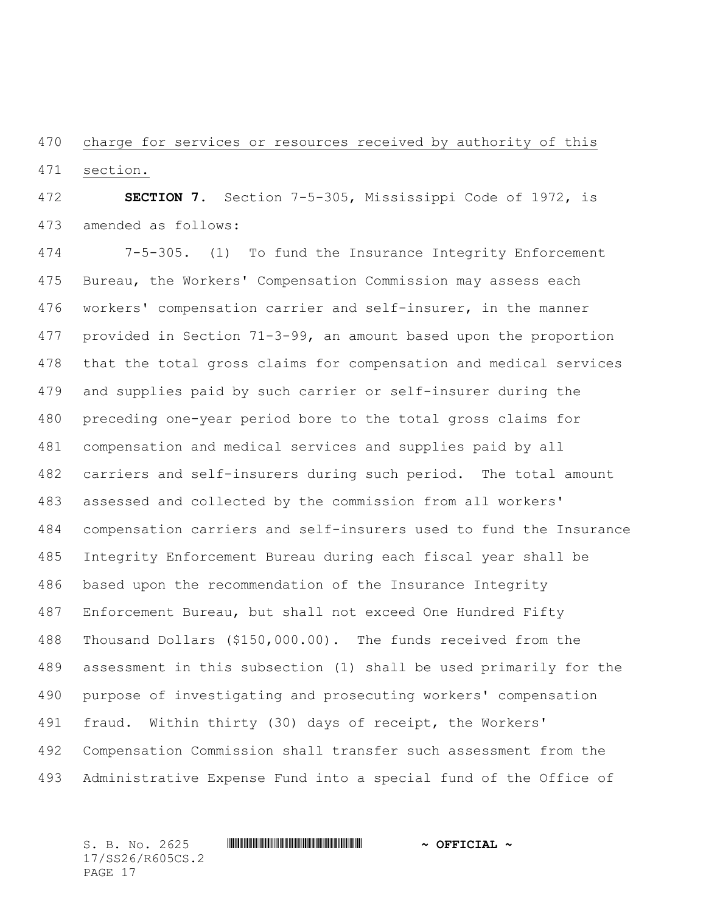charge for services or resources received by authority of this section.

 **SECTION 7.** Section 7-5-305, Mississippi Code of 1972, is amended as follows:

 7-5-305. (1) To fund the Insurance Integrity Enforcement Bureau, the Workers' Compensation Commission may assess each workers' compensation carrier and self-insurer, in the manner provided in Section 71-3-99, an amount based upon the proportion that the total gross claims for compensation and medical services and supplies paid by such carrier or self-insurer during the preceding one-year period bore to the total gross claims for compensation and medical services and supplies paid by all carriers and self-insurers during such period. The total amount assessed and collected by the commission from all workers' compensation carriers and self-insurers used to fund the Insurance Integrity Enforcement Bureau during each fiscal year shall be based upon the recommendation of the Insurance Integrity Enforcement Bureau, but shall not exceed One Hundred Fifty Thousand Dollars (\$150,000.00). The funds received from the assessment in this subsection (1) shall be used primarily for the purpose of investigating and prosecuting workers' compensation fraud. Within thirty (30) days of receipt, the Workers' Compensation Commission shall transfer such assessment from the Administrative Expense Fund into a special fund of the Office of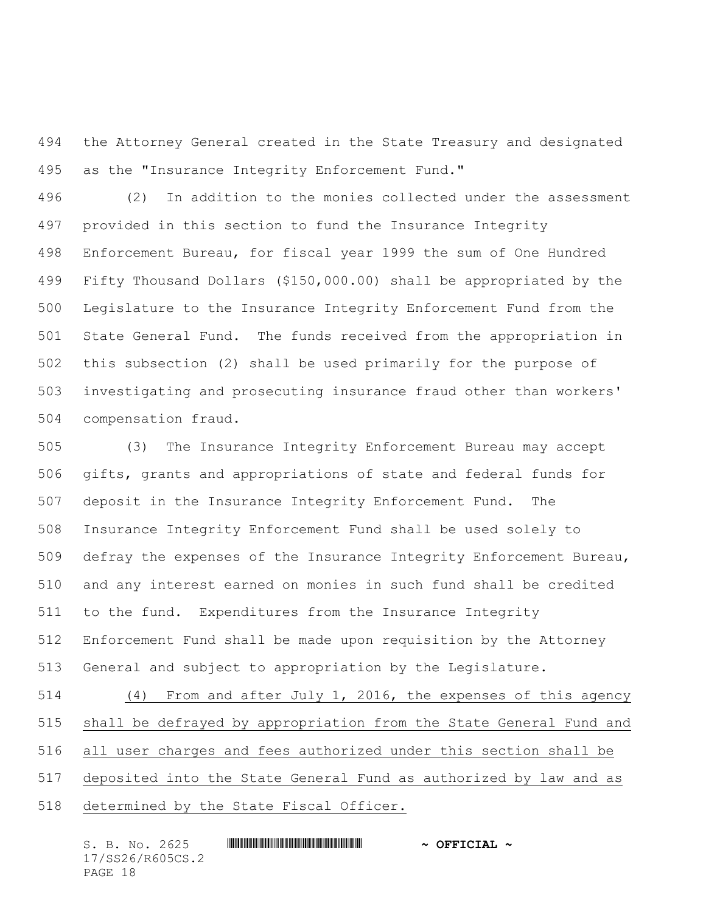the Attorney General created in the State Treasury and designated as the "Insurance Integrity Enforcement Fund."

 (2) In addition to the monies collected under the assessment provided in this section to fund the Insurance Integrity Enforcement Bureau, for fiscal year 1999 the sum of One Hundred Fifty Thousand Dollars (\$150,000.00) shall be appropriated by the Legislature to the Insurance Integrity Enforcement Fund from the State General Fund. The funds received from the appropriation in this subsection (2) shall be used primarily for the purpose of investigating and prosecuting insurance fraud other than workers' compensation fraud.

 (3) The Insurance Integrity Enforcement Bureau may accept gifts, grants and appropriations of state and federal funds for deposit in the Insurance Integrity Enforcement Fund. The Insurance Integrity Enforcement Fund shall be used solely to defray the expenses of the Insurance Integrity Enforcement Bureau, and any interest earned on monies in such fund shall be credited to the fund. Expenditures from the Insurance Integrity Enforcement Fund shall be made upon requisition by the Attorney General and subject to appropriation by the Legislature.

 (4) From and after July 1, 2016, the expenses of this agency shall be defrayed by appropriation from the State General Fund and all user charges and fees authorized under this section shall be deposited into the State General Fund as authorized by law and as determined by the State Fiscal Officer.

| S. B. No. 2625   |  | $\sim$ OFFICIAL $\sim$ |
|------------------|--|------------------------|
| 17/SS26/R605CS.2 |  |                        |
| PAGE 18          |  |                        |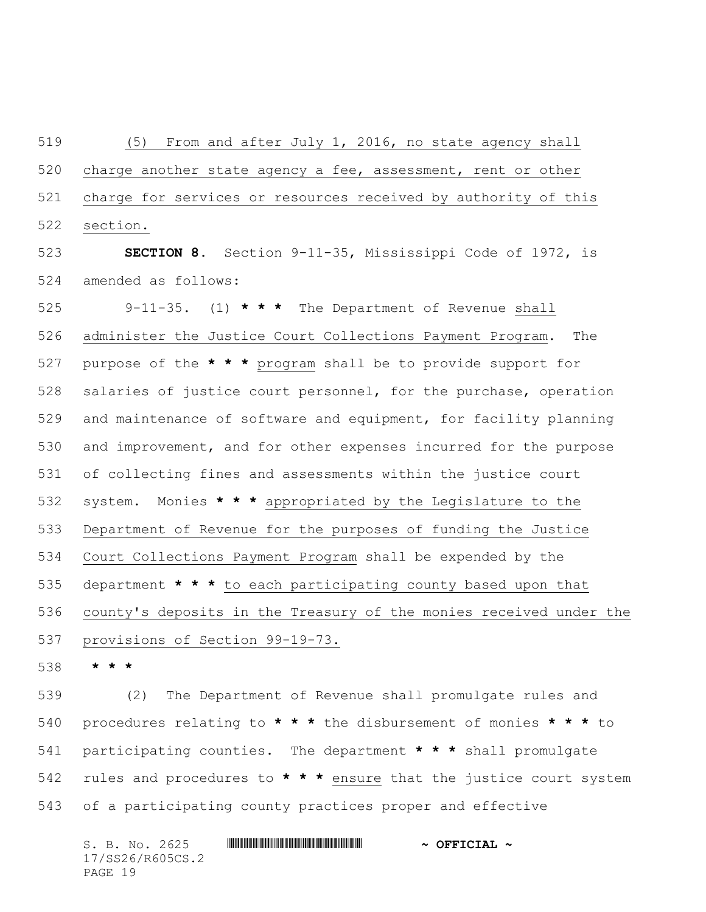(5) From and after July 1, 2016, no state agency shall charge another state agency a fee, assessment, rent or other charge for services or resources received by authority of this section.

 **SECTION 8.** Section 9-11-35, Mississippi Code of 1972, is amended as follows:

 9-11-35. (1) **\* \* \*** The Department of Revenue shall administer the Justice Court Collections Payment Program. The purpose of the **\* \* \*** program shall be to provide support for salaries of justice court personnel, for the purchase, operation and maintenance of software and equipment, for facility planning and improvement, and for other expenses incurred for the purpose of collecting fines and assessments within the justice court system. Monies **\* \* \*** appropriated by the Legislature to the Department of Revenue for the purposes of funding the Justice Court Collections Payment Program shall be expended by the department **\* \* \*** to each participating county based upon that county's deposits in the Treasury of the monies received under the provisions of Section 99-19-73.

**\* \* \***

 (2) The Department of Revenue shall promulgate rules and procedures relating to **\* \* \*** the disbursement of monies **\* \* \*** to participating counties. The department **\* \* \*** shall promulgate rules and procedures to **\* \* \*** ensure that the justice court system of a participating county practices proper and effective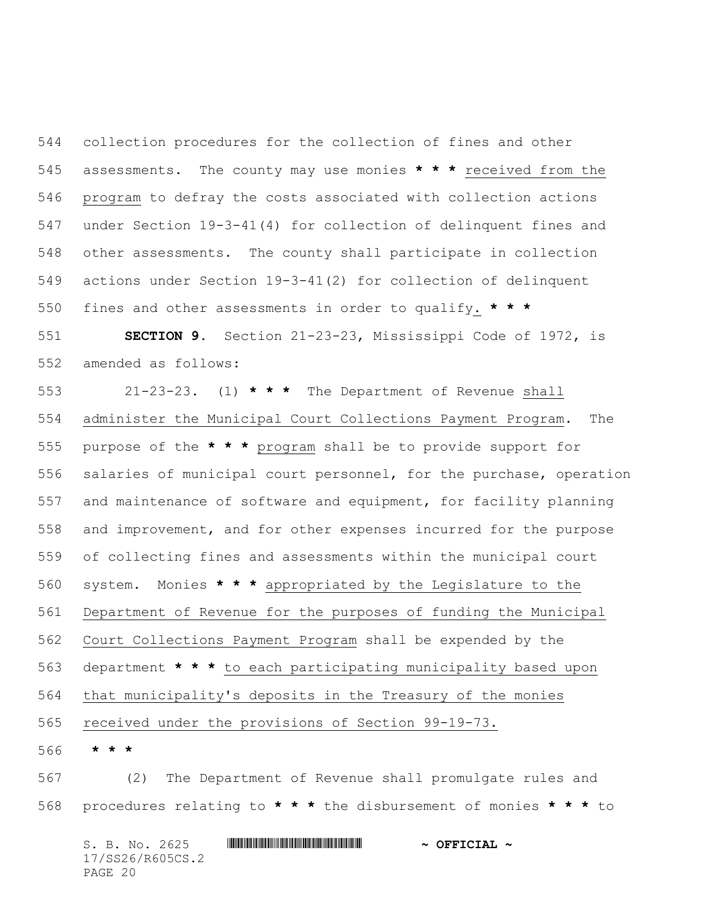collection procedures for the collection of fines and other assessments. The county may use monies **\* \* \*** received from the program to defray the costs associated with collection actions under Section 19-3-41(4) for collection of delinquent fines and other assessments. The county shall participate in collection actions under Section 19-3-41(2) for collection of delinquent fines and other assessments in order to qualify. **\* \* \***

 **SECTION 9.** Section 21-23-23, Mississippi Code of 1972, is amended as follows:

 21-23-23. (1) **\* \* \*** The Department of Revenue shall administer the Municipal Court Collections Payment Program. The purpose of the **\* \* \*** program shall be to provide support for salaries of municipal court personnel, for the purchase, operation and maintenance of software and equipment, for facility planning and improvement, and for other expenses incurred for the purpose of collecting fines and assessments within the municipal court system. Monies **\* \* \*** appropriated by the Legislature to the Department of Revenue for the purposes of funding the Municipal Court Collections Payment Program shall be expended by the department **\* \* \*** to each participating municipality based upon that municipality's deposits in the Treasury of the monies received under the provisions of Section 99-19-73.

**\* \* \***

 (2) The Department of Revenue shall promulgate rules and procedures relating to **\* \* \*** the disbursement of monies **\* \* \*** to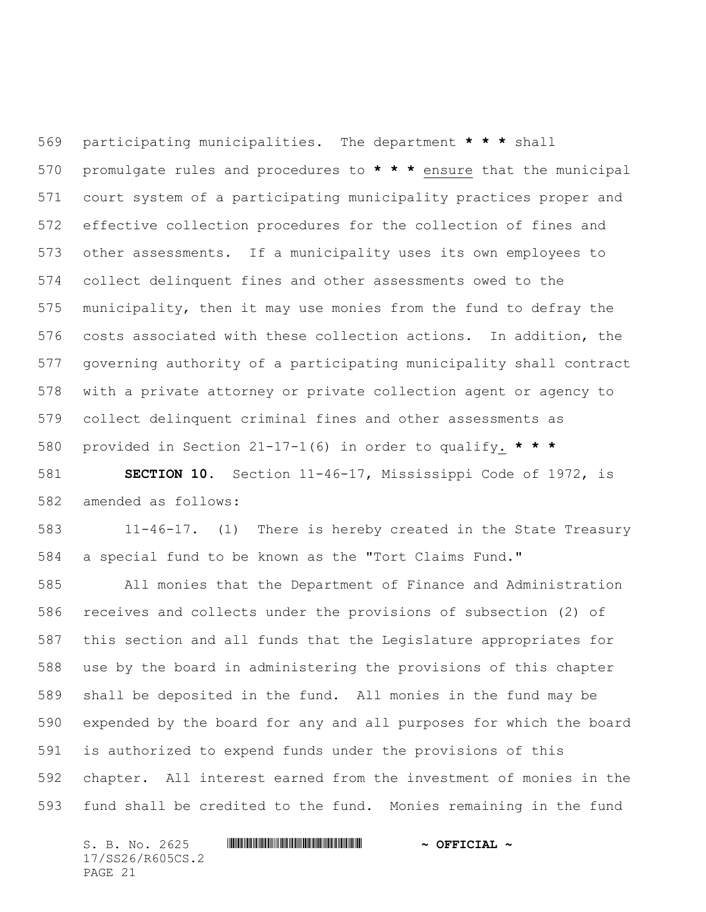participating municipalities. The department **\* \* \*** shall promulgate rules and procedures to **\* \* \*** ensure that the municipal court system of a participating municipality practices proper and effective collection procedures for the collection of fines and other assessments. If a municipality uses its own employees to collect delinquent fines and other assessments owed to the municipality, then it may use monies from the fund to defray the costs associated with these collection actions. In addition, the governing authority of a participating municipality shall contract with a private attorney or private collection agent or agency to collect delinquent criminal fines and other assessments as provided in Section 21-17-1(6) in order to qualify. **\* \* \***

 **SECTION 10.** Section 11-46-17, Mississippi Code of 1972, is amended as follows:

 11-46-17. (1) There is hereby created in the State Treasury a special fund to be known as the "Tort Claims Fund."

 All monies that the Department of Finance and Administration receives and collects under the provisions of subsection (2) of this section and all funds that the Legislature appropriates for use by the board in administering the provisions of this chapter shall be deposited in the fund. All monies in the fund may be expended by the board for any and all purposes for which the board is authorized to expend funds under the provisions of this chapter. All interest earned from the investment of monies in the fund shall be credited to the fund. Monies remaining in the fund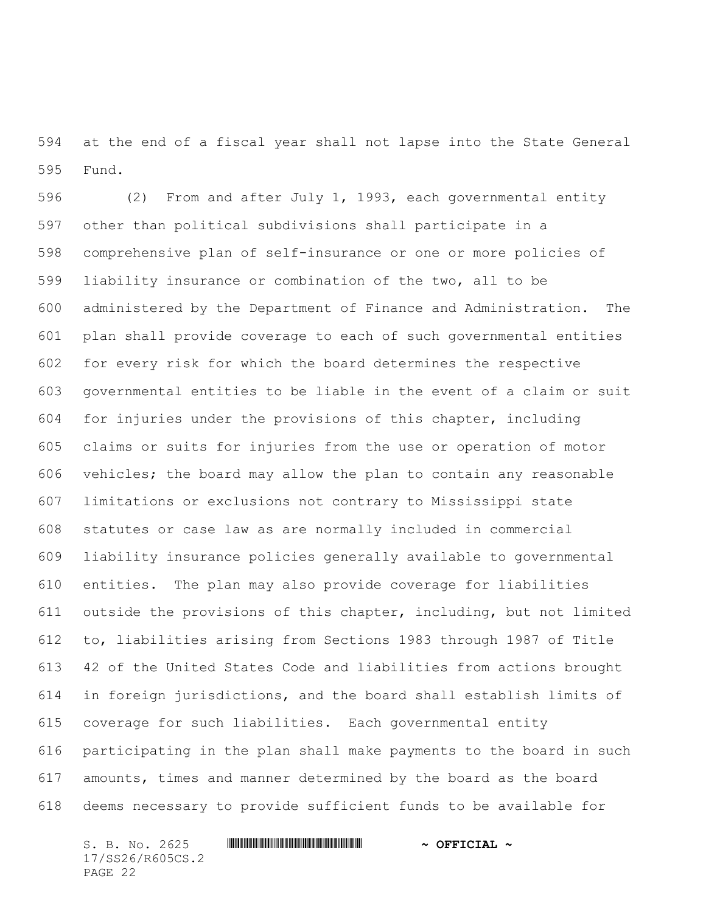at the end of a fiscal year shall not lapse into the State General Fund.

 (2) From and after July 1, 1993, each governmental entity other than political subdivisions shall participate in a comprehensive plan of self-insurance or one or more policies of liability insurance or combination of the two, all to be administered by the Department of Finance and Administration. The plan shall provide coverage to each of such governmental entities for every risk for which the board determines the respective governmental entities to be liable in the event of a claim or suit for injuries under the provisions of this chapter, including claims or suits for injuries from the use or operation of motor vehicles; the board may allow the plan to contain any reasonable limitations or exclusions not contrary to Mississippi state statutes or case law as are normally included in commercial liability insurance policies generally available to governmental entities. The plan may also provide coverage for liabilities outside the provisions of this chapter, including, but not limited to, liabilities arising from Sections 1983 through 1987 of Title 42 of the United States Code and liabilities from actions brought in foreign jurisdictions, and the board shall establish limits of coverage for such liabilities. Each governmental entity participating in the plan shall make payments to the board in such amounts, times and manner determined by the board as the board deems necessary to provide sufficient funds to be available for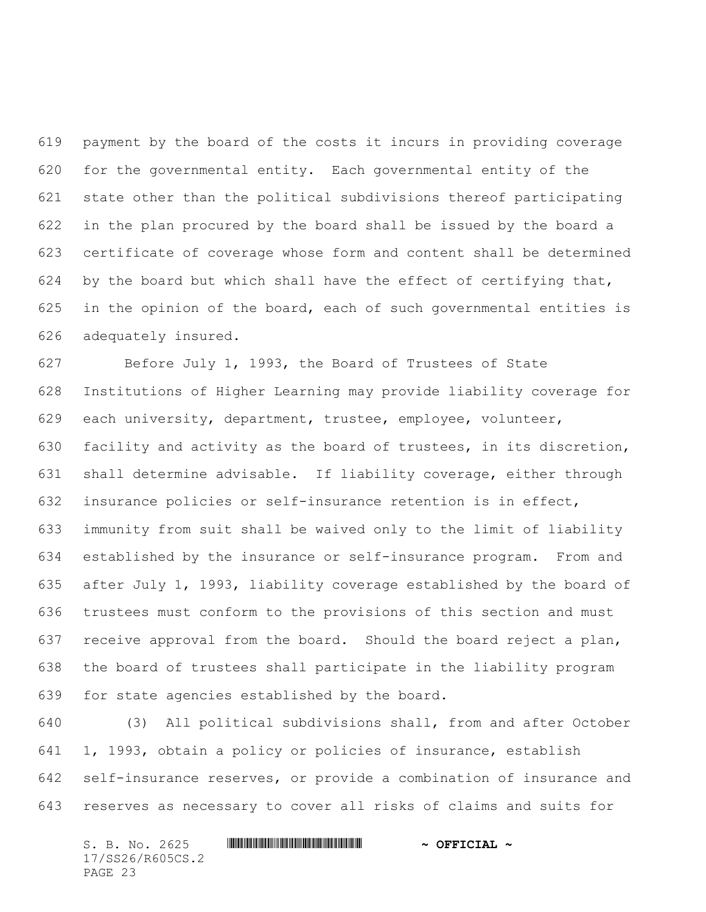payment by the board of the costs it incurs in providing coverage for the governmental entity. Each governmental entity of the state other than the political subdivisions thereof participating in the plan procured by the board shall be issued by the board a certificate of coverage whose form and content shall be determined 624 by the board but which shall have the effect of certifying that, in the opinion of the board, each of such governmental entities is adequately insured.

 Before July 1, 1993, the Board of Trustees of State Institutions of Higher Learning may provide liability coverage for each university, department, trustee, employee, volunteer, facility and activity as the board of trustees, in its discretion, shall determine advisable. If liability coverage, either through insurance policies or self-insurance retention is in effect, immunity from suit shall be waived only to the limit of liability established by the insurance or self-insurance program. From and after July 1, 1993, liability coverage established by the board of trustees must conform to the provisions of this section and must receive approval from the board. Should the board reject a plan, the board of trustees shall participate in the liability program for state agencies established by the board.

 (3) All political subdivisions shall, from and after October 1, 1993, obtain a policy or policies of insurance, establish self-insurance reserves, or provide a combination of insurance and reserves as necessary to cover all risks of claims and suits for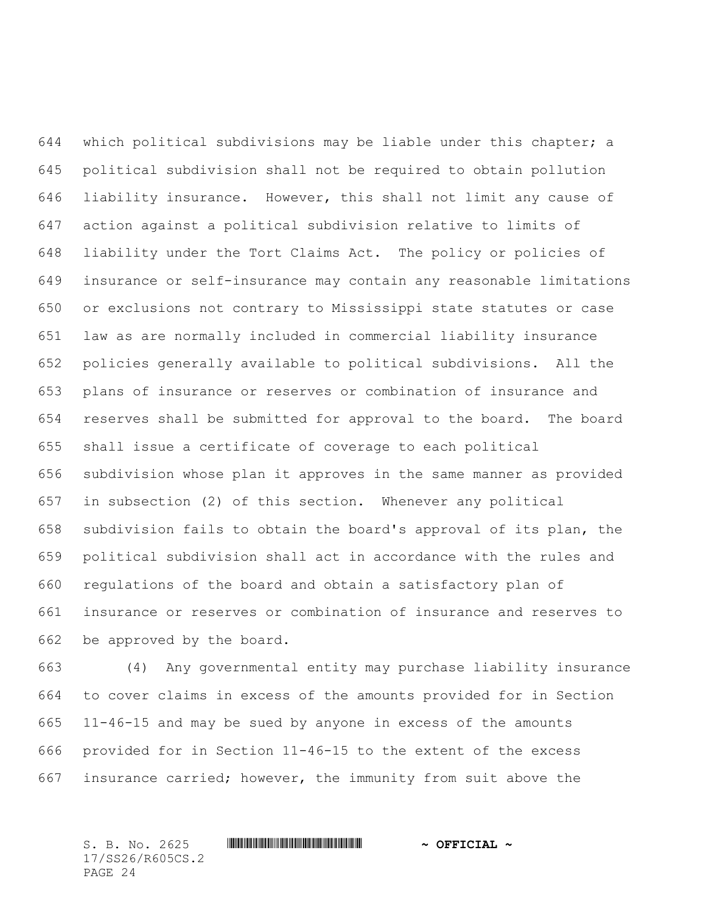which political subdivisions may be liable under this chapter; a political subdivision shall not be required to obtain pollution liability insurance. However, this shall not limit any cause of action against a political subdivision relative to limits of liability under the Tort Claims Act. The policy or policies of insurance or self-insurance may contain any reasonable limitations or exclusions not contrary to Mississippi state statutes or case law as are normally included in commercial liability insurance policies generally available to political subdivisions. All the plans of insurance or reserves or combination of insurance and reserves shall be submitted for approval to the board. The board shall issue a certificate of coverage to each political subdivision whose plan it approves in the same manner as provided in subsection (2) of this section. Whenever any political subdivision fails to obtain the board's approval of its plan, the political subdivision shall act in accordance with the rules and regulations of the board and obtain a satisfactory plan of insurance or reserves or combination of insurance and reserves to be approved by the board.

 (4) Any governmental entity may purchase liability insurance to cover claims in excess of the amounts provided for in Section 11-46-15 and may be sued by anyone in excess of the amounts provided for in Section 11-46-15 to the extent of the excess insurance carried; however, the immunity from suit above the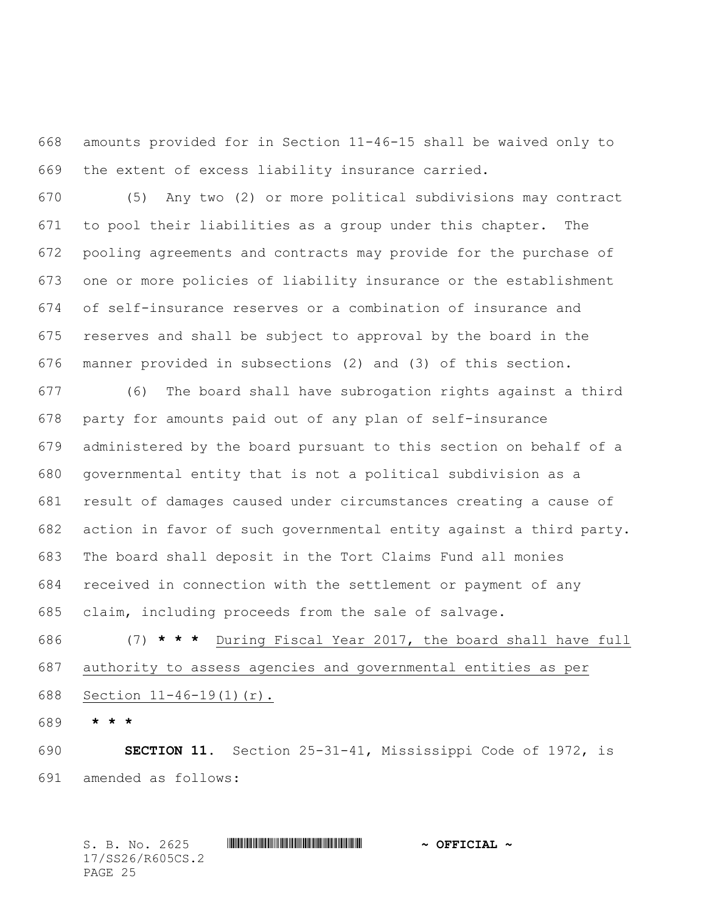amounts provided for in Section 11-46-15 shall be waived only to the extent of excess liability insurance carried.

 (5) Any two (2) or more political subdivisions may contract to pool their liabilities as a group under this chapter. The pooling agreements and contracts may provide for the purchase of one or more policies of liability insurance or the establishment of self-insurance reserves or a combination of insurance and reserves and shall be subject to approval by the board in the manner provided in subsections (2) and (3) of this section.

 (6) The board shall have subrogation rights against a third party for amounts paid out of any plan of self-insurance administered by the board pursuant to this section on behalf of a governmental entity that is not a political subdivision as a result of damages caused under circumstances creating a cause of action in favor of such governmental entity against a third party. The board shall deposit in the Tort Claims Fund all monies received in connection with the settlement or payment of any claim, including proceeds from the sale of salvage.

 (7) **\* \* \*** During Fiscal Year 2017, the board shall have full authority to assess agencies and governmental entities as per Section 11-46-19(1)(r).

**\* \* \***

 **SECTION 11.** Section 25-31-41, Mississippi Code of 1972, is amended as follows: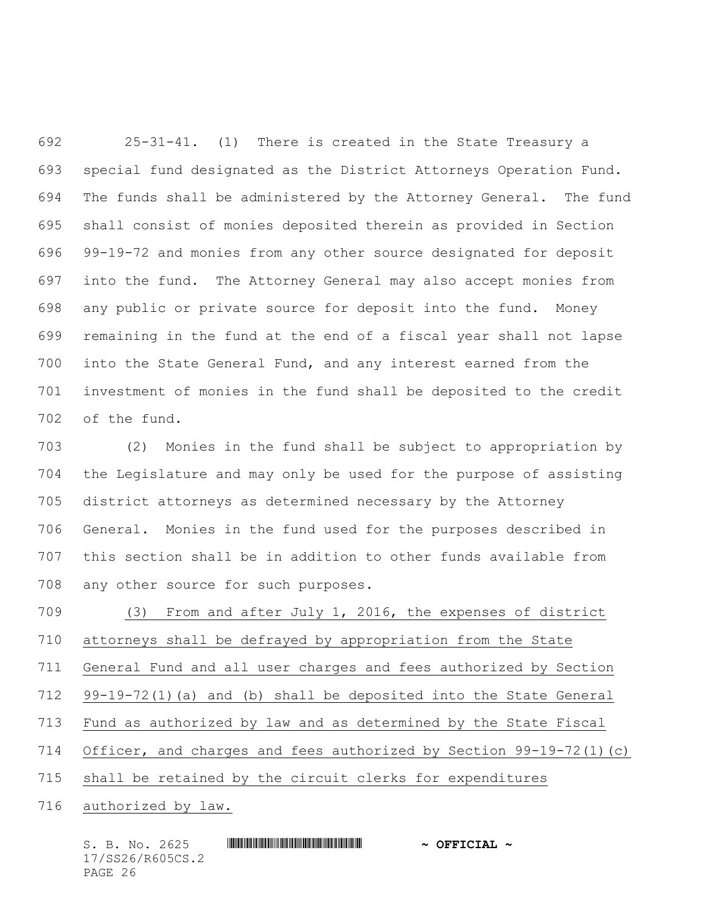25-31-41. (1) There is created in the State Treasury a special fund designated as the District Attorneys Operation Fund. The funds shall be administered by the Attorney General. The fund shall consist of monies deposited therein as provided in Section 99-19-72 and monies from any other source designated for deposit into the fund. The Attorney General may also accept monies from any public or private source for deposit into the fund. Money remaining in the fund at the end of a fiscal year shall not lapse into the State General Fund, and any interest earned from the investment of monies in the fund shall be deposited to the credit of the fund.

 (2) Monies in the fund shall be subject to appropriation by the Legislature and may only be used for the purpose of assisting district attorneys as determined necessary by the Attorney General. Monies in the fund used for the purposes described in this section shall be in addition to other funds available from any other source for such purposes.

 (3) From and after July 1, 2016, the expenses of district attorneys shall be defrayed by appropriation from the State General Fund and all user charges and fees authorized by Section 99-19-72(1)(a) and (b) shall be deposited into the State General Fund as authorized by law and as determined by the State Fiscal Officer, and charges and fees authorized by Section 99-19-72(1)(c) shall be retained by the circuit clerks for expenditures

authorized by law.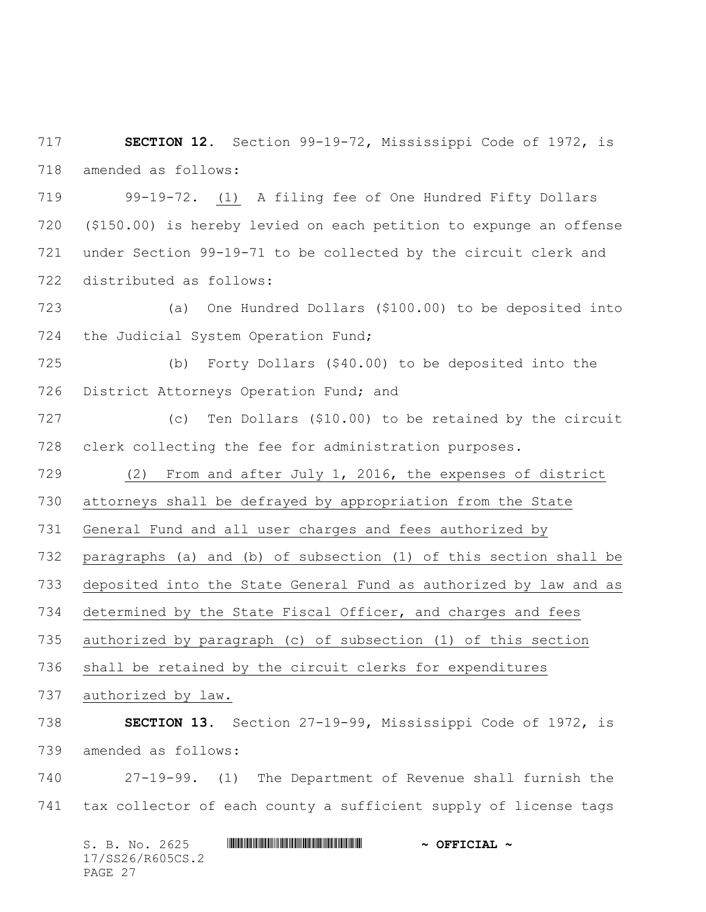**SECTION 12.** Section 99-19-72, Mississippi Code of 1972, is amended as follows:

 99-19-72. (1) A filing fee of One Hundred Fifty Dollars (\$150.00) is hereby levied on each petition to expunge an offense under Section 99-19-71 to be collected by the circuit clerk and distributed as follows:

 (a) One Hundred Dollars (\$100.00) to be deposited into the Judicial System Operation Fund;

 (b) Forty Dollars (\$40.00) to be deposited into the 726 District Attorneys Operation Fund; and

 (c) Ten Dollars (\$10.00) to be retained by the circuit clerk collecting the fee for administration purposes.

(2) From and after July 1, 2016, the expenses of district

attorneys shall be defrayed by appropriation from the State

General Fund and all user charges and fees authorized by

paragraphs (a) and (b) of subsection (1) of this section shall be

deposited into the State General Fund as authorized by law and as

determined by the State Fiscal Officer, and charges and fees

authorized by paragraph (c) of subsection (1) of this section

shall be retained by the circuit clerks for expenditures

authorized by law.

 **SECTION 13.** Section 27-19-99, Mississippi Code of 1972, is amended as follows:

 27-19-99. (1) The Department of Revenue shall furnish the tax collector of each county a sufficient supply of license tags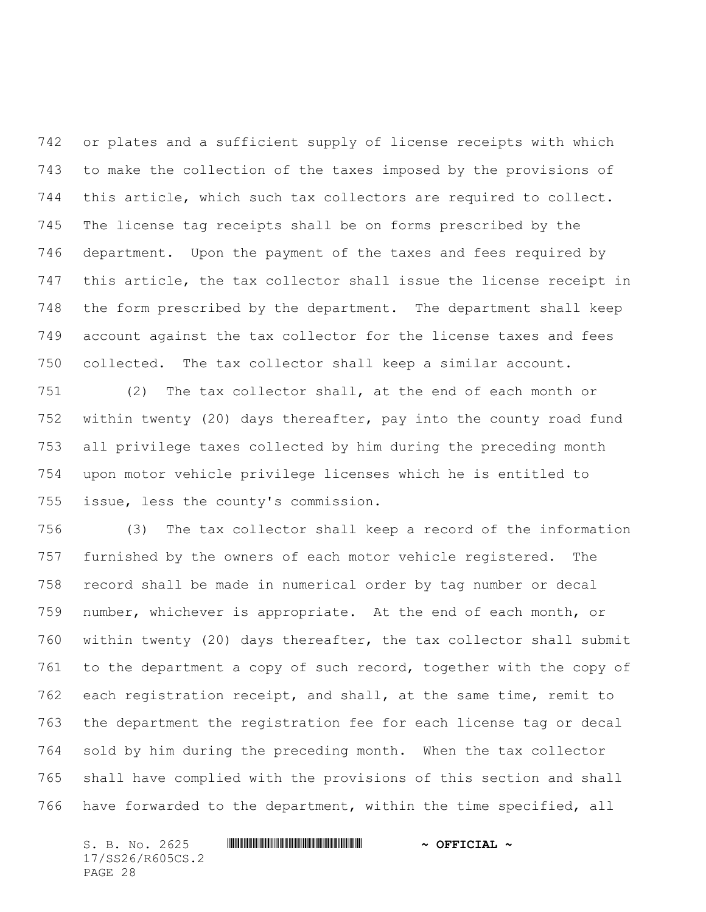or plates and a sufficient supply of license receipts with which to make the collection of the taxes imposed by the provisions of this article, which such tax collectors are required to collect. The license tag receipts shall be on forms prescribed by the department. Upon the payment of the taxes and fees required by this article, the tax collector shall issue the license receipt in the form prescribed by the department. The department shall keep account against the tax collector for the license taxes and fees collected. The tax collector shall keep a similar account.

 (2) The tax collector shall, at the end of each month or within twenty (20) days thereafter, pay into the county road fund all privilege taxes collected by him during the preceding month upon motor vehicle privilege licenses which he is entitled to issue, less the county's commission.

 (3) The tax collector shall keep a record of the information furnished by the owners of each motor vehicle registered. The record shall be made in numerical order by tag number or decal number, whichever is appropriate. At the end of each month, or within twenty (20) days thereafter, the tax collector shall submit to the department a copy of such record, together with the copy of each registration receipt, and shall, at the same time, remit to the department the registration fee for each license tag or decal sold by him during the preceding month. When the tax collector shall have complied with the provisions of this section and shall have forwarded to the department, within the time specified, all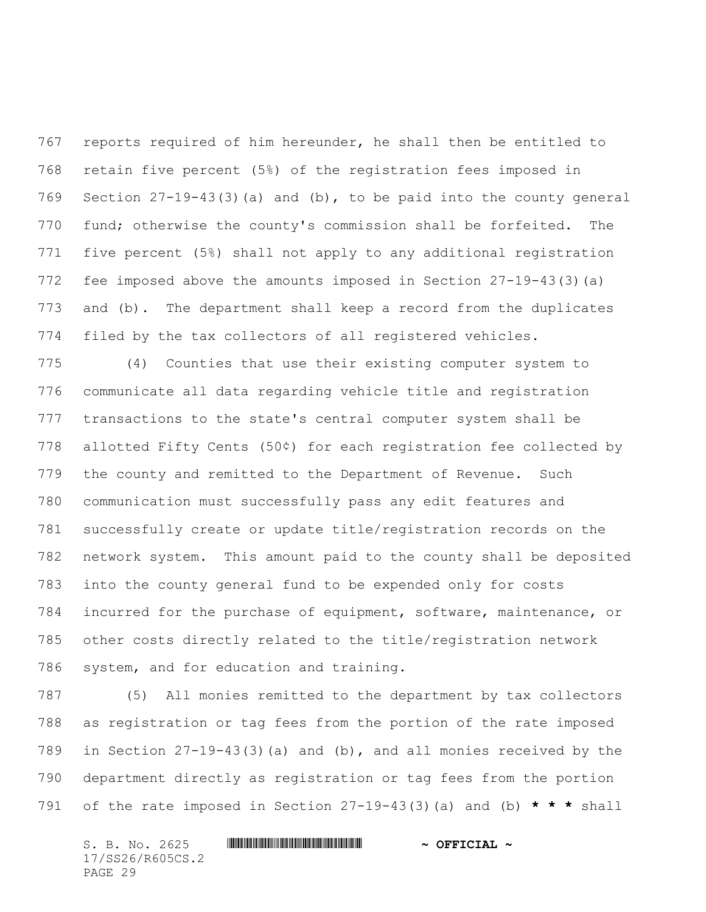reports required of him hereunder, he shall then be entitled to retain five percent (5%) of the registration fees imposed in Section 27-19-43(3)(a) and (b), to be paid into the county general fund; otherwise the county's commission shall be forfeited. The five percent (5%) shall not apply to any additional registration fee imposed above the amounts imposed in Section 27-19-43(3)(a) and (b). The department shall keep a record from the duplicates filed by the tax collectors of all registered vehicles.

 (4) Counties that use their existing computer system to communicate all data regarding vehicle title and registration transactions to the state's central computer system shall be allotted Fifty Cents (50¢) for each registration fee collected by the county and remitted to the Department of Revenue. Such communication must successfully pass any edit features and successfully create or update title/registration records on the network system. This amount paid to the county shall be deposited into the county general fund to be expended only for costs incurred for the purchase of equipment, software, maintenance, or other costs directly related to the title/registration network system, and for education and training.

 (5) All monies remitted to the department by tax collectors as registration or tag fees from the portion of the rate imposed in Section 27-19-43(3)(a) and (b), and all monies received by the department directly as registration or tag fees from the portion of the rate imposed in Section 27-19-43(3)(a) and (b) **\* \* \*** shall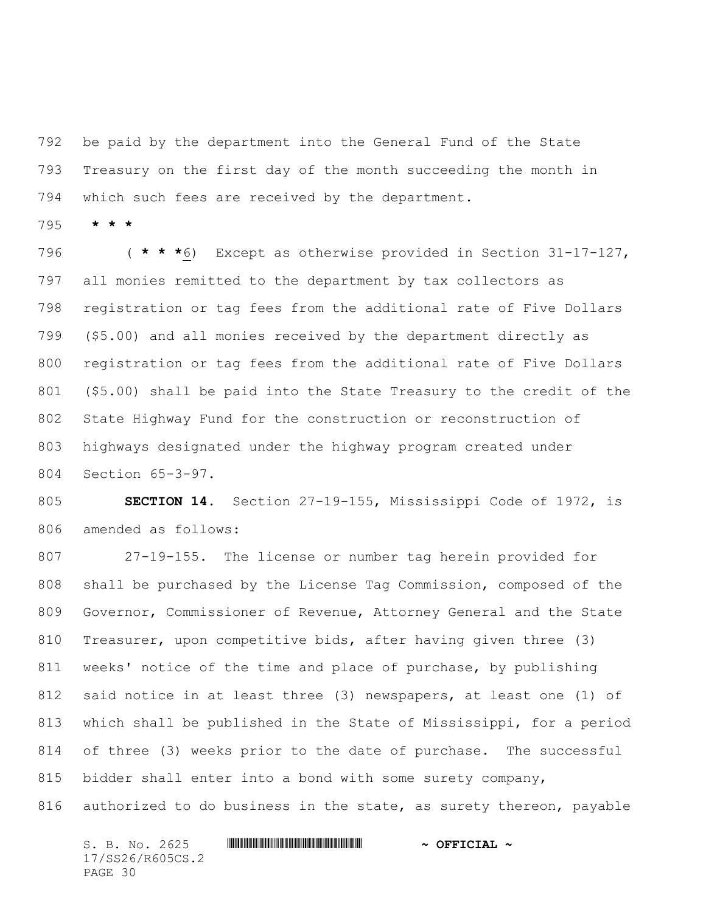be paid by the department into the General Fund of the State Treasury on the first day of the month succeeding the month in which such fees are received by the department.

**\* \* \***

 ( **\* \* \***6) Except as otherwise provided in Section 31-17-127, all monies remitted to the department by tax collectors as registration or tag fees from the additional rate of Five Dollars (\$5.00) and all monies received by the department directly as registration or tag fees from the additional rate of Five Dollars (\$5.00) shall be paid into the State Treasury to the credit of the State Highway Fund for the construction or reconstruction of highways designated under the highway program created under Section 65-3-97.

 **SECTION 14.** Section 27-19-155, Mississippi Code of 1972, is amended as follows:

 27-19-155. The license or number tag herein provided for shall be purchased by the License Tag Commission, composed of the Governor, Commissioner of Revenue, Attorney General and the State Treasurer, upon competitive bids, after having given three (3) weeks' notice of the time and place of purchase, by publishing said notice in at least three (3) newspapers, at least one (1) of which shall be published in the State of Mississippi, for a period of three (3) weeks prior to the date of purchase. The successful 815 bidder shall enter into a bond with some surety company, authorized to do business in the state, as surety thereon, payable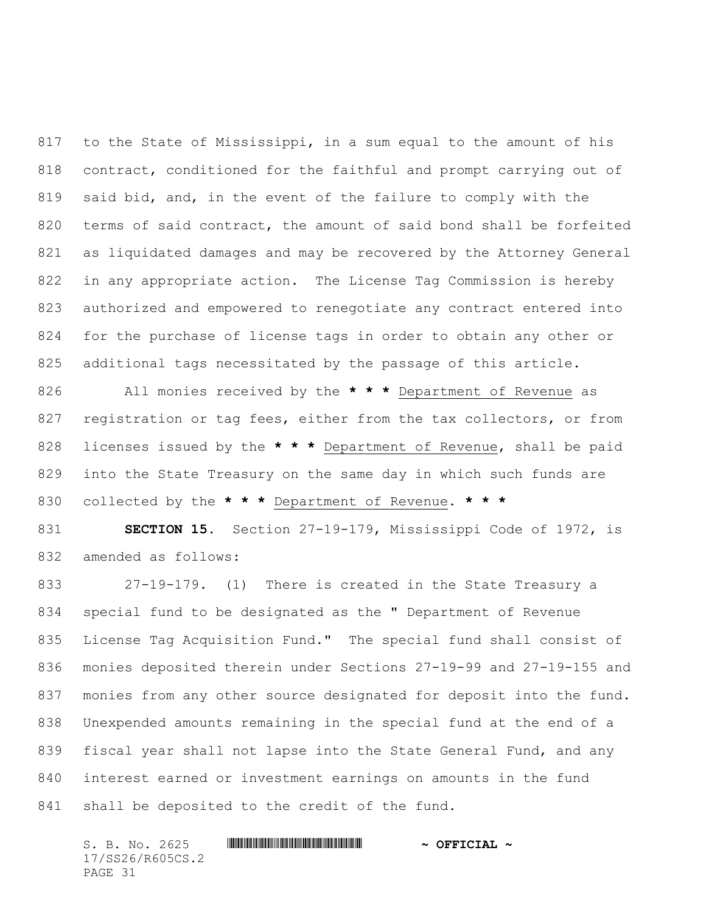to the State of Mississippi, in a sum equal to the amount of his contract, conditioned for the faithful and prompt carrying out of said bid, and, in the event of the failure to comply with the terms of said contract, the amount of said bond shall be forfeited as liquidated damages and may be recovered by the Attorney General in any appropriate action. The License Tag Commission is hereby authorized and empowered to renegotiate any contract entered into for the purchase of license tags in order to obtain any other or additional tags necessitated by the passage of this article.

 All monies received by the **\* \* \*** Department of Revenue as 827 registration or tag fees, either from the tax collectors, or from licenses issued by the **\* \* \*** Department of Revenue, shall be paid into the State Treasury on the same day in which such funds are collected by the **\* \* \*** Department of Revenue. **\* \* \***

 **SECTION 15.** Section 27-19-179, Mississippi Code of 1972, is amended as follows:

 27-19-179. (1) There is created in the State Treasury a special fund to be designated as the " Department of Revenue License Tag Acquisition Fund." The special fund shall consist of monies deposited therein under Sections 27-19-99 and 27-19-155 and monies from any other source designated for deposit into the fund. Unexpended amounts remaining in the special fund at the end of a 839 fiscal year shall not lapse into the State General Fund, and any interest earned or investment earnings on amounts in the fund 841 shall be deposited to the credit of the fund.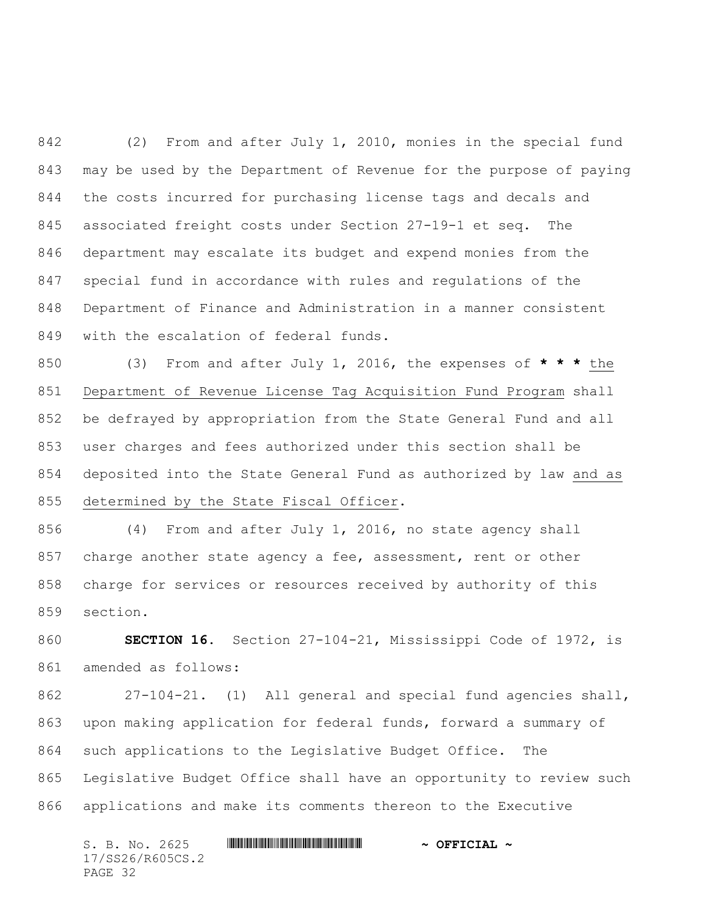(2) From and after July 1, 2010, monies in the special fund may be used by the Department of Revenue for the purpose of paying the costs incurred for purchasing license tags and decals and associated freight costs under Section 27-19-1 et seq. The department may escalate its budget and expend monies from the special fund in accordance with rules and regulations of the Department of Finance and Administration in a manner consistent with the escalation of federal funds.

 (3) From and after July 1, 2016, the expenses of **\* \* \*** the Department of Revenue License Tag Acquisition Fund Program shall be defrayed by appropriation from the State General Fund and all user charges and fees authorized under this section shall be deposited into the State General Fund as authorized by law and as determined by the State Fiscal Officer.

 (4) From and after July 1, 2016, no state agency shall 857 charge another state agency a fee, assessment, rent or other charge for services or resources received by authority of this section.

 **SECTION 16.** Section 27-104-21, Mississippi Code of 1972, is amended as follows:

 27-104-21. (1) All general and special fund agencies shall, upon making application for federal funds, forward a summary of such applications to the Legislative Budget Office. The Legislative Budget Office shall have an opportunity to review such applications and make its comments thereon to the Executive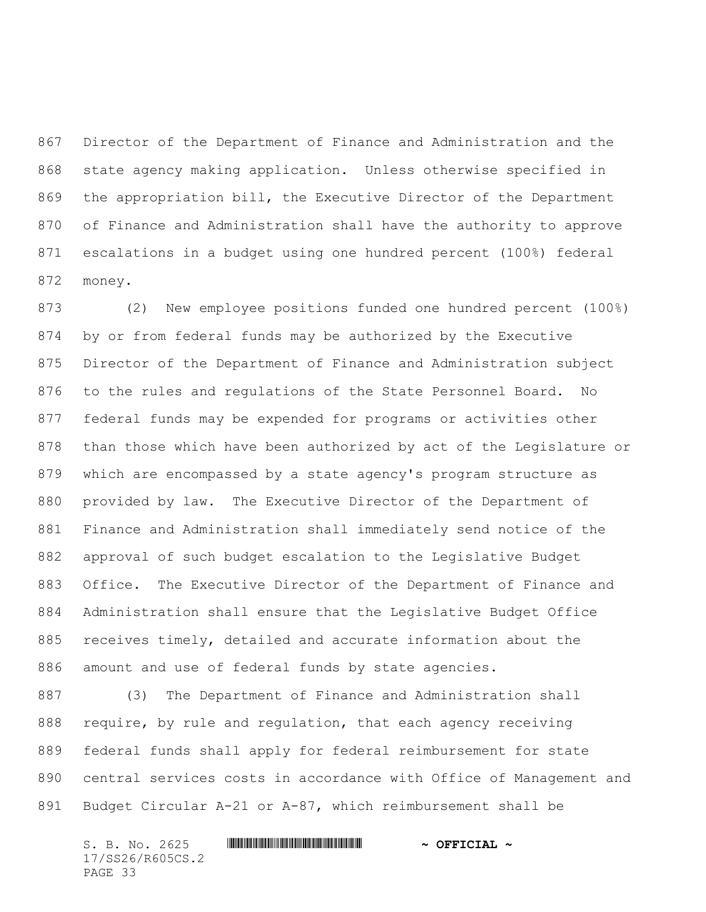Director of the Department of Finance and Administration and the state agency making application. Unless otherwise specified in the appropriation bill, the Executive Director of the Department of Finance and Administration shall have the authority to approve escalations in a budget using one hundred percent (100%) federal money.

 (2) New employee positions funded one hundred percent (100%) by or from federal funds may be authorized by the Executive Director of the Department of Finance and Administration subject to the rules and regulations of the State Personnel Board. No federal funds may be expended for programs or activities other than those which have been authorized by act of the Legislature or which are encompassed by a state agency's program structure as provided by law. The Executive Director of the Department of Finance and Administration shall immediately send notice of the approval of such budget escalation to the Legislative Budget Office. The Executive Director of the Department of Finance and Administration shall ensure that the Legislative Budget Office receives timely, detailed and accurate information about the amount and use of federal funds by state agencies.

 (3) The Department of Finance and Administration shall require, by rule and regulation, that each agency receiving federal funds shall apply for federal reimbursement for state central services costs in accordance with Office of Management and Budget Circular A-21 or A-87, which reimbursement shall be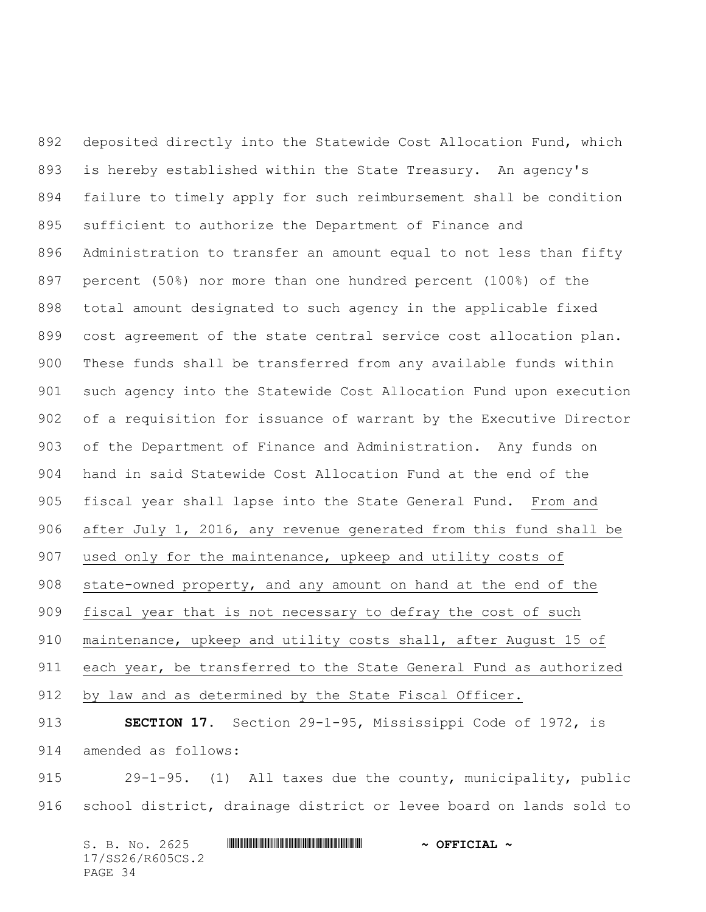deposited directly into the Statewide Cost Allocation Fund, which is hereby established within the State Treasury. An agency's failure to timely apply for such reimbursement shall be condition sufficient to authorize the Department of Finance and Administration to transfer an amount equal to not less than fifty percent (50%) nor more than one hundred percent (100%) of the total amount designated to such agency in the applicable fixed cost agreement of the state central service cost allocation plan. These funds shall be transferred from any available funds within such agency into the Statewide Cost Allocation Fund upon execution of a requisition for issuance of warrant by the Executive Director of the Department of Finance and Administration. Any funds on hand in said Statewide Cost Allocation Fund at the end of the fiscal year shall lapse into the State General Fund. From and after July 1, 2016, any revenue generated from this fund shall be used only for the maintenance, upkeep and utility costs of state-owned property, and any amount on hand at the end of the 909 fiscal year that is not necessary to defray the cost of such maintenance, upkeep and utility costs shall, after August 15 of 911 each year, be transferred to the State General Fund as authorized by law and as determined by the State Fiscal Officer. **SECTION 17.** Section 29-1-95, Mississippi Code of 1972, is amended as follows:

 29-1-95. (1) All taxes due the county, municipality, public school district, drainage district or levee board on lands sold to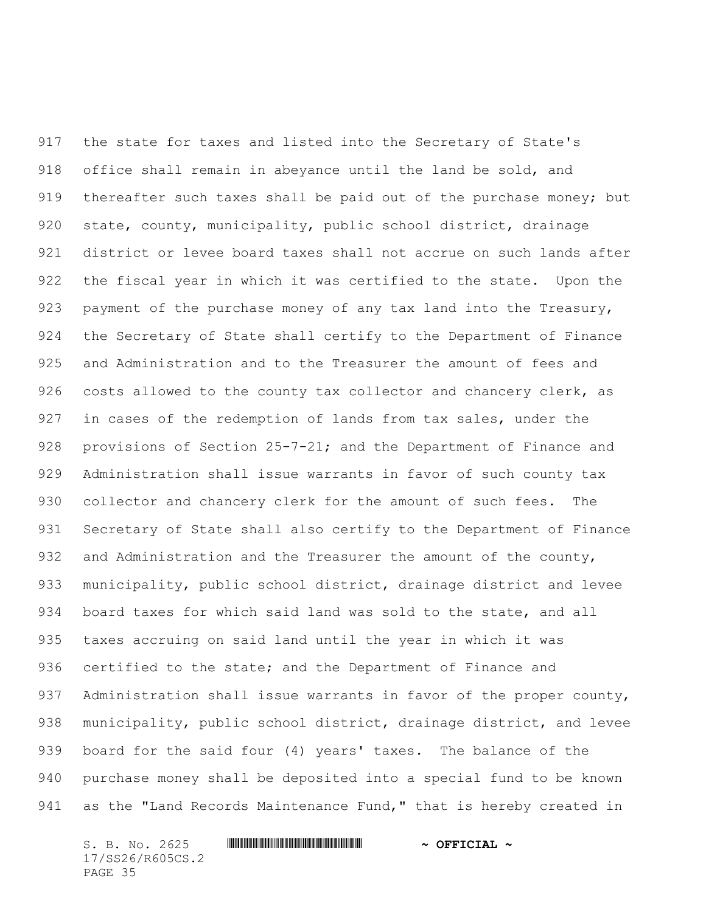the state for taxes and listed into the Secretary of State's office shall remain in abeyance until the land be sold, and thereafter such taxes shall be paid out of the purchase money; but state, county, municipality, public school district, drainage district or levee board taxes shall not accrue on such lands after the fiscal year in which it was certified to the state. Upon the 923 payment of the purchase money of any tax land into the Treasury, the Secretary of State shall certify to the Department of Finance and Administration and to the Treasurer the amount of fees and 926 costs allowed to the county tax collector and chancery clerk, as in cases of the redemption of lands from tax sales, under the 928 provisions of Section 25-7-21; and the Department of Finance and Administration shall issue warrants in favor of such county tax collector and chancery clerk for the amount of such fees. The Secretary of State shall also certify to the Department of Finance 932 and Administration and the Treasurer the amount of the county, municipality, public school district, drainage district and levee board taxes for which said land was sold to the state, and all taxes accruing on said land until the year in which it was 936 certified to the state; and the Department of Finance and Administration shall issue warrants in favor of the proper county, municipality, public school district, drainage district, and levee board for the said four (4) years' taxes. The balance of the purchase money shall be deposited into a special fund to be known 941 as the "Land Records Maintenance Fund," that is hereby created in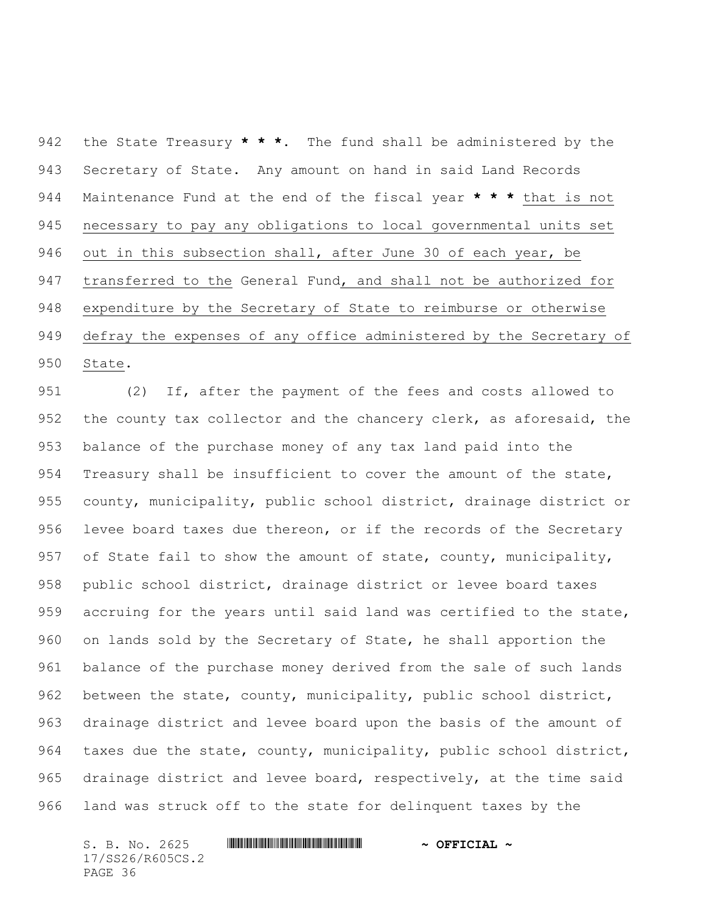the State Treasury **\* \* \***. The fund shall be administered by the Secretary of State. Any amount on hand in said Land Records Maintenance Fund at the end of the fiscal year **\* \* \*** that is not necessary to pay any obligations to local governmental units set out in this subsection shall, after June 30 of each year, be transferred to the General Fund, and shall not be authorized for expenditure by the Secretary of State to reimburse or otherwise defray the expenses of any office administered by the Secretary of State.

 (2) If, after the payment of the fees and costs allowed to the county tax collector and the chancery clerk, as aforesaid, the balance of the purchase money of any tax land paid into the Treasury shall be insufficient to cover the amount of the state, county, municipality, public school district, drainage district or 956 levee board taxes due thereon, or if the records of the Secretary 957 of State fail to show the amount of state, county, municipality, public school district, drainage district or levee board taxes accruing for the years until said land was certified to the state, on lands sold by the Secretary of State, he shall apportion the balance of the purchase money derived from the sale of such lands between the state, county, municipality, public school district, drainage district and levee board upon the basis of the amount of taxes due the state, county, municipality, public school district, 965 drainage district and levee board, respectively, at the time said land was struck off to the state for delinquent taxes by the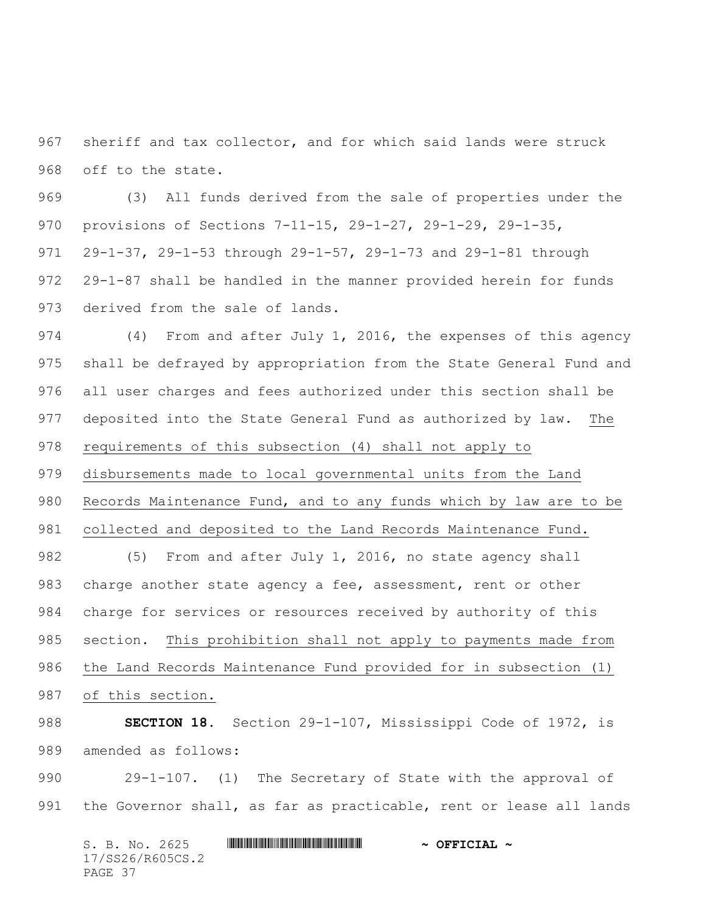sheriff and tax collector, and for which said lands were struck off to the state.

 (3) All funds derived from the sale of properties under the provisions of Sections 7-11-15, 29-1-27, 29-1-29, 29-1-35, 29-1-37, 29-1-53 through 29-1-57, 29-1-73 and 29-1-81 through 29-1-87 shall be handled in the manner provided herein for funds derived from the sale of lands.

 (4) From and after July 1, 2016, the expenses of this agency shall be defrayed by appropriation from the State General Fund and all user charges and fees authorized under this section shall be deposited into the State General Fund as authorized by law. The requirements of this subsection (4) shall not apply to disbursements made to local governmental units from the Land Records Maintenance Fund, and to any funds which by law are to be collected and deposited to the Land Records Maintenance Fund. 982 (5) From and after July 1, 2016, no state agency shall

 charge another state agency a fee, assessment, rent or other charge for services or resources received by authority of this section. This prohibition shall not apply to payments made from the Land Records Maintenance Fund provided for in subsection (1) of this section.

 **SECTION 18.** Section 29-1-107, Mississippi Code of 1972, is amended as follows:

 29-1-107. (1) The Secretary of State with the approval of the Governor shall, as far as practicable, rent or lease all lands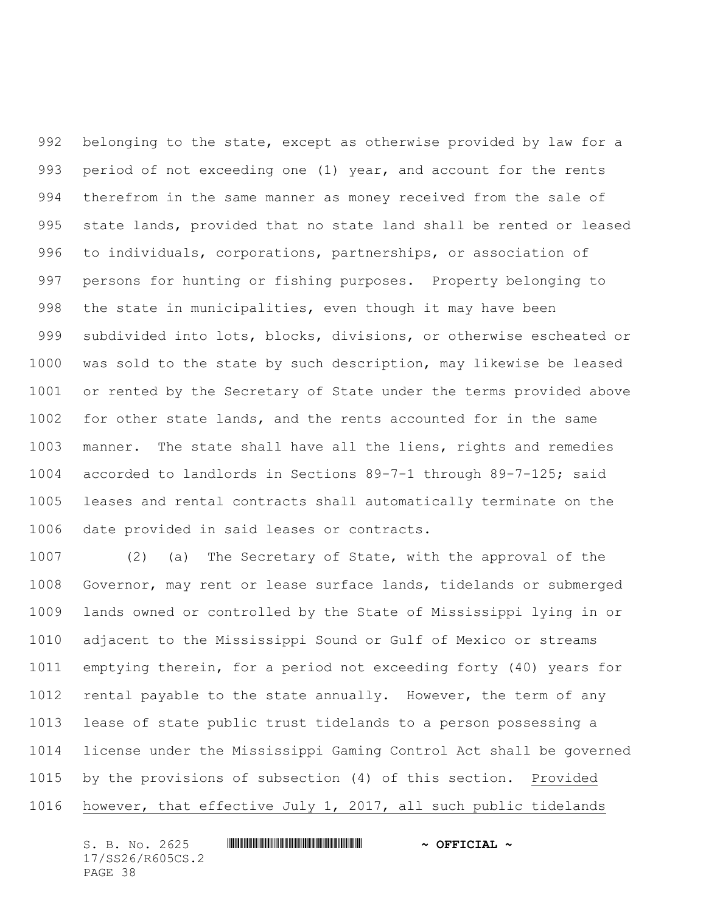belonging to the state, except as otherwise provided by law for a period of not exceeding one (1) year, and account for the rents therefrom in the same manner as money received from the sale of state lands, provided that no state land shall be rented or leased to individuals, corporations, partnerships, or association of persons for hunting or fishing purposes. Property belonging to the state in municipalities, even though it may have been subdivided into lots, blocks, divisions, or otherwise escheated or was sold to the state by such description, may likewise be leased or rented by the Secretary of State under the terms provided above for other state lands, and the rents accounted for in the same manner. The state shall have all the liens, rights and remedies accorded to landlords in Sections 89-7-1 through 89-7-125; said leases and rental contracts shall automatically terminate on the date provided in said leases or contracts.

 (2) (a) The Secretary of State, with the approval of the Governor, may rent or lease surface lands, tidelands or submerged lands owned or controlled by the State of Mississippi lying in or adjacent to the Mississippi Sound or Gulf of Mexico or streams emptying therein, for a period not exceeding forty (40) years for 1012 rental payable to the state annually. However, the term of any lease of state public trust tidelands to a person possessing a license under the Mississippi Gaming Control Act shall be governed by the provisions of subsection (4) of this section. Provided however, that effective July 1, 2017, all such public tidelands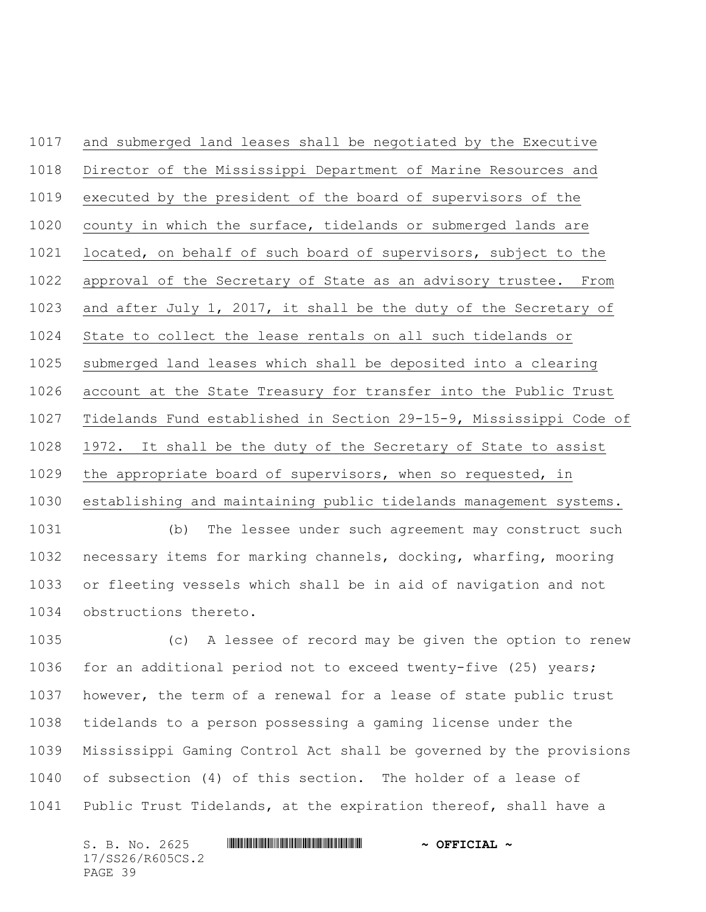and submerged land leases shall be negotiated by the Executive Director of the Mississippi Department of Marine Resources and executed by the president of the board of supervisors of the county in which the surface, tidelands or submerged lands are located, on behalf of such board of supervisors, subject to the approval of the Secretary of State as an advisory trustee. From and after July 1, 2017, it shall be the duty of the Secretary of State to collect the lease rentals on all such tidelands or submerged land leases which shall be deposited into a clearing account at the State Treasury for transfer into the Public Trust Tidelands Fund established in Section 29-15-9, Mississippi Code of 1972. It shall be the duty of the Secretary of State to assist the appropriate board of supervisors, when so requested, in establishing and maintaining public tidelands management systems. (b) The lessee under such agreement may construct such necessary items for marking channels, docking, wharfing, mooring

 or fleeting vessels which shall be in aid of navigation and not obstructions thereto.

 (c) A lessee of record may be given the option to renew for an additional period not to exceed twenty-five (25) years; however, the term of a renewal for a lease of state public trust tidelands to a person possessing a gaming license under the Mississippi Gaming Control Act shall be governed by the provisions of subsection (4) of this section. The holder of a lease of Public Trust Tidelands, at the expiration thereof, shall have a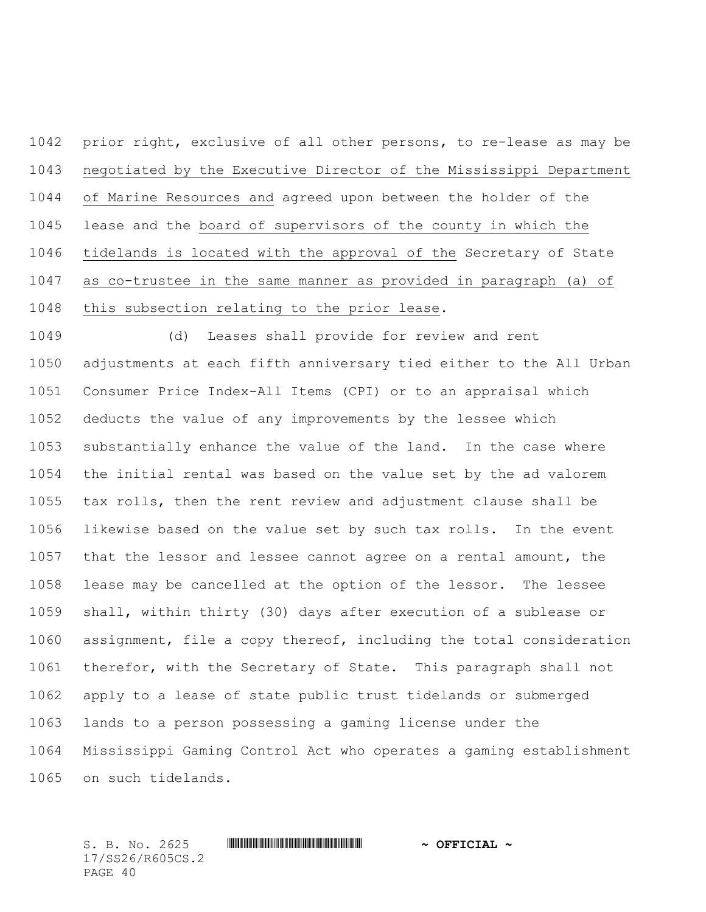prior right, exclusive of all other persons, to re-lease as may be negotiated by the Executive Director of the Mississippi Department of Marine Resources and agreed upon between the holder of the lease and the board of supervisors of the county in which the tidelands is located with the approval of the Secretary of State as co-trustee in the same manner as provided in paragraph (a) of this subsection relating to the prior lease.

 (d) Leases shall provide for review and rent adjustments at each fifth anniversary tied either to the All Urban Consumer Price Index-All Items (CPI) or to an appraisal which deducts the value of any improvements by the lessee which substantially enhance the value of the land. In the case where the initial rental was based on the value set by the ad valorem tax rolls, then the rent review and adjustment clause shall be likewise based on the value set by such tax rolls. In the event that the lessor and lessee cannot agree on a rental amount, the lease may be cancelled at the option of the lessor. The lessee shall, within thirty (30) days after execution of a sublease or assignment, file a copy thereof, including the total consideration therefor, with the Secretary of State. This paragraph shall not apply to a lease of state public trust tidelands or submerged lands to a person possessing a gaming license under the Mississippi Gaming Control Act who operates a gaming establishment on such tidelands.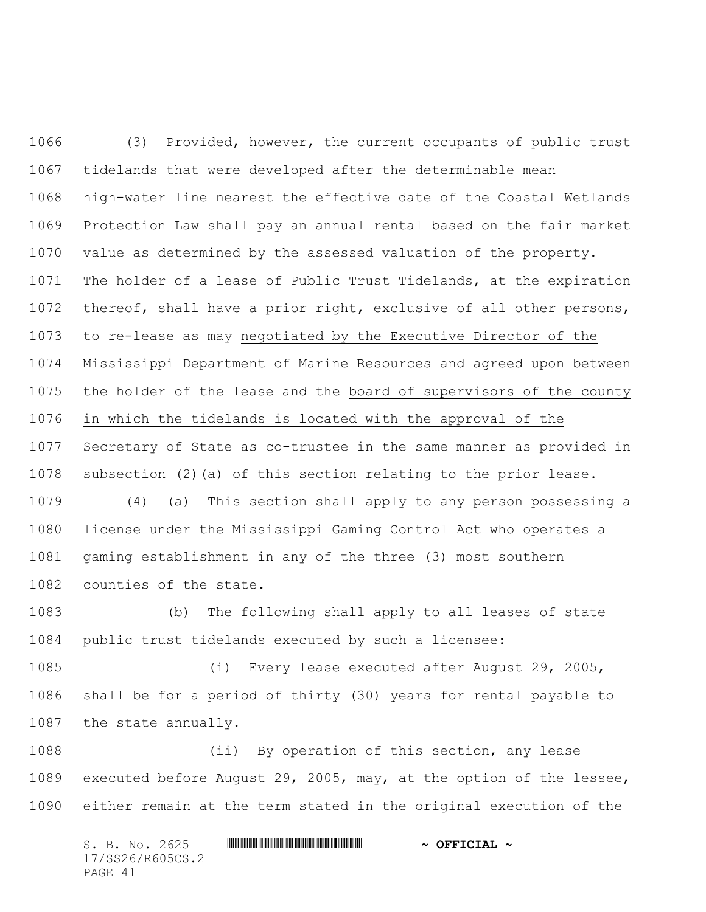(3) Provided, however, the current occupants of public trust tidelands that were developed after the determinable mean high-water line nearest the effective date of the Coastal Wetlands Protection Law shall pay an annual rental based on the fair market value as determined by the assessed valuation of the property. The holder of a lease of Public Trust Tidelands, at the expiration thereof, shall have a prior right, exclusive of all other persons, to re-lease as may negotiated by the Executive Director of the Mississippi Department of Marine Resources and agreed upon between the holder of the lease and the board of supervisors of the county in which the tidelands is located with the approval of the Secretary of State as co-trustee in the same manner as provided in subsection (2)(a) of this section relating to the prior lease. (4) (a) This section shall apply to any person possessing a license under the Mississippi Gaming Control Act who operates a gaming establishment in any of the three (3) most southern counties of the state.

 (b) The following shall apply to all leases of state public trust tidelands executed by such a licensee:

 (i) Every lease executed after August 29, 2005, shall be for a period of thirty (30) years for rental payable to the state annually.

 (ii) By operation of this section, any lease executed before August 29, 2005, may, at the option of the lessee, either remain at the term stated in the original execution of the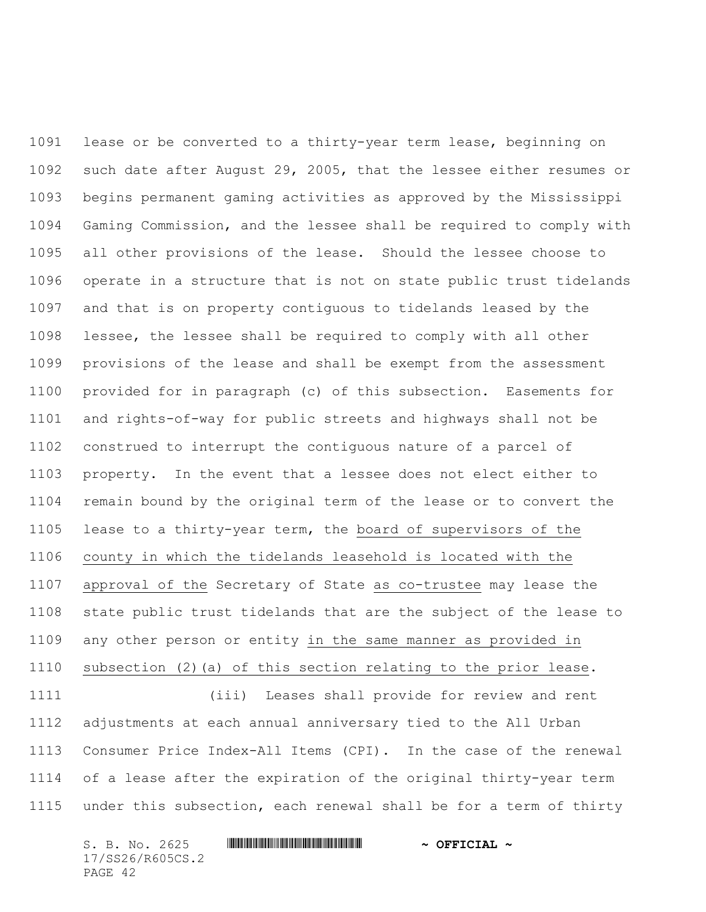lease or be converted to a thirty-year term lease, beginning on such date after August 29, 2005, that the lessee either resumes or begins permanent gaming activities as approved by the Mississippi Gaming Commission, and the lessee shall be required to comply with all other provisions of the lease. Should the lessee choose to operate in a structure that is not on state public trust tidelands and that is on property contiguous to tidelands leased by the lessee, the lessee shall be required to comply with all other provisions of the lease and shall be exempt from the assessment provided for in paragraph (c) of this subsection. Easements for and rights-of-way for public streets and highways shall not be construed to interrupt the contiguous nature of a parcel of property. In the event that a lessee does not elect either to remain bound by the original term of the lease or to convert the lease to a thirty-year term, the board of supervisors of the county in which the tidelands leasehold is located with the approval of the Secretary of State as co-trustee may lease the state public trust tidelands that are the subject of the lease to any other person or entity in the same manner as provided in subsection (2)(a) of this section relating to the prior lease. (iii) Leases shall provide for review and rent adjustments at each annual anniversary tied to the All Urban Consumer Price Index-All Items (CPI). In the case of the renewal

 of a lease after the expiration of the original thirty-year term under this subsection, each renewal shall be for a term of thirty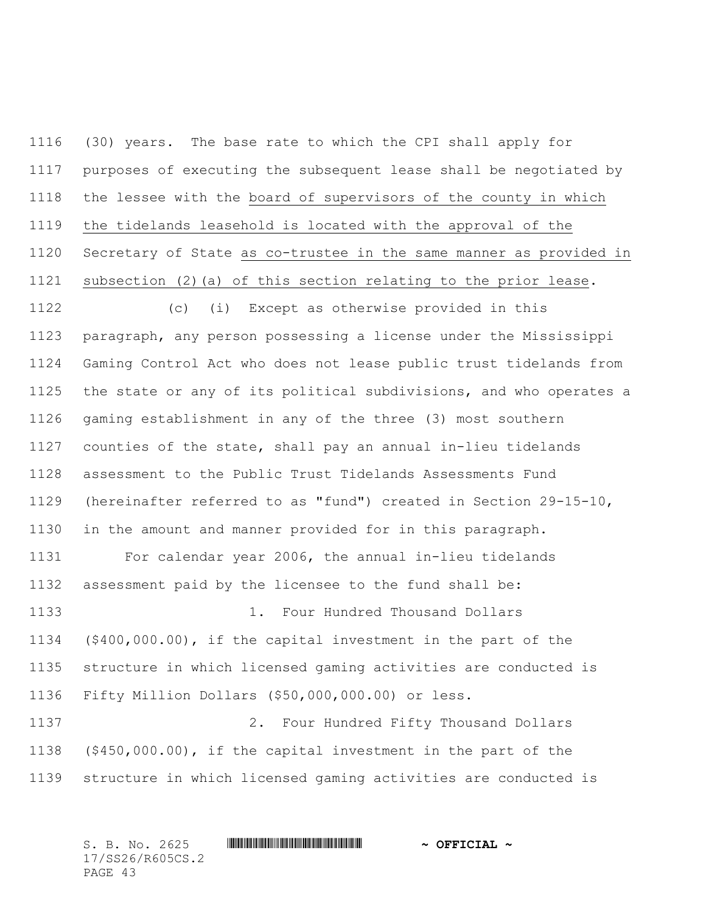(30) years. The base rate to which the CPI shall apply for purposes of executing the subsequent lease shall be negotiated by the lessee with the board of supervisors of the county in which the tidelands leasehold is located with the approval of the Secretary of State as co-trustee in the same manner as provided in subsection (2)(a) of this section relating to the prior lease.

 (c) (i) Except as otherwise provided in this paragraph, any person possessing a license under the Mississippi Gaming Control Act who does not lease public trust tidelands from the state or any of its political subdivisions, and who operates a gaming establishment in any of the three (3) most southern counties of the state, shall pay an annual in-lieu tidelands assessment to the Public Trust Tidelands Assessments Fund (hereinafter referred to as "fund") created in Section 29-15-10, in the amount and manner provided for in this paragraph.

 For calendar year 2006, the annual in-lieu tidelands assessment paid by the licensee to the fund shall be: 1. Four Hundred Thousand Dollars (\$400,000.00), if the capital investment in the part of the structure in which licensed gaming activities are conducted is Fifty Million Dollars (\$50,000,000.00) or less. 2. Four Hundred Fifty Thousand Dollars

 (\$450,000.00), if the capital investment in the part of the structure in which licensed gaming activities are conducted is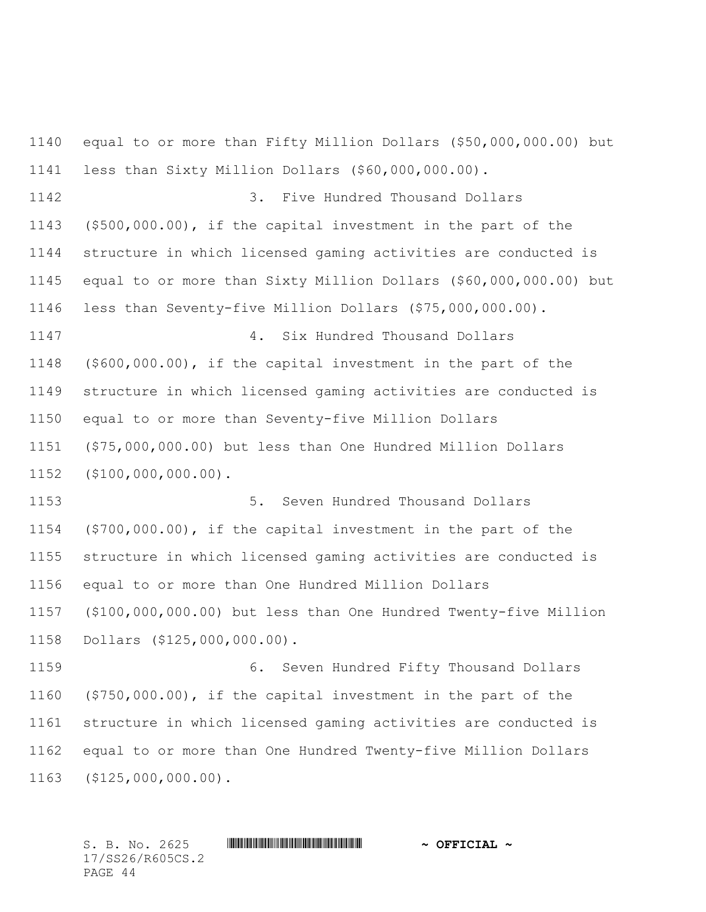equal to or more than Fifty Million Dollars (\$50,000,000.00) but less than Sixty Million Dollars (\$60,000,000.00). 3. Five Hundred Thousand Dollars (\$500,000.00), if the capital investment in the part of the structure in which licensed gaming activities are conducted is equal to or more than Sixty Million Dollars (\$60,000,000.00) but less than Seventy-five Million Dollars (\$75,000,000.00). 4. Six Hundred Thousand Dollars (\$600,000.00), if the capital investment in the part of the structure in which licensed gaming activities are conducted is equal to or more than Seventy-five Million Dollars (\$75,000,000.00) but less than One Hundred Million Dollars (\$100,000,000.00). 5. Seven Hundred Thousand Dollars (\$700,000.00), if the capital investment in the part of the structure in which licensed gaming activities are conducted is equal to or more than One Hundred Million Dollars (\$100,000,000.00) but less than One Hundred Twenty-five Million Dollars (\$125,000,000.00). 6. Seven Hundred Fifty Thousand Dollars (\$750,000.00), if the capital investment in the part of the structure in which licensed gaming activities are conducted is equal to or more than One Hundred Twenty-five Million Dollars (\$125,000,000.00).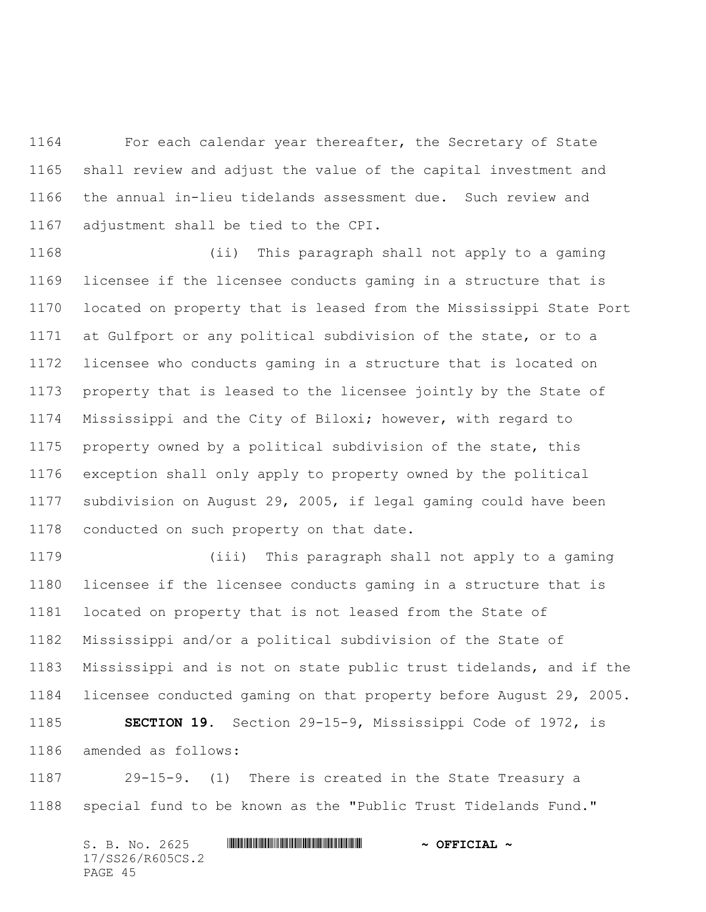For each calendar year thereafter, the Secretary of State shall review and adjust the value of the capital investment and the annual in-lieu tidelands assessment due. Such review and adjustment shall be tied to the CPI.

 (ii) This paragraph shall not apply to a gaming licensee if the licensee conducts gaming in a structure that is located on property that is leased from the Mississippi State Port at Gulfport or any political subdivision of the state, or to a licensee who conducts gaming in a structure that is located on property that is leased to the licensee jointly by the State of Mississippi and the City of Biloxi; however, with regard to property owned by a political subdivision of the state, this exception shall only apply to property owned by the political subdivision on August 29, 2005, if legal gaming could have been conducted on such property on that date.

 (iii) This paragraph shall not apply to a gaming licensee if the licensee conducts gaming in a structure that is located on property that is not leased from the State of Mississippi and/or a political subdivision of the State of Mississippi and is not on state public trust tidelands, and if the licensee conducted gaming on that property before August 29, 2005. **SECTION 19.** Section 29-15-9, Mississippi Code of 1972, is amended as follows:

 29-15-9. (1) There is created in the State Treasury a special fund to be known as the "Public Trust Tidelands Fund."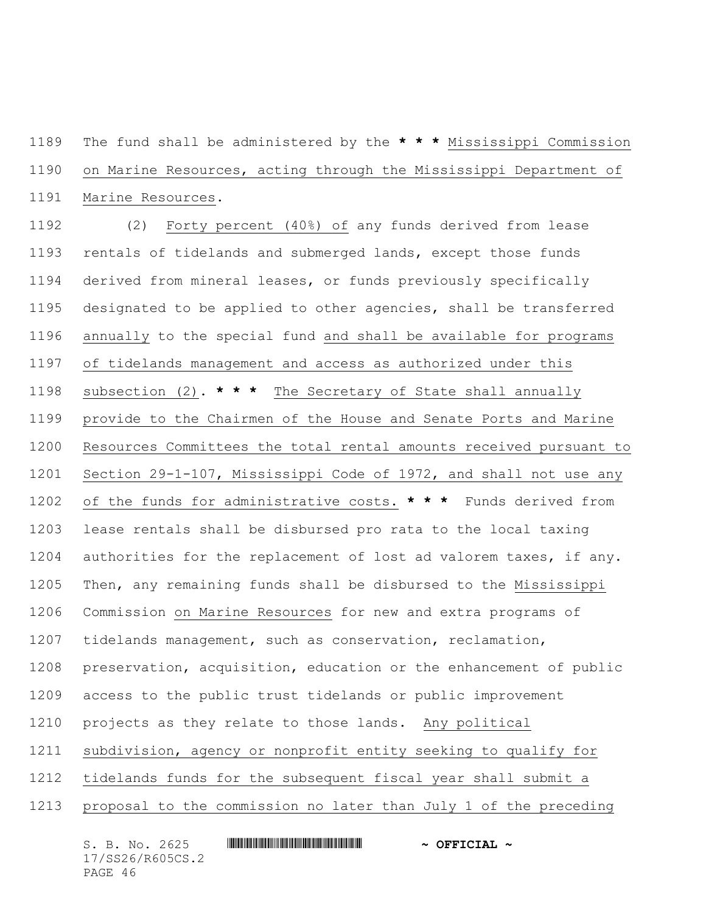The fund shall be administered by the **\* \* \*** Mississippi Commission on Marine Resources, acting through the Mississippi Department of Marine Resources.

 (2) Forty percent (40%) of any funds derived from lease rentals of tidelands and submerged lands, except those funds derived from mineral leases, or funds previously specifically designated to be applied to other agencies, shall be transferred annually to the special fund and shall be available for programs of tidelands management and access as authorized under this subsection (2). **\* \* \*** The Secretary of State shall annually provide to the Chairmen of the House and Senate Ports and Marine Resources Committees the total rental amounts received pursuant to Section 29-1-107, Mississippi Code of 1972, and shall not use any of the funds for administrative costs. **\* \* \*** Funds derived from lease rentals shall be disbursed pro rata to the local taxing authorities for the replacement of lost ad valorem taxes, if any. Then, any remaining funds shall be disbursed to the Mississippi Commission on Marine Resources for new and extra programs of tidelands management, such as conservation, reclamation, preservation, acquisition, education or the enhancement of public access to the public trust tidelands or public improvement projects as they relate to those lands. Any political subdivision, agency or nonprofit entity seeking to qualify for tidelands funds for the subsequent fiscal year shall submit a proposal to the commission no later than July 1 of the preceding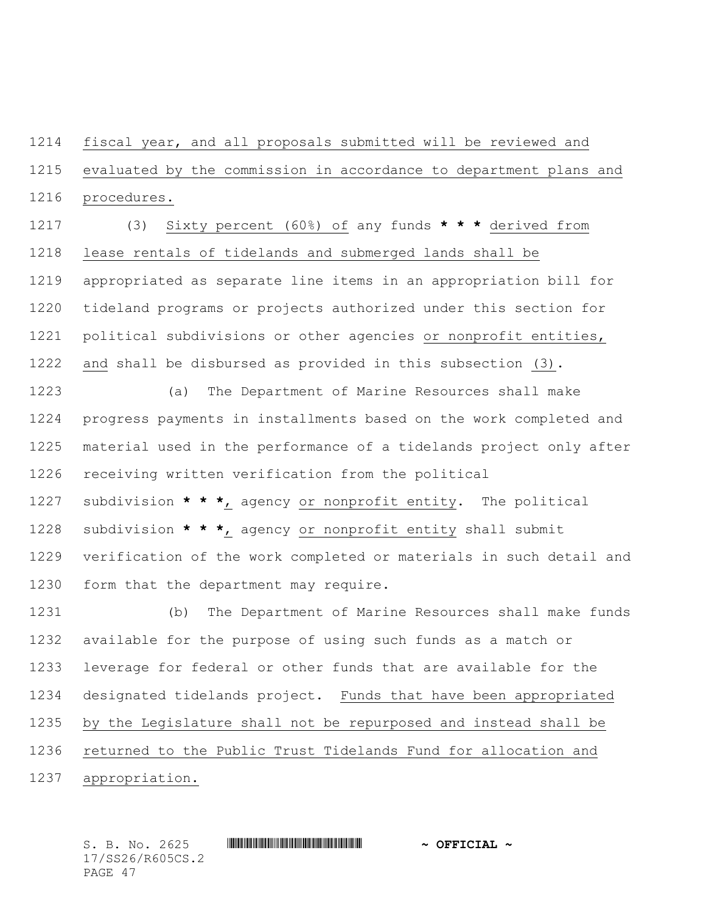fiscal year, and all proposals submitted will be reviewed and evaluated by the commission in accordance to department plans and procedures.

 (3) Sixty percent (60%) of any funds **\* \* \*** derived from lease rentals of tidelands and submerged lands shall be appropriated as separate line items in an appropriation bill for tideland programs or projects authorized under this section for political subdivisions or other agencies or nonprofit entities, and shall be disbursed as provided in this subsection (3).

 (a) The Department of Marine Resources shall make progress payments in installments based on the work completed and material used in the performance of a tidelands project only after receiving written verification from the political subdivision **\* \* \***, agency or nonprofit entity. The political subdivision **\* \* \***, agency or nonprofit entity shall submit verification of the work completed or materials in such detail and form that the department may require.

 (b) The Department of Marine Resources shall make funds available for the purpose of using such funds as a match or leverage for federal or other funds that are available for the designated tidelands project. Funds that have been appropriated by the Legislature shall not be repurposed and instead shall be returned to the Public Trust Tidelands Fund for allocation and appropriation.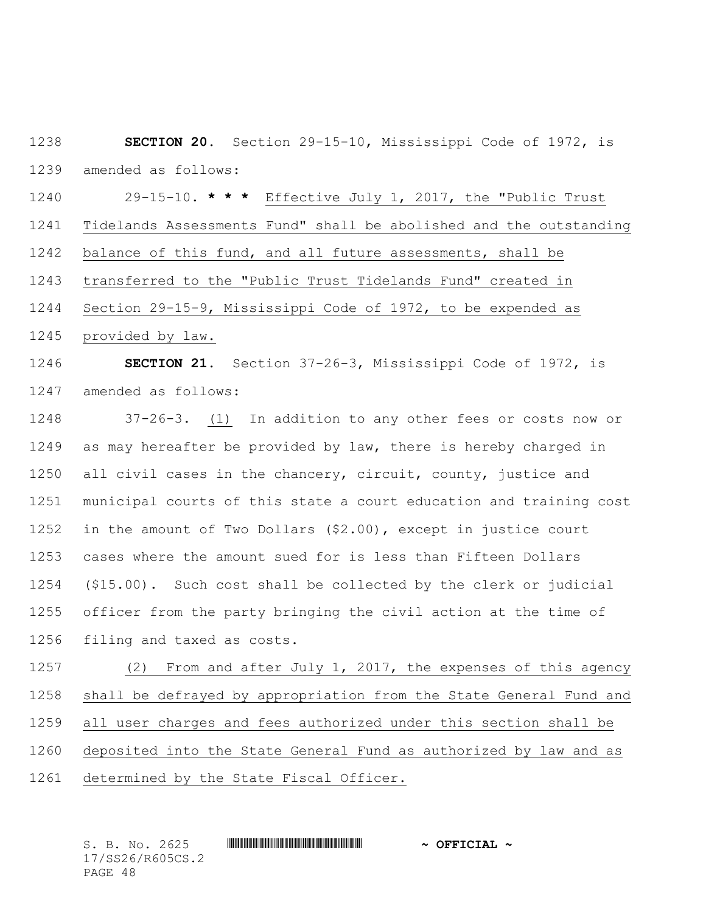**SECTION 20.** Section 29-15-10, Mississippi Code of 1972, is amended as follows:

 29-15-10. **\* \* \*** Effective July 1, 2017, the "Public Trust Tidelands Assessments Fund" shall be abolished and the outstanding balance of this fund, and all future assessments, shall be transferred to the "Public Trust Tidelands Fund" created in Section 29-15-9, Mississippi Code of 1972, to be expended as provided by law. **SECTION 21.** Section 37-26-3, Mississippi Code of 1972, is

amended as follows:

 37-26-3. (1) In addition to any other fees or costs now or 1249 as may hereafter be provided by law, there is hereby charged in all civil cases in the chancery, circuit, county, justice and municipal courts of this state a court education and training cost in the amount of Two Dollars (\$2.00), except in justice court cases where the amount sued for is less than Fifteen Dollars (\$15.00). Such cost shall be collected by the clerk or judicial officer from the party bringing the civil action at the time of filing and taxed as costs.

 (2) From and after July 1, 2017, the expenses of this agency shall be defrayed by appropriation from the State General Fund and all user charges and fees authorized under this section shall be deposited into the State General Fund as authorized by law and as determined by the State Fiscal Officer.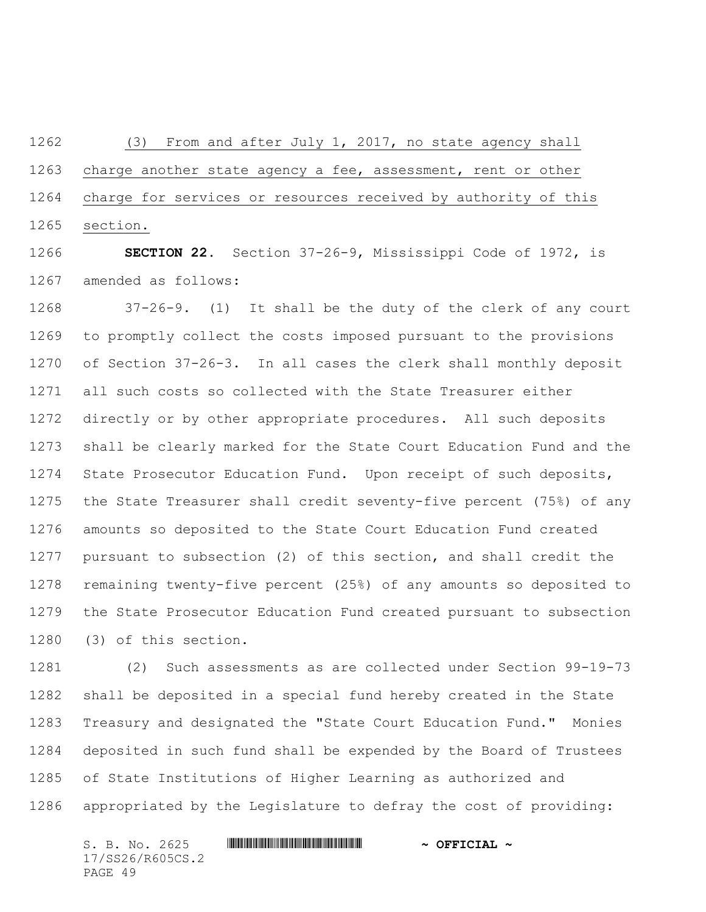(3) From and after July 1, 2017, no state agency shall charge another state agency a fee, assessment, rent or other charge for services or resources received by authority of this section.

 **SECTION 22.** Section 37-26-9, Mississippi Code of 1972, is amended as follows:

 37-26-9. (1) It shall be the duty of the clerk of any court to promptly collect the costs imposed pursuant to the provisions of Section 37-26-3. In all cases the clerk shall monthly deposit all such costs so collected with the State Treasurer either directly or by other appropriate procedures. All such deposits shall be clearly marked for the State Court Education Fund and the State Prosecutor Education Fund. Upon receipt of such deposits, the State Treasurer shall credit seventy-five percent (75%) of any amounts so deposited to the State Court Education Fund created pursuant to subsection (2) of this section, and shall credit the remaining twenty-five percent (25%) of any amounts so deposited to the State Prosecutor Education Fund created pursuant to subsection (3) of this section.

 (2) Such assessments as are collected under Section 99-19-73 shall be deposited in a special fund hereby created in the State Treasury and designated the "State Court Education Fund." Monies deposited in such fund shall be expended by the Board of Trustees of State Institutions of Higher Learning as authorized and appropriated by the Legislature to defray the cost of providing: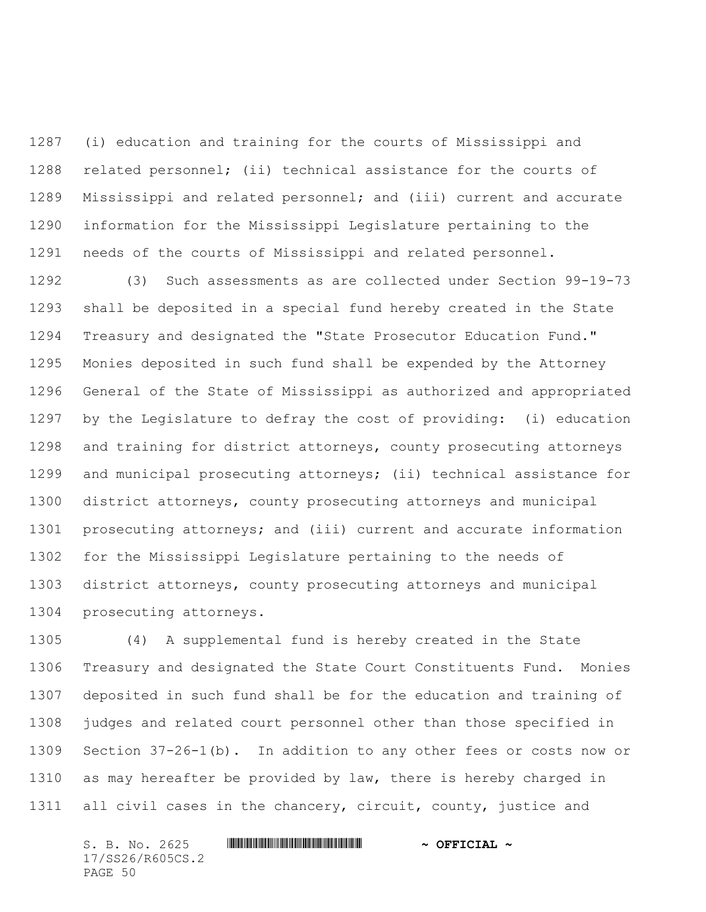(i) education and training for the courts of Mississippi and related personnel; (ii) technical assistance for the courts of Mississippi and related personnel; and (iii) current and accurate information for the Mississippi Legislature pertaining to the needs of the courts of Mississippi and related personnel.

 (3) Such assessments as are collected under Section 99-19-73 shall be deposited in a special fund hereby created in the State Treasury and designated the "State Prosecutor Education Fund." Monies deposited in such fund shall be expended by the Attorney General of the State of Mississippi as authorized and appropriated by the Legislature to defray the cost of providing: (i) education and training for district attorneys, county prosecuting attorneys and municipal prosecuting attorneys; (ii) technical assistance for district attorneys, county prosecuting attorneys and municipal prosecuting attorneys; and (iii) current and accurate information for the Mississippi Legislature pertaining to the needs of district attorneys, county prosecuting attorneys and municipal prosecuting attorneys.

 (4) A supplemental fund is hereby created in the State Treasury and designated the State Court Constituents Fund. Monies deposited in such fund shall be for the education and training of judges and related court personnel other than those specified in Section 37-26-1(b). In addition to any other fees or costs now or as may hereafter be provided by law, there is hereby charged in all civil cases in the chancery, circuit, county, justice and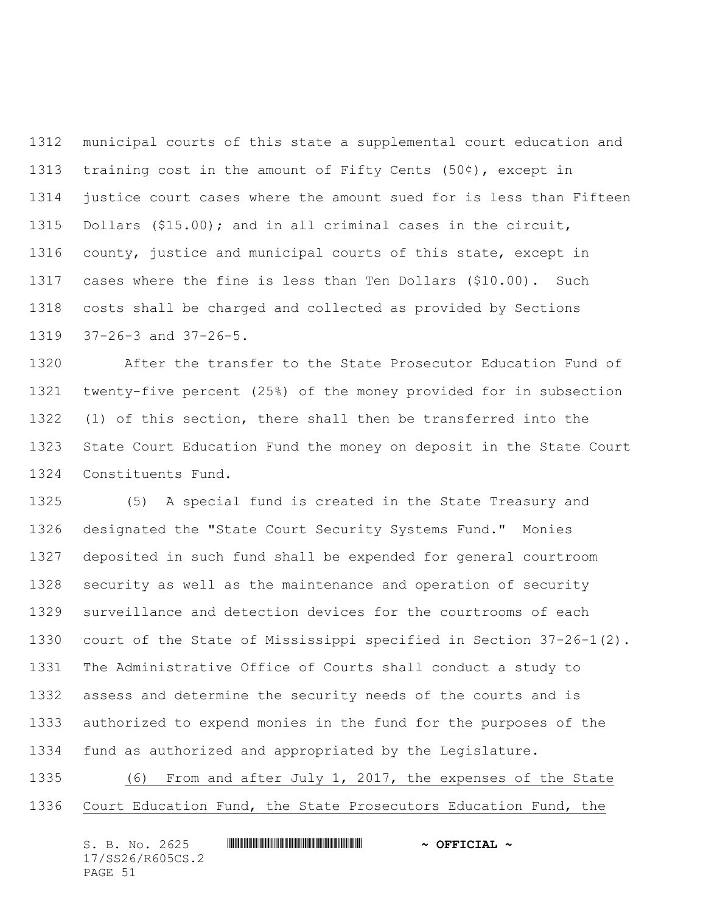municipal courts of this state a supplemental court education and training cost in the amount of Fifty Cents (50¢), except in justice court cases where the amount sued for is less than Fifteen Dollars (\$15.00); and in all criminal cases in the circuit, county, justice and municipal courts of this state, except in cases where the fine is less than Ten Dollars (\$10.00). Such costs shall be charged and collected as provided by Sections 37-26-3 and 37-26-5.

 After the transfer to the State Prosecutor Education Fund of twenty-five percent (25%) of the money provided for in subsection (1) of this section, there shall then be transferred into the State Court Education Fund the money on deposit in the State Court Constituents Fund.

 (5) A special fund is created in the State Treasury and designated the "State Court Security Systems Fund." Monies deposited in such fund shall be expended for general courtroom security as well as the maintenance and operation of security surveillance and detection devices for the courtrooms of each court of the State of Mississippi specified in Section 37-26-1(2). The Administrative Office of Courts shall conduct a study to assess and determine the security needs of the courts and is authorized to expend monies in the fund for the purposes of the fund as authorized and appropriated by the Legislature.

 (6) From and after July 1, 2017, the expenses of the State Court Education Fund, the State Prosecutors Education Fund, the

| S. B. No. 2625   | $\sim$ OFFICIAL $\sim$ |
|------------------|------------------------|
| 17/SS26/R605CS.2 |                        |
| PAGE 51          |                        |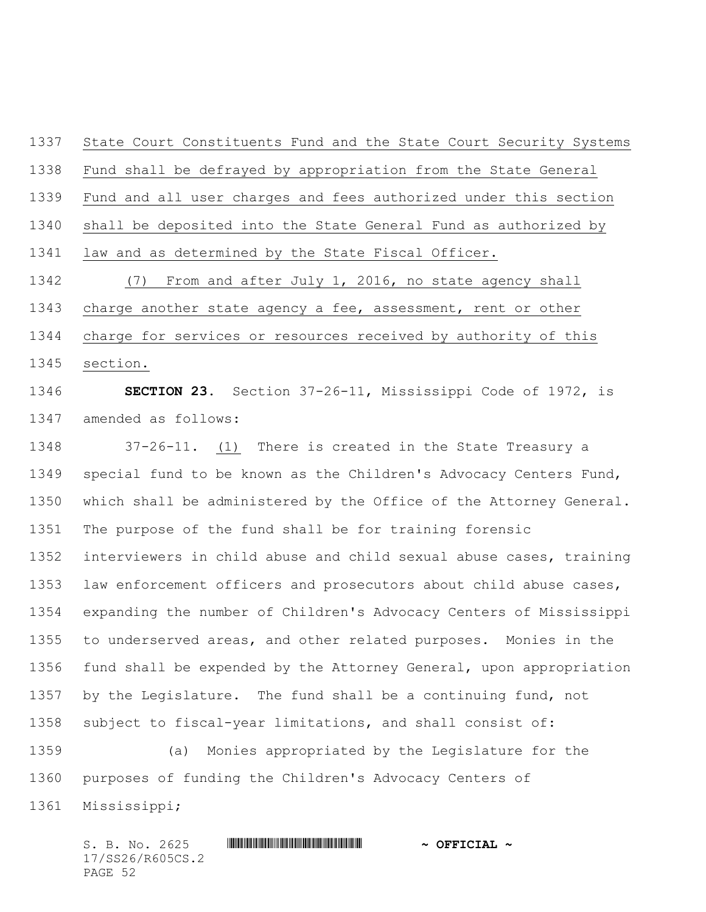State Court Constituents Fund and the State Court Security Systems Fund shall be defrayed by appropriation from the State General Fund and all user charges and fees authorized under this section shall be deposited into the State General Fund as authorized by law and as determined by the State Fiscal Officer. (7) From and after July 1, 2016, no state agency shall charge another state agency a fee, assessment, rent or other charge for services or resources received by authority of this section. **SECTION 23.** Section 37-26-11, Mississippi Code of 1972, is amended as follows: 37-26-11. (1) There is created in the State Treasury a special fund to be known as the Children's Advocacy Centers Fund, which shall be administered by the Office of the Attorney General. The purpose of the fund shall be for training forensic interviewers in child abuse and child sexual abuse cases, training law enforcement officers and prosecutors about child abuse cases, expanding the number of Children's Advocacy Centers of Mississippi

 to underserved areas, and other related purposes. Monies in the fund shall be expended by the Attorney General, upon appropriation by the Legislature. The fund shall be a continuing fund, not subject to fiscal-year limitations, and shall consist of:

 (a) Monies appropriated by the Legislature for the purposes of funding the Children's Advocacy Centers of Mississippi;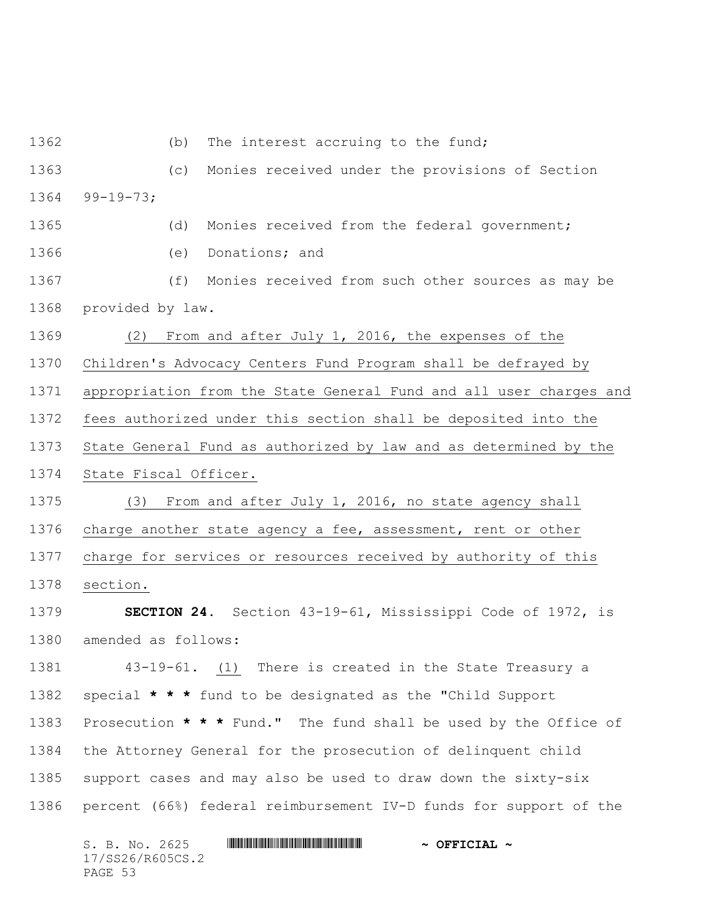1362 (b) The interest accruing to the fund;

 (c) Monies received under the provisions of Section 99-19-73;

(d) Monies received from the federal government;

(e) Donations; and

 (f) Monies received from such other sources as may be provided by law.

(2) From and after July 1, 2016, the expenses of the

Children's Advocacy Centers Fund Program shall be defrayed by

appropriation from the State General Fund and all user charges and

fees authorized under this section shall be deposited into the

State General Fund as authorized by law and as determined by the

State Fiscal Officer.

 (3) From and after July 1, 2016, no state agency shall charge another state agency a fee, assessment, rent or other charge for services or resources received by authority of this section.

 **SECTION 24.** Section 43-19-61, Mississippi Code of 1972, is amended as follows:

 43-19-61. (1) There is created in the State Treasury a special **\* \* \*** fund to be designated as the "Child Support Prosecution **\* \* \*** Fund." The fund shall be used by the Office of the Attorney General for the prosecution of delinquent child support cases and may also be used to draw down the sixty-six percent (66%) federal reimbursement IV-D funds for support of the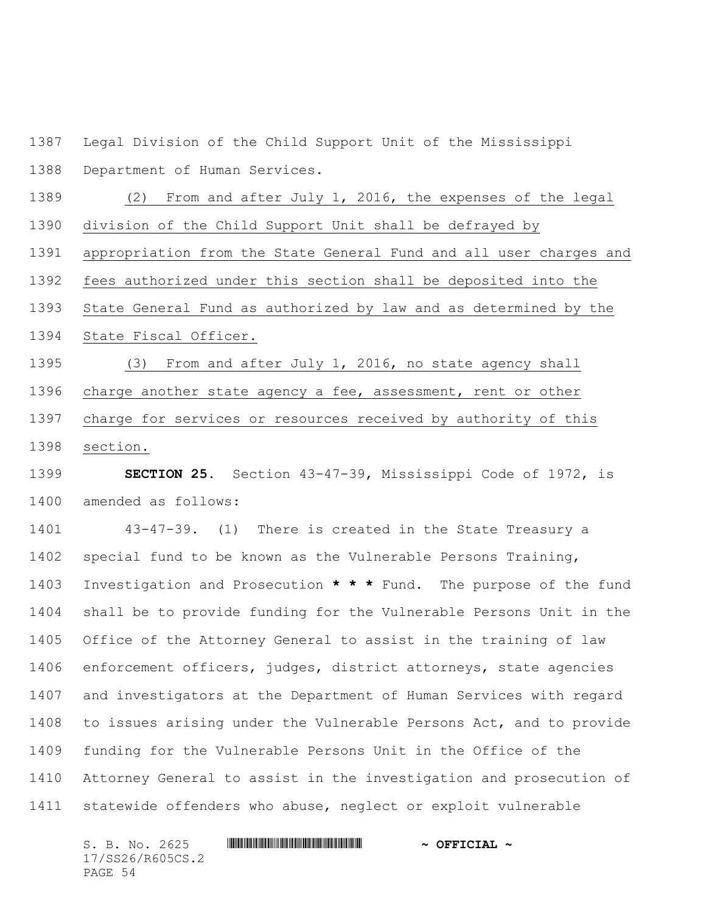Legal Division of the Child Support Unit of the Mississippi

Department of Human Services.

 (2) From and after July 1, 2016, the expenses of the legal division of the Child Support Unit shall be defrayed by

appropriation from the State General Fund and all user charges and

fees authorized under this section shall be deposited into the

State General Fund as authorized by law and as determined by the

State Fiscal Officer.

 (3) From and after July 1, 2016, no state agency shall charge another state agency a fee, assessment, rent or other charge for services or resources received by authority of this section.

 **SECTION 25.** Section 43-47-39, Mississippi Code of 1972, is amended as follows:

 43-47-39. (1) There is created in the State Treasury a special fund to be known as the Vulnerable Persons Training, Investigation and Prosecution **\* \* \*** Fund. The purpose of the fund shall be to provide funding for the Vulnerable Persons Unit in the Office of the Attorney General to assist in the training of law enforcement officers, judges, district attorneys, state agencies and investigators at the Department of Human Services with regard to issues arising under the Vulnerable Persons Act, and to provide funding for the Vulnerable Persons Unit in the Office of the Attorney General to assist in the investigation and prosecution of statewide offenders who abuse, neglect or exploit vulnerable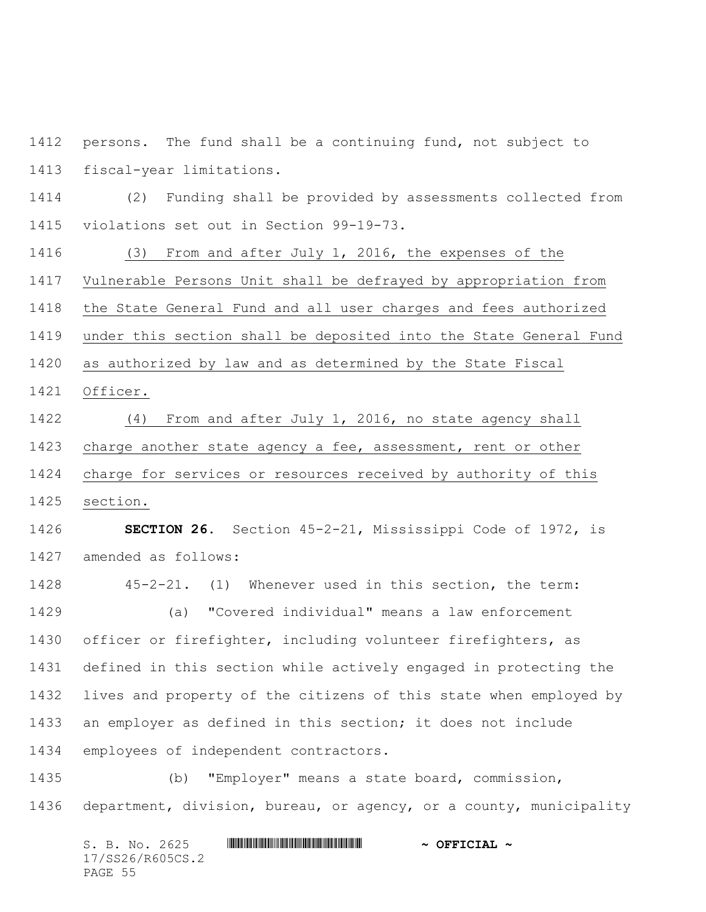persons. The fund shall be a continuing fund, not subject to fiscal-year limitations.

 (2) Funding shall be provided by assessments collected from violations set out in Section 99-19-73.

 (3) From and after July 1, 2016, the expenses of the Vulnerable Persons Unit shall be defrayed by appropriation from the State General Fund and all user charges and fees authorized under this section shall be deposited into the State General Fund as authorized by law and as determined by the State Fiscal Officer.

 (4) From and after July 1, 2016, no state agency shall charge another state agency a fee, assessment, rent or other charge for services or resources received by authority of this section.

 **SECTION 26.** Section 45-2-21, Mississippi Code of 1972, is amended as follows:

 45-2-21. (1) Whenever used in this section, the term: (a) "Covered individual" means a law enforcement officer or firefighter, including volunteer firefighters, as defined in this section while actively engaged in protecting the lives and property of the citizens of this state when employed by an employer as defined in this section; it does not include employees of independent contractors.

 (b) "Employer" means a state board, commission, department, division, bureau, or agency, or a county, municipality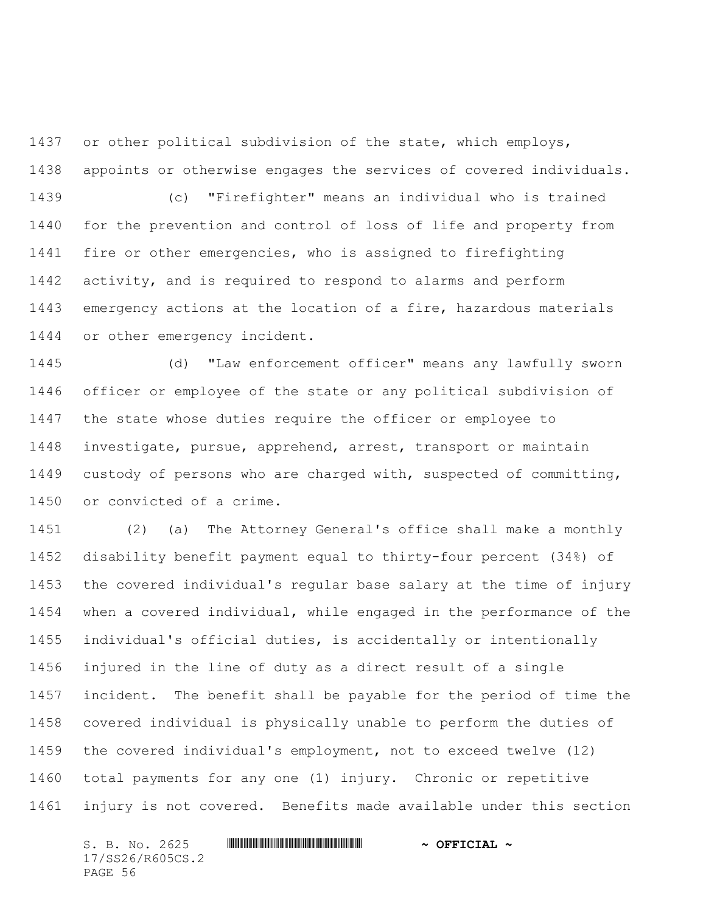or other political subdivision of the state, which employs, appoints or otherwise engages the services of covered individuals.

 (c) "Firefighter" means an individual who is trained for the prevention and control of loss of life and property from fire or other emergencies, who is assigned to firefighting activity, and is required to respond to alarms and perform emergency actions at the location of a fire, hazardous materials or other emergency incident.

 (d) "Law enforcement officer" means any lawfully sworn officer or employee of the state or any political subdivision of the state whose duties require the officer or employee to investigate, pursue, apprehend, arrest, transport or maintain custody of persons who are charged with, suspected of committing, or convicted of a crime.

 (2) (a) The Attorney General's office shall make a monthly disability benefit payment equal to thirty-four percent (34%) of the covered individual's regular base salary at the time of injury when a covered individual, while engaged in the performance of the individual's official duties, is accidentally or intentionally injured in the line of duty as a direct result of a single incident. The benefit shall be payable for the period of time the covered individual is physically unable to perform the duties of the covered individual's employment, not to exceed twelve (12) total payments for any one (1) injury. Chronic or repetitive injury is not covered. Benefits made available under this section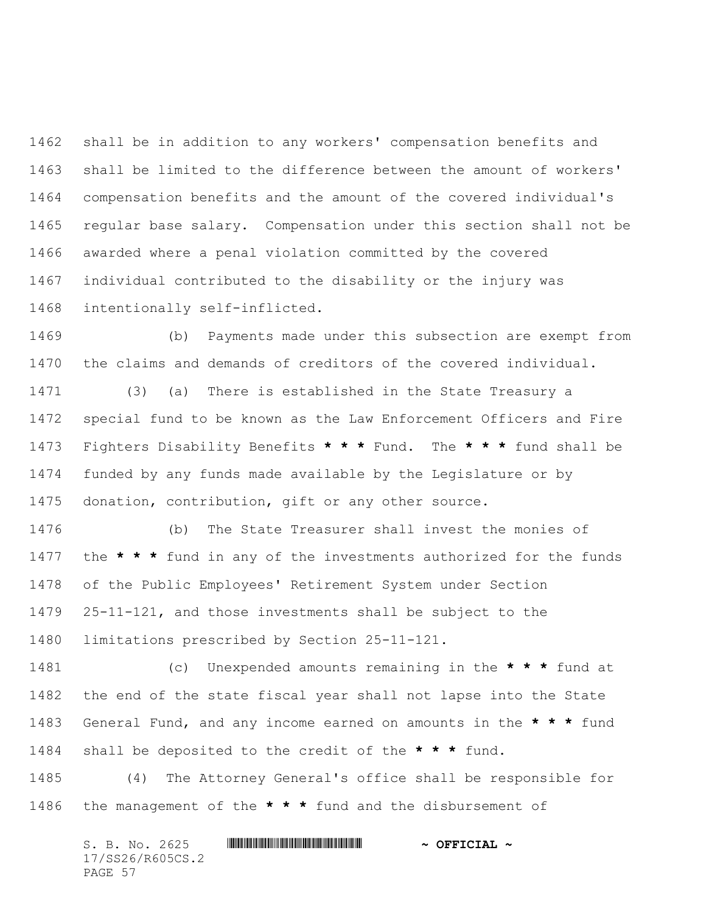shall be in addition to any workers' compensation benefits and shall be limited to the difference between the amount of workers' compensation benefits and the amount of the covered individual's regular base salary. Compensation under this section shall not be awarded where a penal violation committed by the covered individual contributed to the disability or the injury was intentionally self-inflicted.

 (b) Payments made under this subsection are exempt from the claims and demands of creditors of the covered individual.

 (3) (a) There is established in the State Treasury a special fund to be known as the Law Enforcement Officers and Fire Fighters Disability Benefits **\* \* \*** Fund. The **\* \* \*** fund shall be funded by any funds made available by the Legislature or by donation, contribution, gift or any other source.

 (b) The State Treasurer shall invest the monies of the **\* \* \*** fund in any of the investments authorized for the funds of the Public Employees' Retirement System under Section 25-11-121, and those investments shall be subject to the limitations prescribed by Section 25-11-121.

 (c) Unexpended amounts remaining in the **\* \* \*** fund at the end of the state fiscal year shall not lapse into the State General Fund, and any income earned on amounts in the **\* \* \*** fund shall be deposited to the credit of the **\* \* \*** fund.

 (4) The Attorney General's office shall be responsible for the management of the **\* \* \*** fund and the disbursement of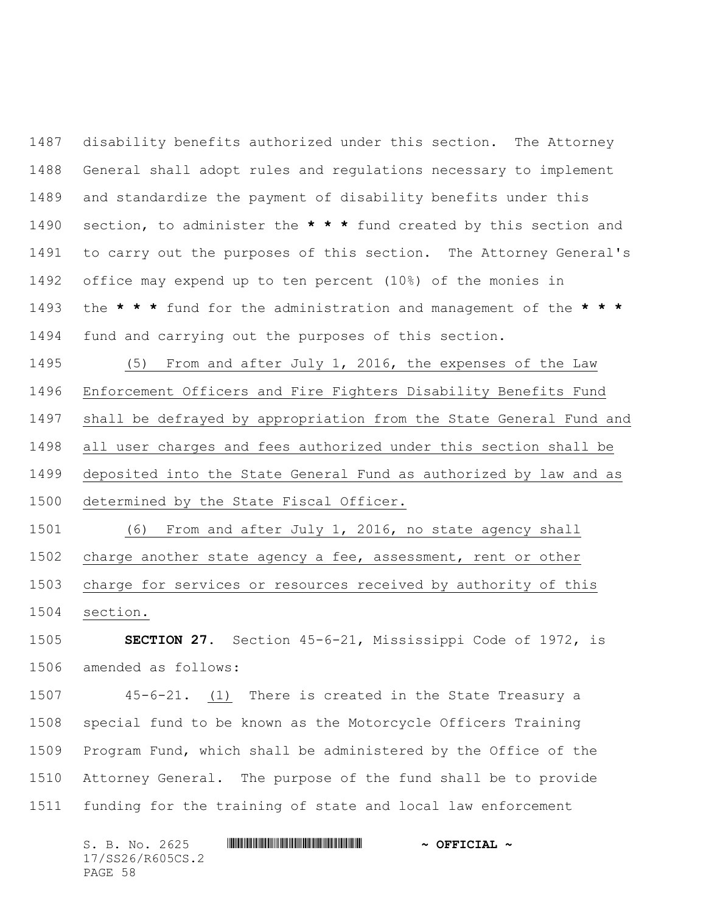disability benefits authorized under this section. The Attorney General shall adopt rules and regulations necessary to implement and standardize the payment of disability benefits under this section, to administer the **\* \* \*** fund created by this section and to carry out the purposes of this section. The Attorney General's office may expend up to ten percent (10%) of the monies in the **\* \* \*** fund for the administration and management of the **\* \* \*** fund and carrying out the purposes of this section.

 (5) From and after July 1, 2016, the expenses of the Law Enforcement Officers and Fire Fighters Disability Benefits Fund shall be defrayed by appropriation from the State General Fund and all user charges and fees authorized under this section shall be deposited into the State General Fund as authorized by law and as determined by the State Fiscal Officer.

 (6) From and after July 1, 2016, no state agency shall charge another state agency a fee, assessment, rent or other charge for services or resources received by authority of this section.

 **SECTION 27.** Section 45-6-21, Mississippi Code of 1972, is amended as follows:

 45-6-21. (1) There is created in the State Treasury a special fund to be known as the Motorcycle Officers Training Program Fund, which shall be administered by the Office of the Attorney General. The purpose of the fund shall be to provide funding for the training of state and local law enforcement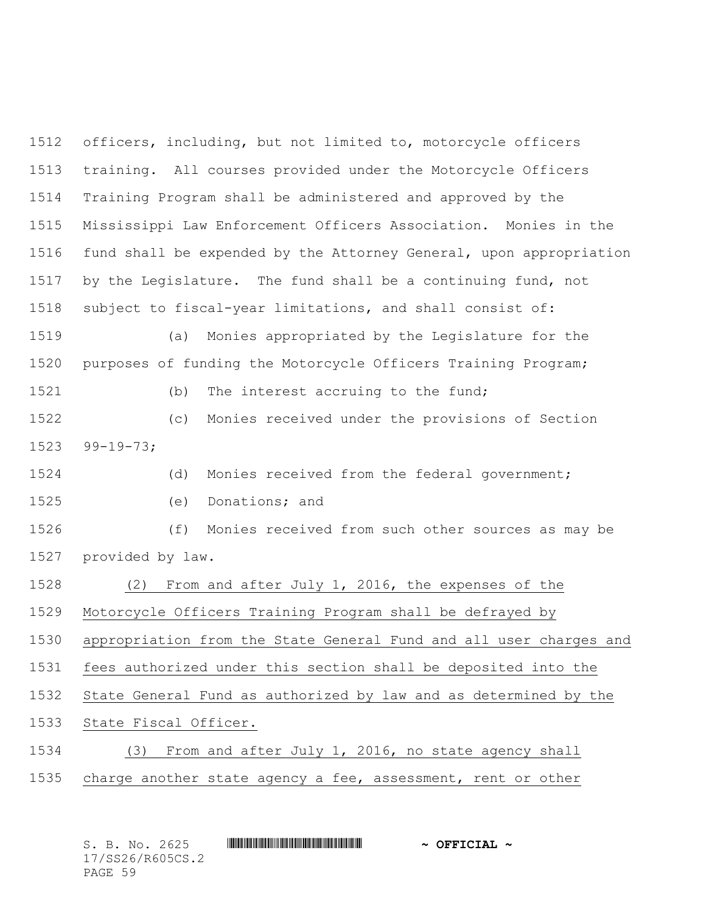officers, including, but not limited to, motorcycle officers training. All courses provided under the Motorcycle Officers Training Program shall be administered and approved by the Mississippi Law Enforcement Officers Association. Monies in the fund shall be expended by the Attorney General, upon appropriation by the Legislature. The fund shall be a continuing fund, not subject to fiscal-year limitations, and shall consist of: (a) Monies appropriated by the Legislature for the

purposes of funding the Motorcycle Officers Training Program;

1521 (b) The interest accruing to the fund;

 (c) Monies received under the provisions of Section 99-19-73;

(d) Monies received from the federal government;

(e) Donations; and

 (f) Monies received from such other sources as may be provided by law.

(2) From and after July 1, 2016, the expenses of the

Motorcycle Officers Training Program shall be defrayed by

appropriation from the State General Fund and all user charges and

fees authorized under this section shall be deposited into the

State General Fund as authorized by law and as determined by the

State Fiscal Officer.

 (3) From and after July 1, 2016, no state agency shall charge another state agency a fee, assessment, rent or other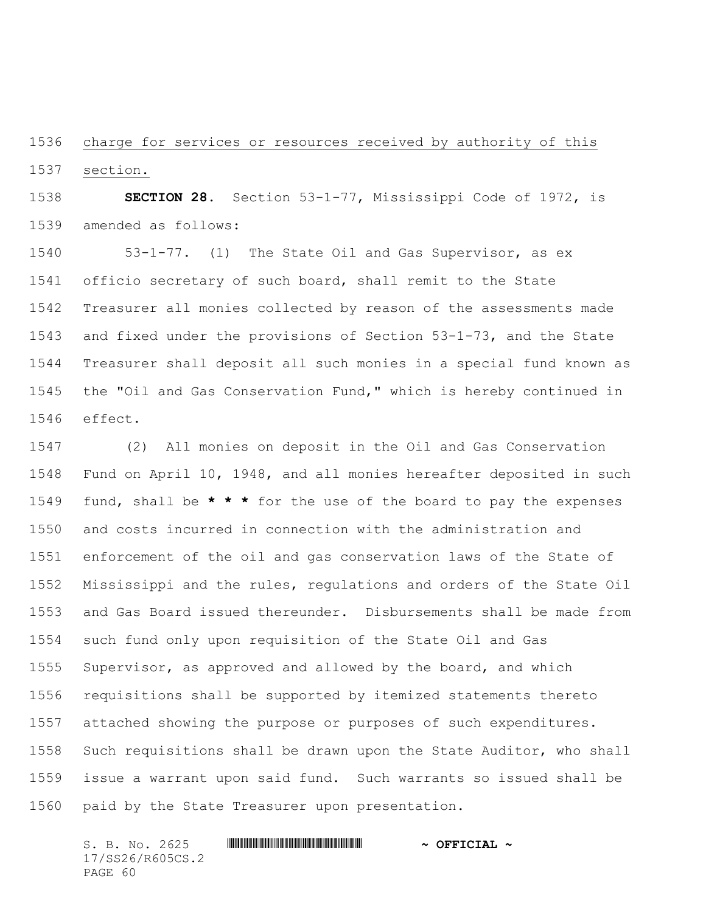charge for services or resources received by authority of this section.

 **SECTION 28.** Section 53-1-77, Mississippi Code of 1972, is amended as follows:

 53-1-77. (1) The State Oil and Gas Supervisor, as ex officio secretary of such board, shall remit to the State Treasurer all monies collected by reason of the assessments made and fixed under the provisions of Section 53-1-73, and the State Treasurer shall deposit all such monies in a special fund known as the "Oil and Gas Conservation Fund," which is hereby continued in effect.

 (2) All monies on deposit in the Oil and Gas Conservation Fund on April 10, 1948, and all monies hereafter deposited in such fund, shall be **\* \* \*** for the use of the board to pay the expenses and costs incurred in connection with the administration and enforcement of the oil and gas conservation laws of the State of Mississippi and the rules, regulations and orders of the State Oil and Gas Board issued thereunder. Disbursements shall be made from such fund only upon requisition of the State Oil and Gas Supervisor, as approved and allowed by the board, and which requisitions shall be supported by itemized statements thereto attached showing the purpose or purposes of such expenditures. Such requisitions shall be drawn upon the State Auditor, who shall issue a warrant upon said fund. Such warrants so issued shall be paid by the State Treasurer upon presentation.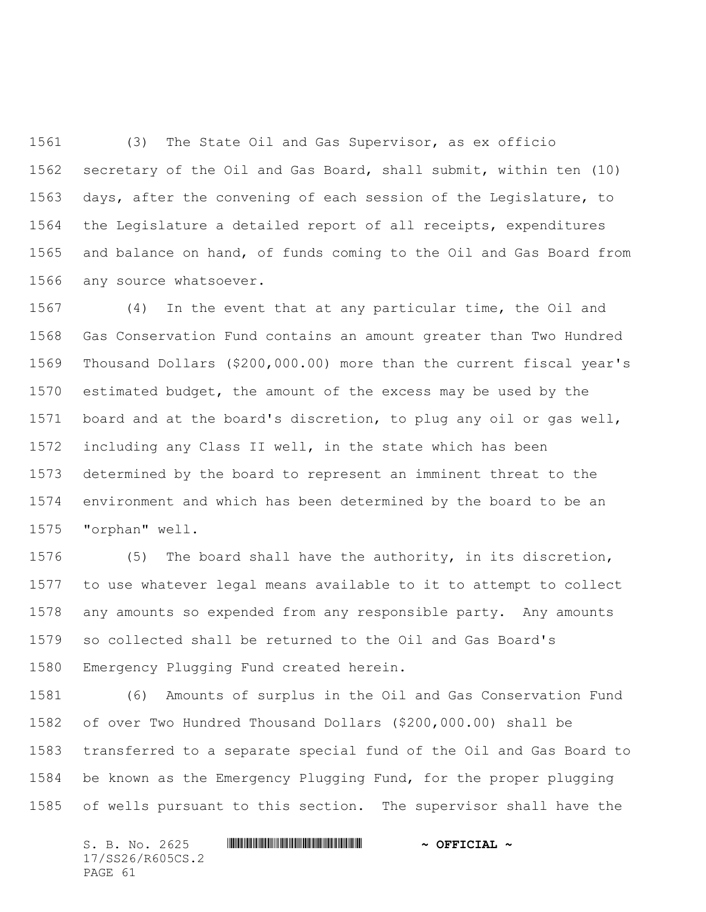(3) The State Oil and Gas Supervisor, as ex officio secretary of the Oil and Gas Board, shall submit, within ten (10) days, after the convening of each session of the Legislature, to the Legislature a detailed report of all receipts, expenditures and balance on hand, of funds coming to the Oil and Gas Board from any source whatsoever.

 (4) In the event that at any particular time, the Oil and Gas Conservation Fund contains an amount greater than Two Hundred Thousand Dollars (\$200,000.00) more than the current fiscal year's estimated budget, the amount of the excess may be used by the board and at the board's discretion, to plug any oil or gas well, including any Class II well, in the state which has been determined by the board to represent an imminent threat to the environment and which has been determined by the board to be an "orphan" well.

 (5) The board shall have the authority, in its discretion, to use whatever legal means available to it to attempt to collect any amounts so expended from any responsible party. Any amounts so collected shall be returned to the Oil and Gas Board's Emergency Plugging Fund created herein.

 (6) Amounts of surplus in the Oil and Gas Conservation Fund of over Two Hundred Thousand Dollars (\$200,000.00) shall be transferred to a separate special fund of the Oil and Gas Board to be known as the Emergency Plugging Fund, for the proper plugging of wells pursuant to this section. The supervisor shall have the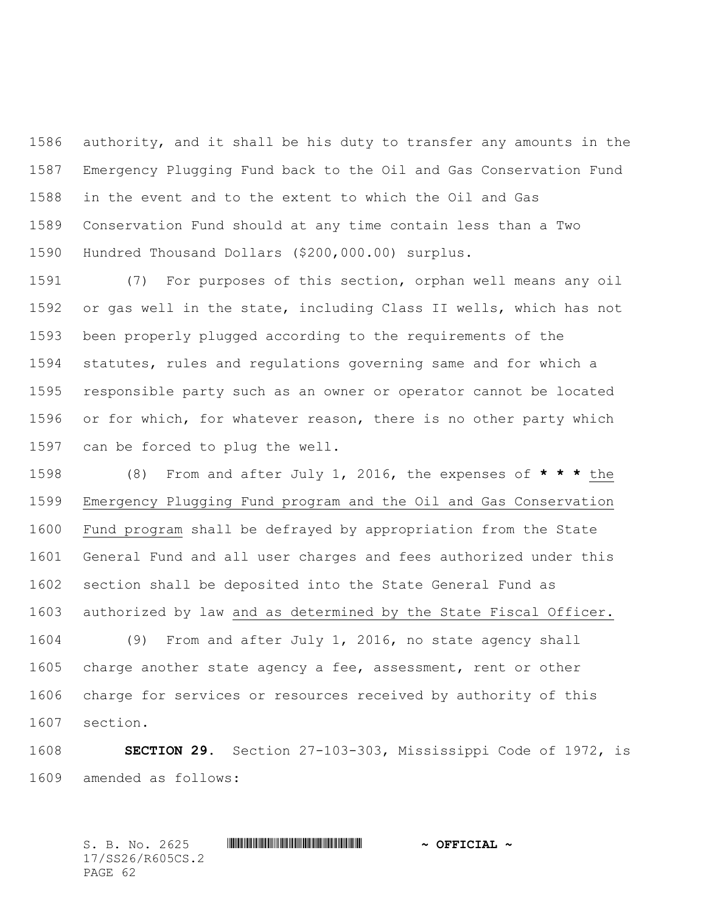authority, and it shall be his duty to transfer any amounts in the Emergency Plugging Fund back to the Oil and Gas Conservation Fund in the event and to the extent to which the Oil and Gas Conservation Fund should at any time contain less than a Two Hundred Thousand Dollars (\$200,000.00) surplus.

 (7) For purposes of this section, orphan well means any oil or gas well in the state, including Class II wells, which has not been properly plugged according to the requirements of the statutes, rules and regulations governing same and for which a responsible party such as an owner or operator cannot be located or for which, for whatever reason, there is no other party which can be forced to plug the well.

 (8) From and after July 1, 2016, the expenses of **\* \* \*** the Emergency Plugging Fund program and the Oil and Gas Conservation Fund program shall be defrayed by appropriation from the State General Fund and all user charges and fees authorized under this section shall be deposited into the State General Fund as authorized by law and as determined by the State Fiscal Officer.

 (9) From and after July 1, 2016, no state agency shall charge another state agency a fee, assessment, rent or other charge for services or resources received by authority of this section.

 **SECTION 29.** Section 27-103-303, Mississippi Code of 1972, is amended as follows: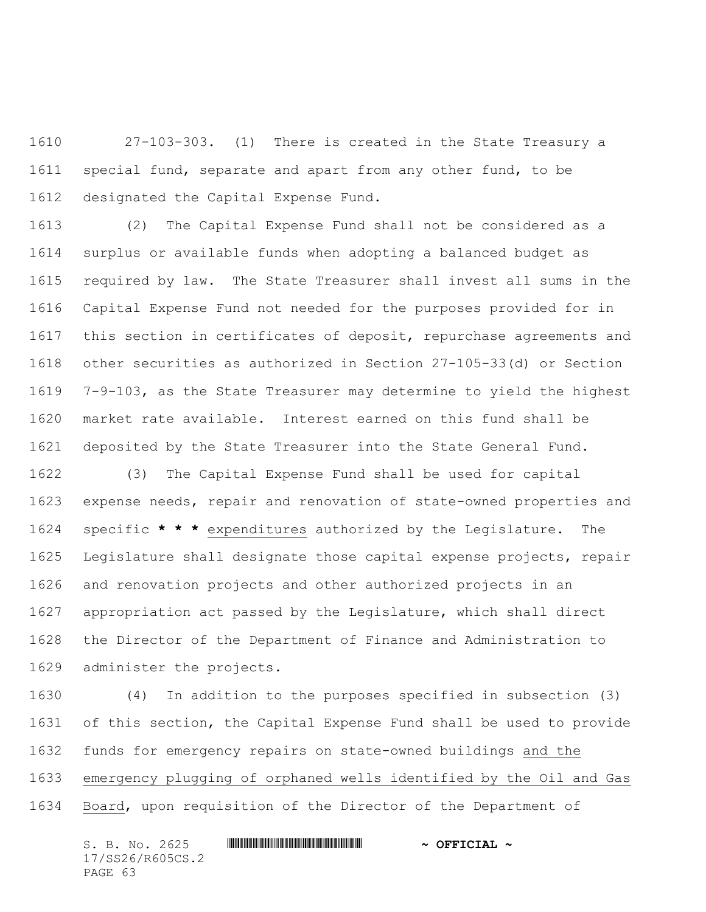27-103-303. (1) There is created in the State Treasury a special fund, separate and apart from any other fund, to be designated the Capital Expense Fund.

 (2) The Capital Expense Fund shall not be considered as a surplus or available funds when adopting a balanced budget as required by law. The State Treasurer shall invest all sums in the Capital Expense Fund not needed for the purposes provided for in this section in certificates of deposit, repurchase agreements and other securities as authorized in Section 27-105-33(d) or Section 7-9-103, as the State Treasurer may determine to yield the highest market rate available. Interest earned on this fund shall be deposited by the State Treasurer into the State General Fund.

 (3) The Capital Expense Fund shall be used for capital expense needs, repair and renovation of state-owned properties and specific **\* \* \*** expenditures authorized by the Legislature. The Legislature shall designate those capital expense projects, repair and renovation projects and other authorized projects in an appropriation act passed by the Legislature, which shall direct the Director of the Department of Finance and Administration to administer the projects.

 (4) In addition to the purposes specified in subsection (3) of this section, the Capital Expense Fund shall be used to provide funds for emergency repairs on state-owned buildings and the emergency plugging of orphaned wells identified by the Oil and Gas Board, upon requisition of the Director of the Department of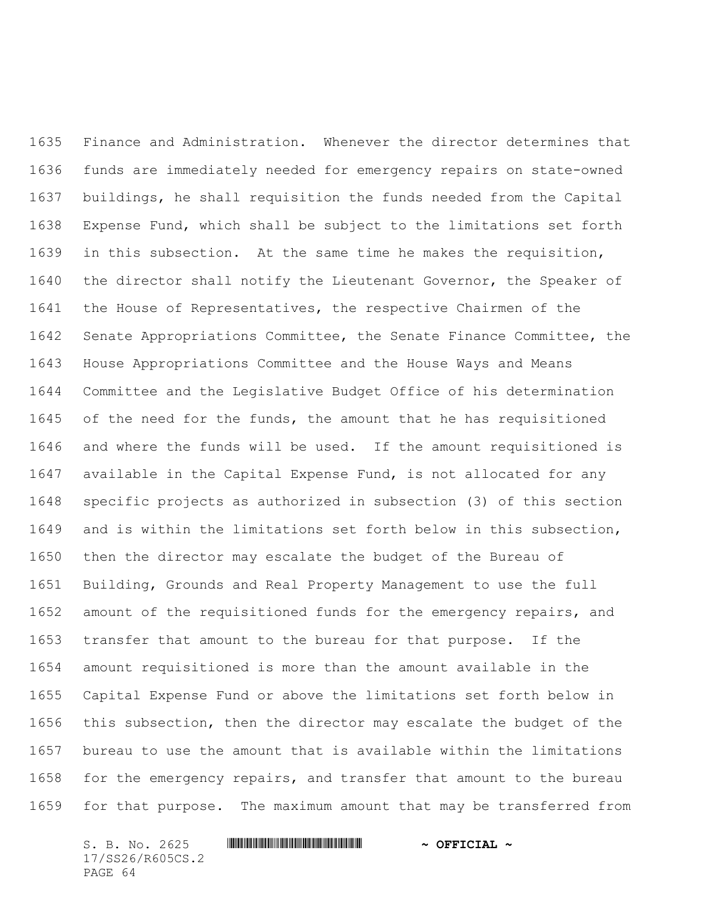Finance and Administration. Whenever the director determines that funds are immediately needed for emergency repairs on state-owned buildings, he shall requisition the funds needed from the Capital Expense Fund, which shall be subject to the limitations set forth in this subsection. At the same time he makes the requisition, 1640 the director shall notify the Lieutenant Governor, the Speaker of the House of Representatives, the respective Chairmen of the Senate Appropriations Committee, the Senate Finance Committee, the House Appropriations Committee and the House Ways and Means Committee and the Legislative Budget Office of his determination 1645 of the need for the funds, the amount that he has requisitioned and where the funds will be used. If the amount requisitioned is available in the Capital Expense Fund, is not allocated for any specific projects as authorized in subsection (3) of this section and is within the limitations set forth below in this subsection, then the director may escalate the budget of the Bureau of Building, Grounds and Real Property Management to use the full amount of the requisitioned funds for the emergency repairs, and transfer that amount to the bureau for that purpose. If the amount requisitioned is more than the amount available in the Capital Expense Fund or above the limitations set forth below in this subsection, then the director may escalate the budget of the bureau to use the amount that is available within the limitations for the emergency repairs, and transfer that amount to the bureau for that purpose. The maximum amount that may be transferred from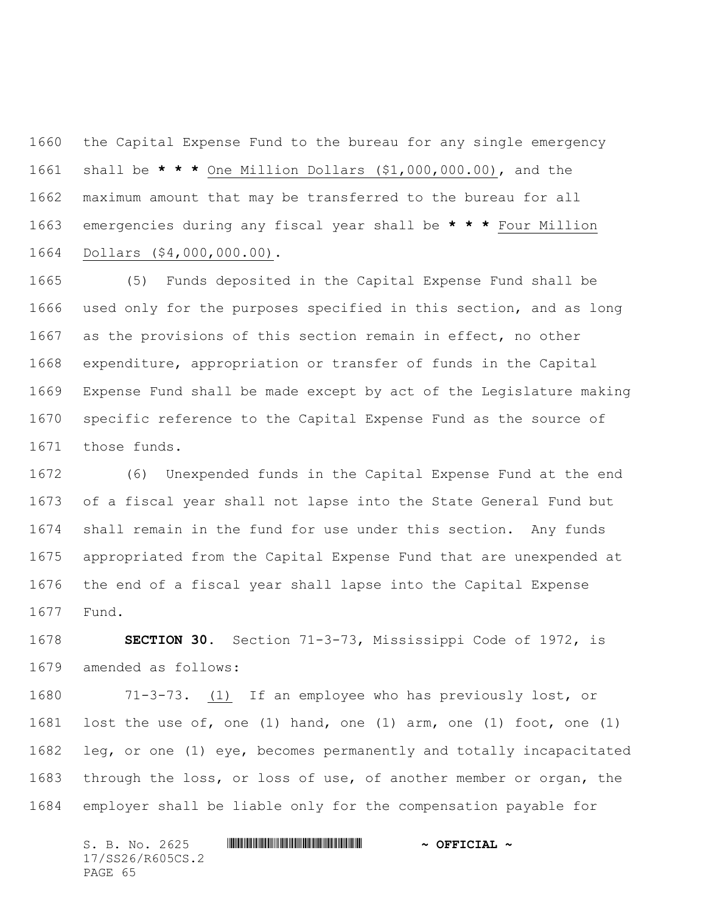the Capital Expense Fund to the bureau for any single emergency shall be **\* \* \*** One Million Dollars (\$1,000,000.00), and the maximum amount that may be transferred to the bureau for all emergencies during any fiscal year shall be **\* \* \*** Four Million Dollars (\$4,000,000.00).

 (5) Funds deposited in the Capital Expense Fund shall be used only for the purposes specified in this section, and as long as the provisions of this section remain in effect, no other expenditure, appropriation or transfer of funds in the Capital Expense Fund shall be made except by act of the Legislature making specific reference to the Capital Expense Fund as the source of those funds.

 (6) Unexpended funds in the Capital Expense Fund at the end of a fiscal year shall not lapse into the State General Fund but shall remain in the fund for use under this section. Any funds appropriated from the Capital Expense Fund that are unexpended at the end of a fiscal year shall lapse into the Capital Expense Fund.

 **SECTION 30.** Section 71-3-73, Mississippi Code of 1972, is amended as follows:

 71-3-73. (1) If an employee who has previously lost, or lost the use of, one (1) hand, one (1) arm, one (1) foot, one (1) leg, or one (1) eye, becomes permanently and totally incapacitated through the loss, or loss of use, of another member or organ, the employer shall be liable only for the compensation payable for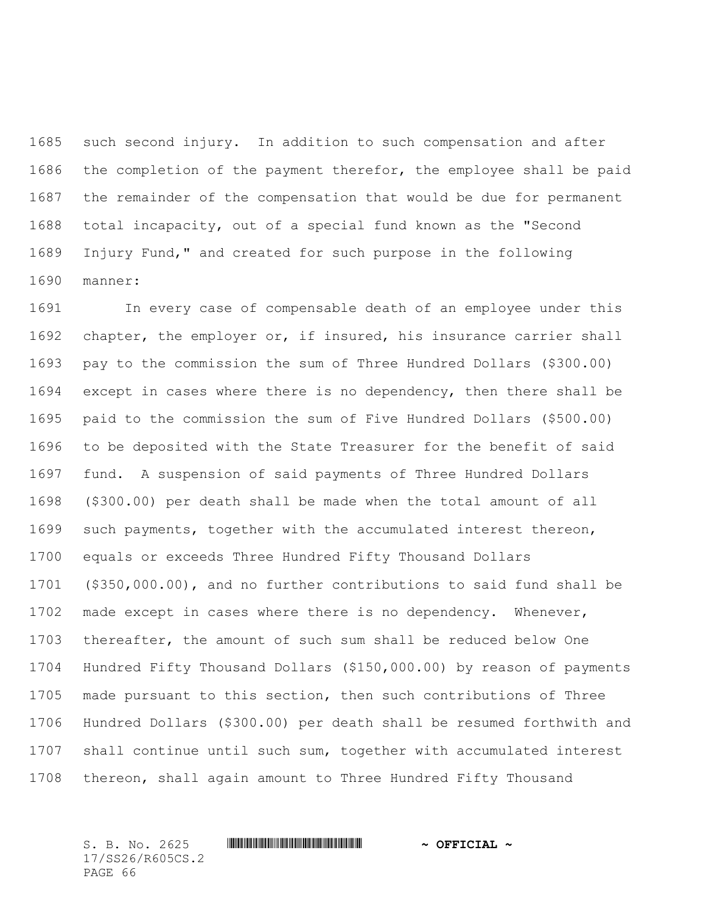such second injury. In addition to such compensation and after the completion of the payment therefor, the employee shall be paid the remainder of the compensation that would be due for permanent total incapacity, out of a special fund known as the "Second Injury Fund," and created for such purpose in the following manner:

 In every case of compensable death of an employee under this chapter, the employer or, if insured, his insurance carrier shall pay to the commission the sum of Three Hundred Dollars (\$300.00) except in cases where there is no dependency, then there shall be paid to the commission the sum of Five Hundred Dollars (\$500.00) to be deposited with the State Treasurer for the benefit of said fund. A suspension of said payments of Three Hundred Dollars (\$300.00) per death shall be made when the total amount of all such payments, together with the accumulated interest thereon, equals or exceeds Three Hundred Fifty Thousand Dollars (\$350,000.00), and no further contributions to said fund shall be made except in cases where there is no dependency. Whenever, thereafter, the amount of such sum shall be reduced below One Hundred Fifty Thousand Dollars (\$150,000.00) by reason of payments made pursuant to this section, then such contributions of Three Hundred Dollars (\$300.00) per death shall be resumed forthwith and shall continue until such sum, together with accumulated interest thereon, shall again amount to Three Hundred Fifty Thousand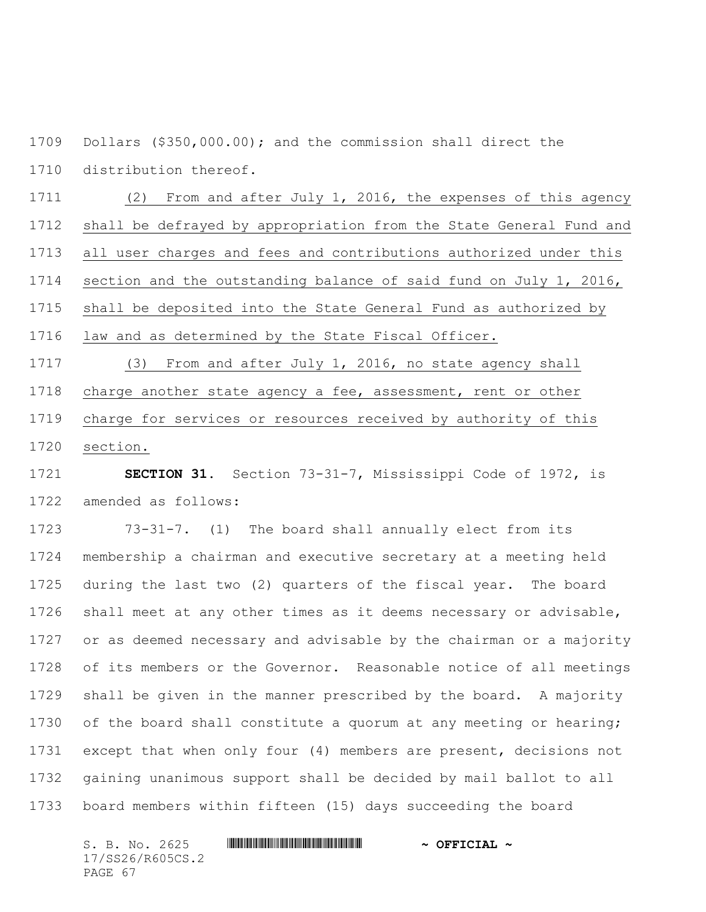Dollars (\$350,000.00); and the commission shall direct the distribution thereof.

 (2) From and after July 1, 2016, the expenses of this agency shall be defrayed by appropriation from the State General Fund and all user charges and fees and contributions authorized under this section and the outstanding balance of said fund on July 1, 2016, shall be deposited into the State General Fund as authorized by law and as determined by the State Fiscal Officer.

 (3) From and after July 1, 2016, no state agency shall charge another state agency a fee, assessment, rent or other charge for services or resources received by authority of this

section.

 **SECTION 31.** Section 73-31-7, Mississippi Code of 1972, is amended as follows:

 73-31-7. (1) The board shall annually elect from its membership a chairman and executive secretary at a meeting held during the last two (2) quarters of the fiscal year. The board shall meet at any other times as it deems necessary or advisable, or as deemed necessary and advisable by the chairman or a majority of its members or the Governor. Reasonable notice of all meetings shall be given in the manner prescribed by the board. A majority 1730 of the board shall constitute a quorum at any meeting or hearing; except that when only four (4) members are present, decisions not gaining unanimous support shall be decided by mail ballot to all board members within fifteen (15) days succeeding the board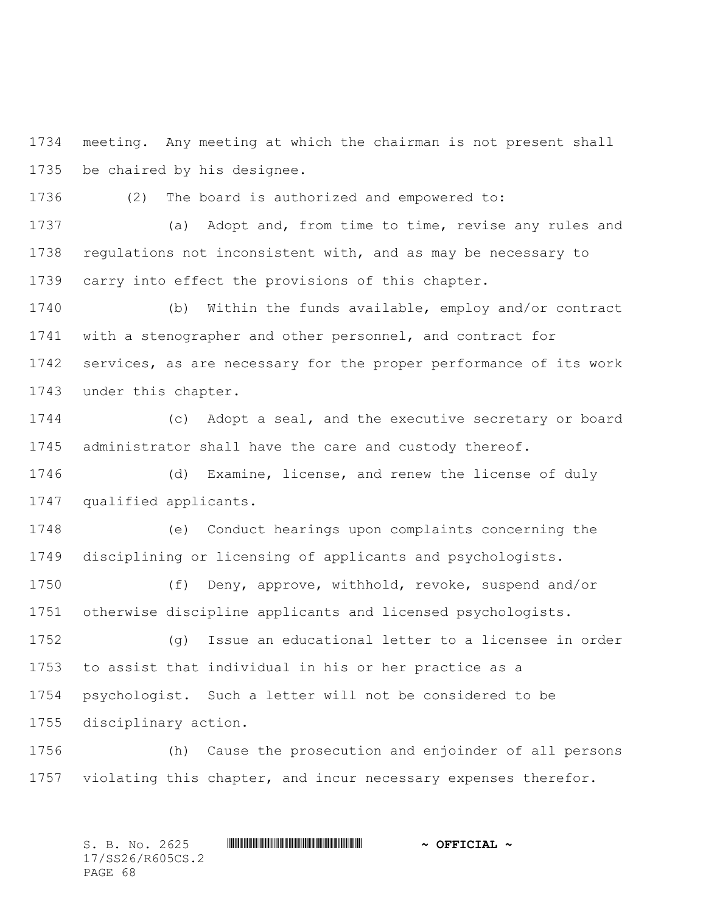meeting. Any meeting at which the chairman is not present shall be chaired by his designee.

(2) The board is authorized and empowered to:

 (a) Adopt and, from time to time, revise any rules and regulations not inconsistent with, and as may be necessary to carry into effect the provisions of this chapter.

 (b) Within the funds available, employ and/or contract with a stenographer and other personnel, and contract for services, as are necessary for the proper performance of its work under this chapter.

 (c) Adopt a seal, and the executive secretary or board administrator shall have the care and custody thereof.

 (d) Examine, license, and renew the license of duly qualified applicants.

 (e) Conduct hearings upon complaints concerning the disciplining or licensing of applicants and psychologists.

 (f) Deny, approve, withhold, revoke, suspend and/or otherwise discipline applicants and licensed psychologists.

 (g) Issue an educational letter to a licensee in order to assist that individual in his or her practice as a psychologist. Such a letter will not be considered to be disciplinary action.

 (h) Cause the prosecution and enjoinder of all persons violating this chapter, and incur necessary expenses therefor.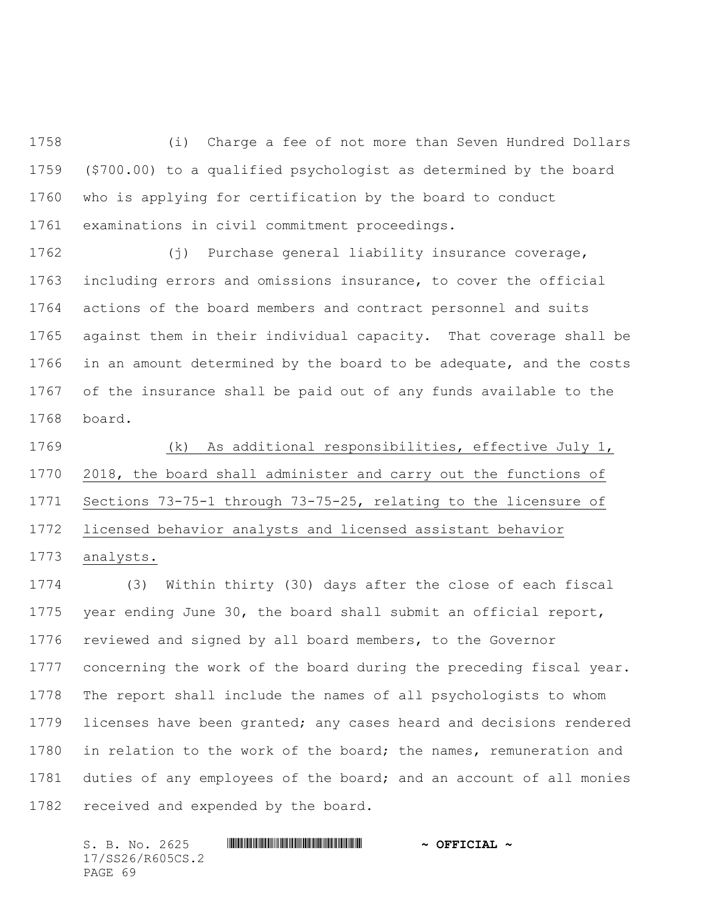(i) Charge a fee of not more than Seven Hundred Dollars (\$700.00) to a qualified psychologist as determined by the board who is applying for certification by the board to conduct examinations in civil commitment proceedings.

 (j) Purchase general liability insurance coverage, including errors and omissions insurance, to cover the official actions of the board members and contract personnel and suits against them in their individual capacity. That coverage shall be in an amount determined by the board to be adequate, and the costs of the insurance shall be paid out of any funds available to the board.

 (k) As additional responsibilities, effective July 1, 2018, the board shall administer and carry out the functions of Sections 73-75-1 through 73-75-25, relating to the licensure of licensed behavior analysts and licensed assistant behavior analysts.

 (3) Within thirty (30) days after the close of each fiscal year ending June 30, the board shall submit an official report, reviewed and signed by all board members, to the Governor concerning the work of the board during the preceding fiscal year. The report shall include the names of all psychologists to whom licenses have been granted; any cases heard and decisions rendered 1780 in relation to the work of the board; the names, remuneration and duties of any employees of the board; and an account of all monies received and expended by the board.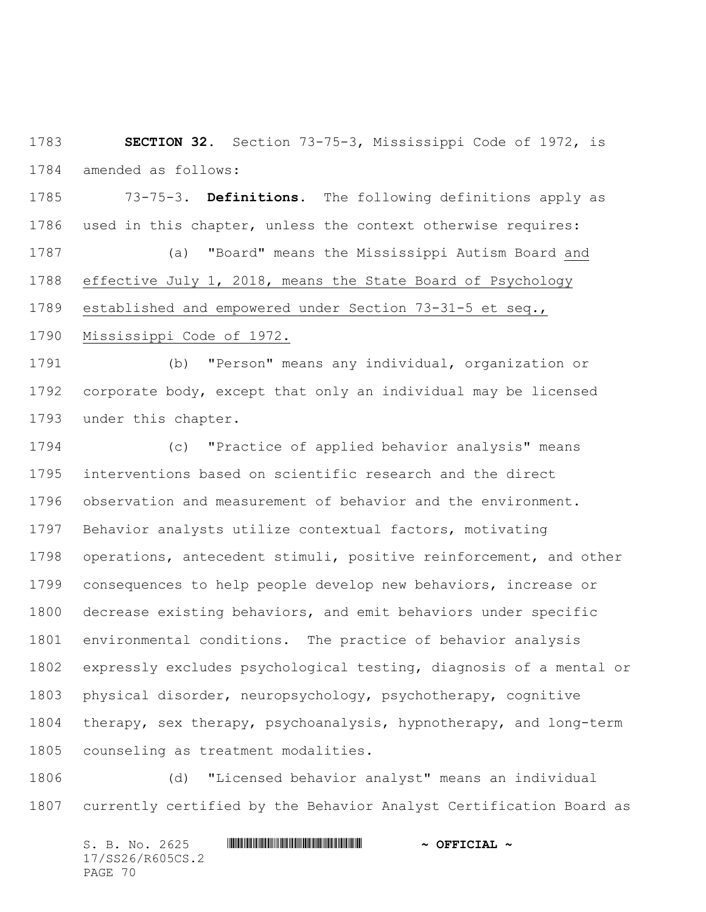**SECTION 32.** Section 73-75-3, Mississippi Code of 1972, is amended as follows:

 73-75-3. **Definitions.** The following definitions apply as used in this chapter, unless the context otherwise requires: (a) "Board" means the Mississippi Autism Board and effective July 1, 2018, means the State Board of Psychology established and empowered under Section 73-31-5 et seq., Mississippi Code of 1972.

 (b) "Person" means any individual, organization or corporate body, except that only an individual may be licensed under this chapter.

 (c) "Practice of applied behavior analysis" means interventions based on scientific research and the direct observation and measurement of behavior and the environment. Behavior analysts utilize contextual factors, motivating operations, antecedent stimuli, positive reinforcement, and other consequences to help people develop new behaviors, increase or decrease existing behaviors, and emit behaviors under specific environmental conditions. The practice of behavior analysis expressly excludes psychological testing, diagnosis of a mental or physical disorder, neuropsychology, psychotherapy, cognitive therapy, sex therapy, psychoanalysis, hypnotherapy, and long-term counseling as treatment modalities.

 (d) "Licensed behavior analyst" means an individual currently certified by the Behavior Analyst Certification Board as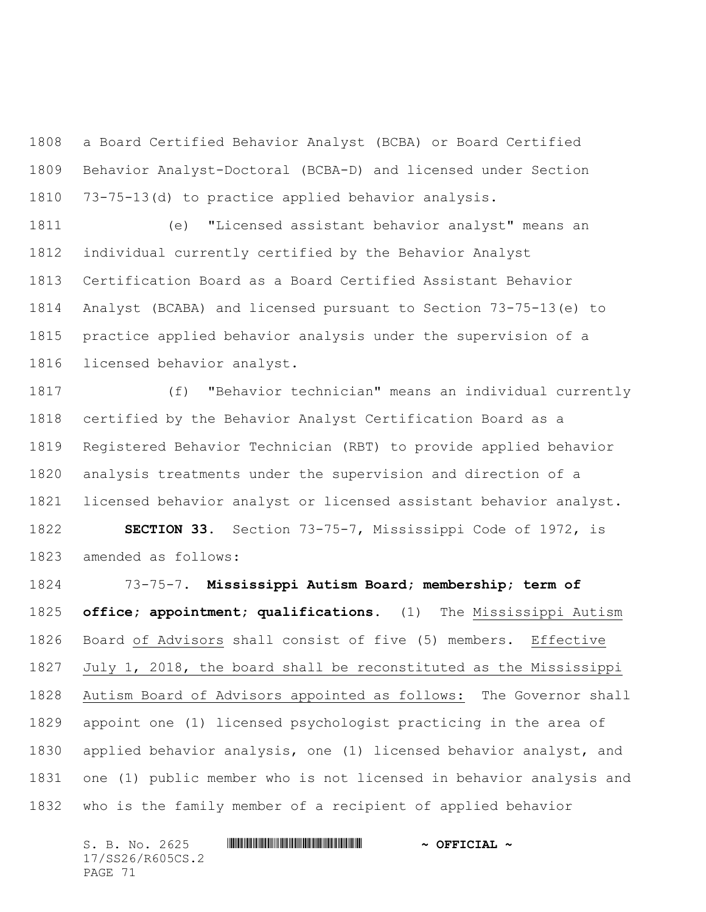a Board Certified Behavior Analyst (BCBA) or Board Certified Behavior Analyst-Doctoral (BCBA-D) and licensed under Section 73-75-13(d) to practice applied behavior analysis.

 (e) "Licensed assistant behavior analyst" means an individual currently certified by the Behavior Analyst Certification Board as a Board Certified Assistant Behavior Analyst (BCABA) and licensed pursuant to Section 73-75-13(e) to practice applied behavior analysis under the supervision of a licensed behavior analyst.

 (f) "Behavior technician" means an individual currently certified by the Behavior Analyst Certification Board as a Registered Behavior Technician (RBT) to provide applied behavior analysis treatments under the supervision and direction of a licensed behavior analyst or licensed assistant behavior analyst. **SECTION 33.** Section 73-75-7, Mississippi Code of 1972, is amended as follows:

 73-75-7. **Mississippi Autism Board; membership; term of office; appointment; qualifications.** (1) The Mississippi Autism Board of Advisors shall consist of five (5) members. Effective July 1, 2018, the board shall be reconstituted as the Mississippi Autism Board of Advisors appointed as follows: The Governor shall appoint one (1) licensed psychologist practicing in the area of applied behavior analysis, one (1) licensed behavior analyst, and one (1) public member who is not licensed in behavior analysis and who is the family member of a recipient of applied behavior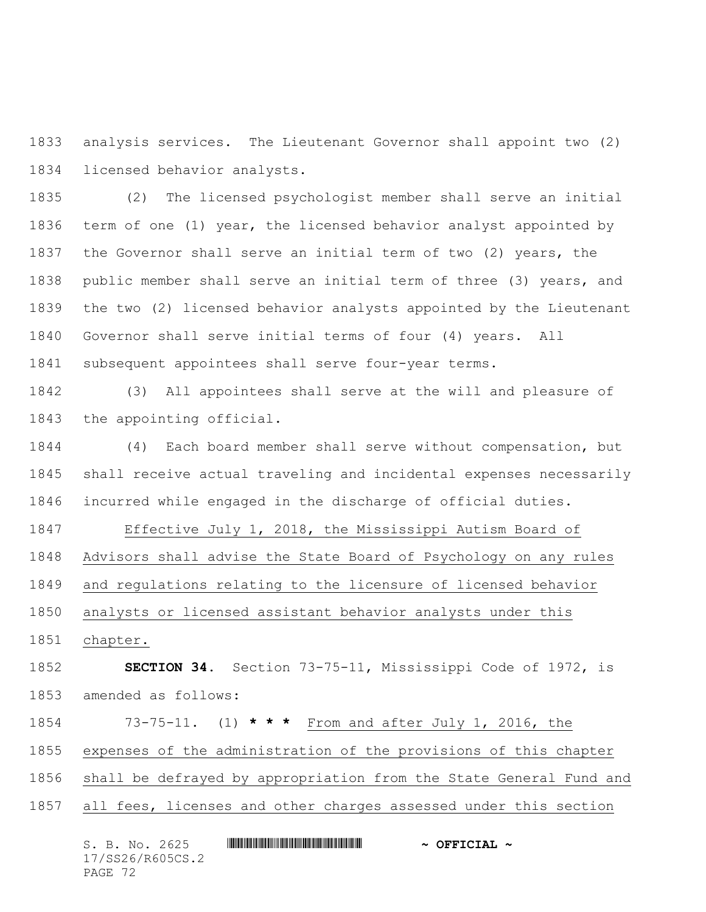analysis services. The Lieutenant Governor shall appoint two (2) licensed behavior analysts.

 (2) The licensed psychologist member shall serve an initial term of one (1) year, the licensed behavior analyst appointed by the Governor shall serve an initial term of two (2) years, the public member shall serve an initial term of three (3) years, and the two (2) licensed behavior analysts appointed by the Lieutenant Governor shall serve initial terms of four (4) years. All subsequent appointees shall serve four-year terms.

 (3) All appointees shall serve at the will and pleasure of the appointing official.

 (4) Each board member shall serve without compensation, but shall receive actual traveling and incidental expenses necessarily incurred while engaged in the discharge of official duties.

 Effective July 1, 2018, the Mississippi Autism Board of Advisors shall advise the State Board of Psychology on any rules and regulations relating to the licensure of licensed behavior analysts or licensed assistant behavior analysts under this

chapter.

 **SECTION 34.** Section 73-75-11, Mississippi Code of 1972, is amended as follows:

73-75-11. (1) **\* \* \*** From and after July 1, 2016, the

expenses of the administration of the provisions of this chapter

shall be defrayed by appropriation from the State General Fund and

all fees, licenses and other charges assessed under this section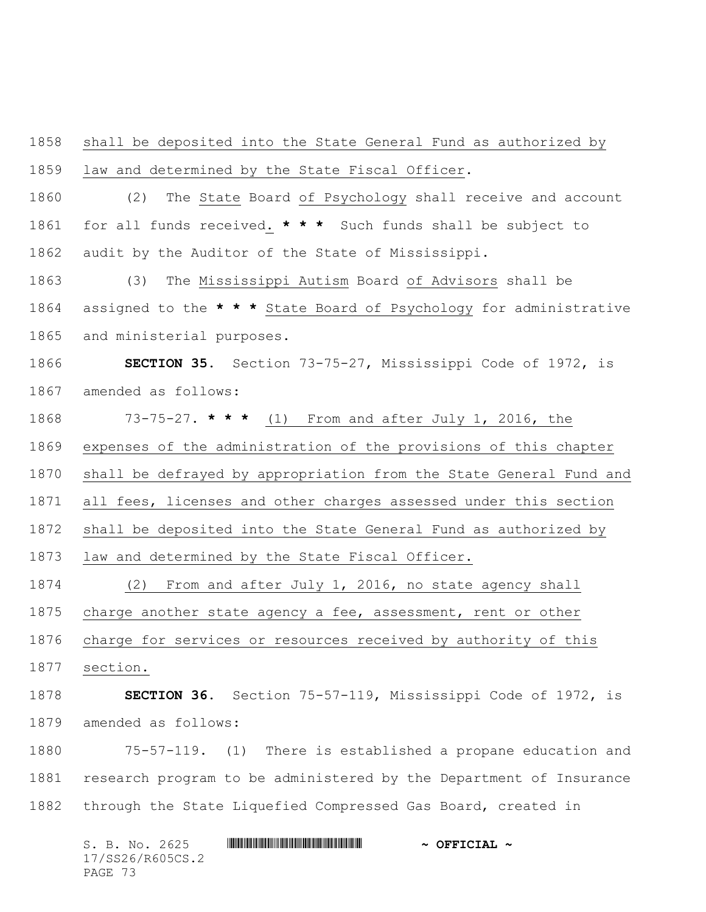shall be deposited into the State General Fund as authorized by law and determined by the State Fiscal Officer.

 (2) The State Board of Psychology shall receive and account for all funds received. **\* \* \*** Such funds shall be subject to audit by the Auditor of the State of Mississippi.

 (3) The Mississippi Autism Board of Advisors shall be assigned to the **\* \* \*** State Board of Psychology for administrative and ministerial purposes.

 **SECTION 35.** Section 73-75-27, Mississippi Code of 1972, is amended as follows:

73-75-27. **\* \* \*** (1) From and after July 1, 2016, the

expenses of the administration of the provisions of this chapter

shall be defrayed by appropriation from the State General Fund and

all fees, licenses and other charges assessed under this section

shall be deposited into the State General Fund as authorized by

law and determined by the State Fiscal Officer.

 (2) From and after July 1, 2016, no state agency shall charge another state agency a fee, assessment, rent or other

charge for services or resources received by authority of this

section.

 **SECTION 36.** Section 75-57-119, Mississippi Code of 1972, is amended as follows:

 75-57-119. (1) There is established a propane education and research program to be administered by the Department of Insurance through the State Liquefied Compressed Gas Board, created in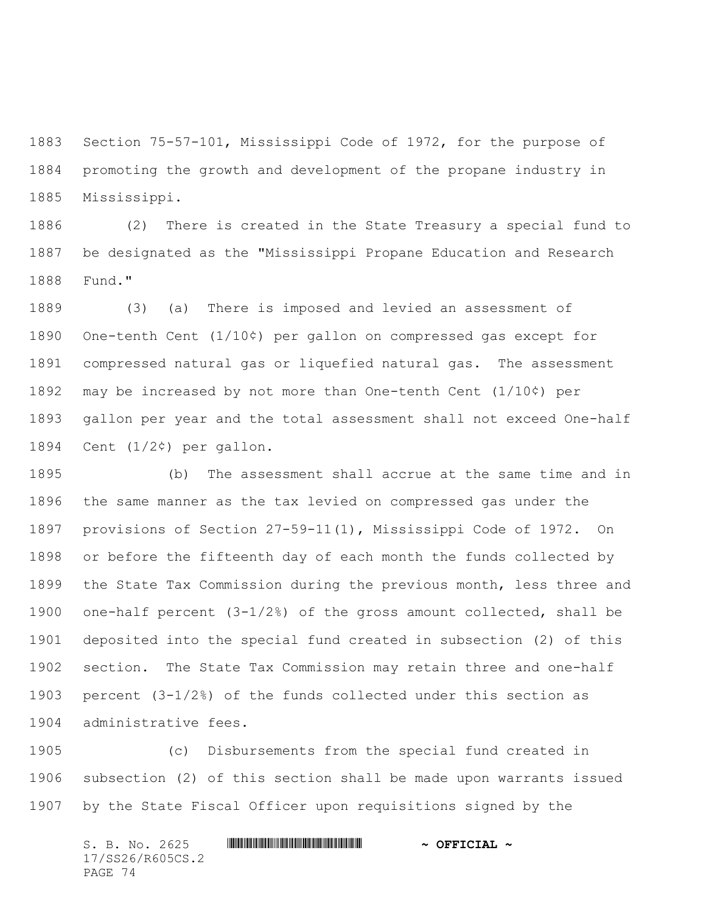Section 75-57-101, Mississippi Code of 1972, for the purpose of promoting the growth and development of the propane industry in Mississippi.

 (2) There is created in the State Treasury a special fund to be designated as the "Mississippi Propane Education and Research Fund."

 (3) (a) There is imposed and levied an assessment of One-tenth Cent (1/10¢) per gallon on compressed gas except for compressed natural gas or liquefied natural gas. The assessment may be increased by not more than One-tenth Cent (1/10¢) per gallon per year and the total assessment shall not exceed One-half Cent (1/2¢) per gallon.

 (b) The assessment shall accrue at the same time and in the same manner as the tax levied on compressed gas under the provisions of Section 27-59-11(1), Mississippi Code of 1972. On or before the fifteenth day of each month the funds collected by the State Tax Commission during the previous month, less three and one-half percent (3-1/2%) of the gross amount collected, shall be deposited into the special fund created in subsection (2) of this section. The State Tax Commission may retain three and one-half percent (3-1/2%) of the funds collected under this section as administrative fees.

 (c) Disbursements from the special fund created in subsection (2) of this section shall be made upon warrants issued by the State Fiscal Officer upon requisitions signed by the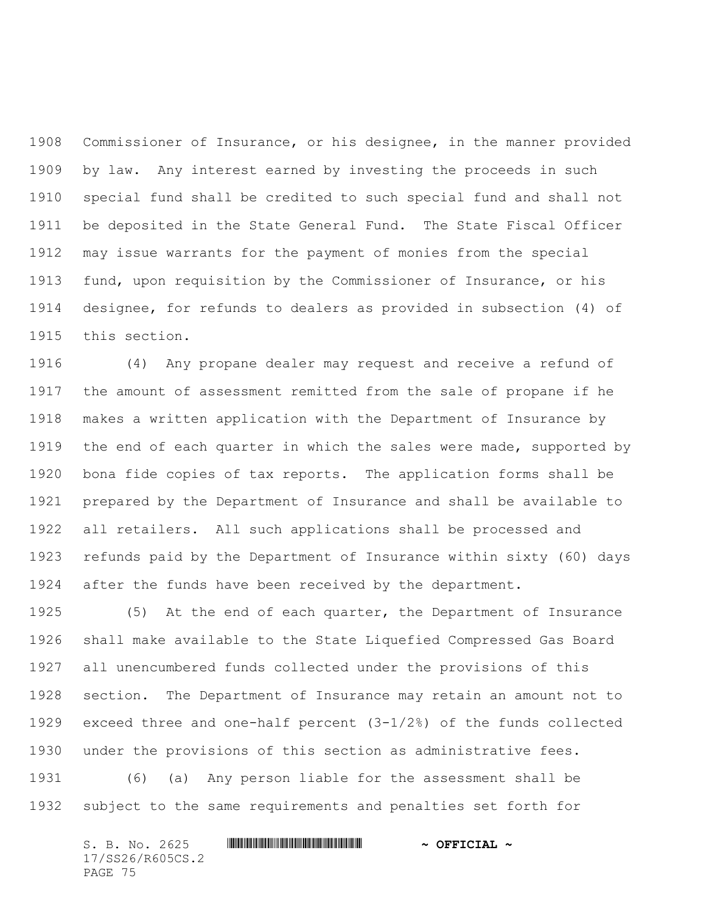Commissioner of Insurance, or his designee, in the manner provided by law. Any interest earned by investing the proceeds in such special fund shall be credited to such special fund and shall not be deposited in the State General Fund. The State Fiscal Officer may issue warrants for the payment of monies from the special fund, upon requisition by the Commissioner of Insurance, or his designee, for refunds to dealers as provided in subsection (4) of this section.

 (4) Any propane dealer may request and receive a refund of the amount of assessment remitted from the sale of propane if he makes a written application with the Department of Insurance by 1919 the end of each quarter in which the sales were made, supported by bona fide copies of tax reports. The application forms shall be prepared by the Department of Insurance and shall be available to all retailers. All such applications shall be processed and refunds paid by the Department of Insurance within sixty (60) days after the funds have been received by the department.

 (5) At the end of each quarter, the Department of Insurance shall make available to the State Liquefied Compressed Gas Board all unencumbered funds collected under the provisions of this section. The Department of Insurance may retain an amount not to exceed three and one-half percent (3-1/2%) of the funds collected under the provisions of this section as administrative fees.

 (6) (a) Any person liable for the assessment shall be subject to the same requirements and penalties set forth for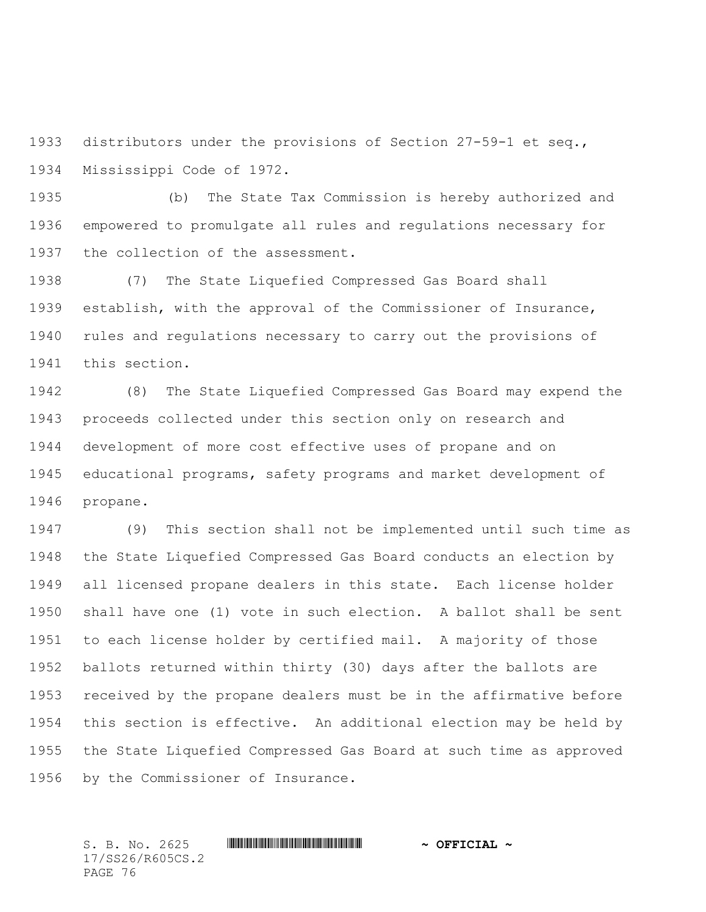distributors under the provisions of Section 27-59-1 et seq., Mississippi Code of 1972.

 (b) The State Tax Commission is hereby authorized and empowered to promulgate all rules and regulations necessary for 1937 the collection of the assessment.

 (7) The State Liquefied Compressed Gas Board shall establish, with the approval of the Commissioner of Insurance, rules and regulations necessary to carry out the provisions of this section.

 (8) The State Liquefied Compressed Gas Board may expend the proceeds collected under this section only on research and development of more cost effective uses of propane and on educational programs, safety programs and market development of propane.

 (9) This section shall not be implemented until such time as the State Liquefied Compressed Gas Board conducts an election by all licensed propane dealers in this state. Each license holder shall have one (1) vote in such election. A ballot shall be sent to each license holder by certified mail. A majority of those ballots returned within thirty (30) days after the ballots are received by the propane dealers must be in the affirmative before this section is effective. An additional election may be held by the State Liquefied Compressed Gas Board at such time as approved by the Commissioner of Insurance.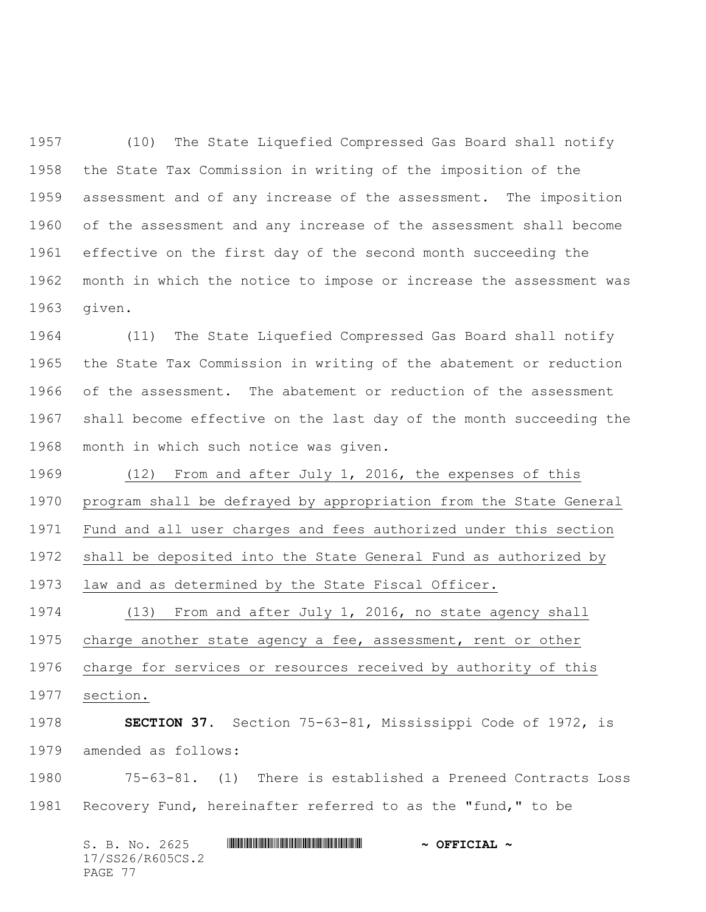(10) The State Liquefied Compressed Gas Board shall notify the State Tax Commission in writing of the imposition of the assessment and of any increase of the assessment. The imposition of the assessment and any increase of the assessment shall become effective on the first day of the second month succeeding the month in which the notice to impose or increase the assessment was given.

 (11) The State Liquefied Compressed Gas Board shall notify the State Tax Commission in writing of the abatement or reduction of the assessment. The abatement or reduction of the assessment shall become effective on the last day of the month succeeding the month in which such notice was given.

 (12) From and after July 1, 2016, the expenses of this program shall be defrayed by appropriation from the State General Fund and all user charges and fees authorized under this section shall be deposited into the State General Fund as authorized by law and as determined by the State Fiscal Officer. (13) From and after July 1, 2016, no state agency shall

 charge another state agency a fee, assessment, rent or other charge for services or resources received by authority of this section.

 **SECTION 37.** Section 75-63-81, Mississippi Code of 1972, is amended as follows:

 75-63-81. (1) There is established a Preneed Contracts Loss Recovery Fund, hereinafter referred to as the "fund," to be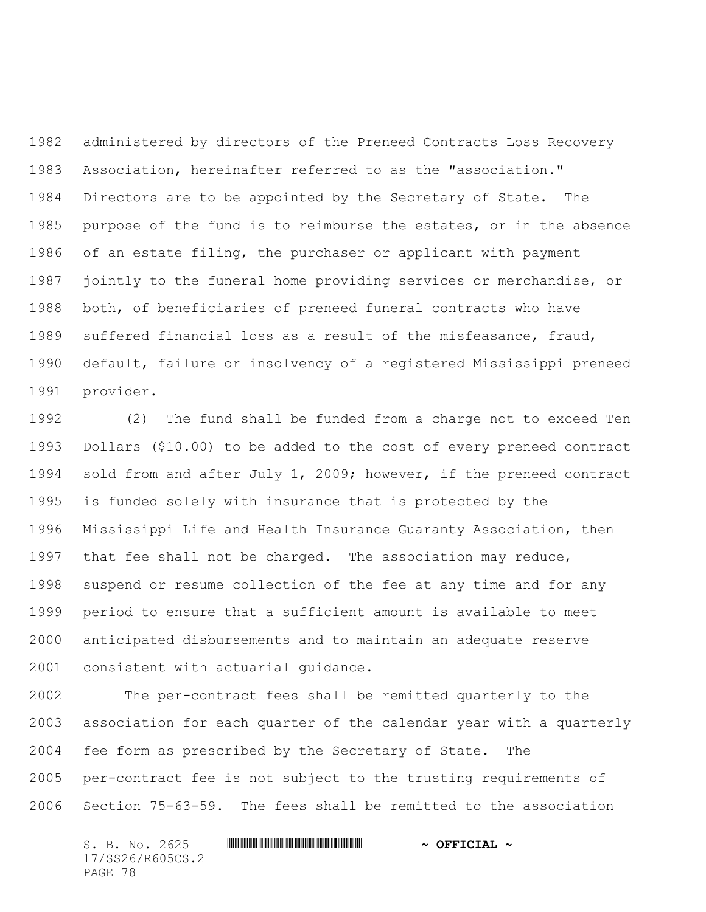administered by directors of the Preneed Contracts Loss Recovery Association, hereinafter referred to as the "association." Directors are to be appointed by the Secretary of State. The purpose of the fund is to reimburse the estates, or in the absence of an estate filing, the purchaser or applicant with payment jointly to the funeral home providing services or merchandise, or both, of beneficiaries of preneed funeral contracts who have suffered financial loss as a result of the misfeasance, fraud, default, failure or insolvency of a registered Mississippi preneed provider.

 (2) The fund shall be funded from a charge not to exceed Ten Dollars (\$10.00) to be added to the cost of every preneed contract sold from and after July 1, 2009; however, if the preneed contract is funded solely with insurance that is protected by the Mississippi Life and Health Insurance Guaranty Association, then that fee shall not be charged. The association may reduce, suspend or resume collection of the fee at any time and for any period to ensure that a sufficient amount is available to meet anticipated disbursements and to maintain an adequate reserve consistent with actuarial guidance.

 The per-contract fees shall be remitted quarterly to the association for each quarter of the calendar year with a quarterly fee form as prescribed by the Secretary of State. The per-contract fee is not subject to the trusting requirements of Section 75-63-59. The fees shall be remitted to the association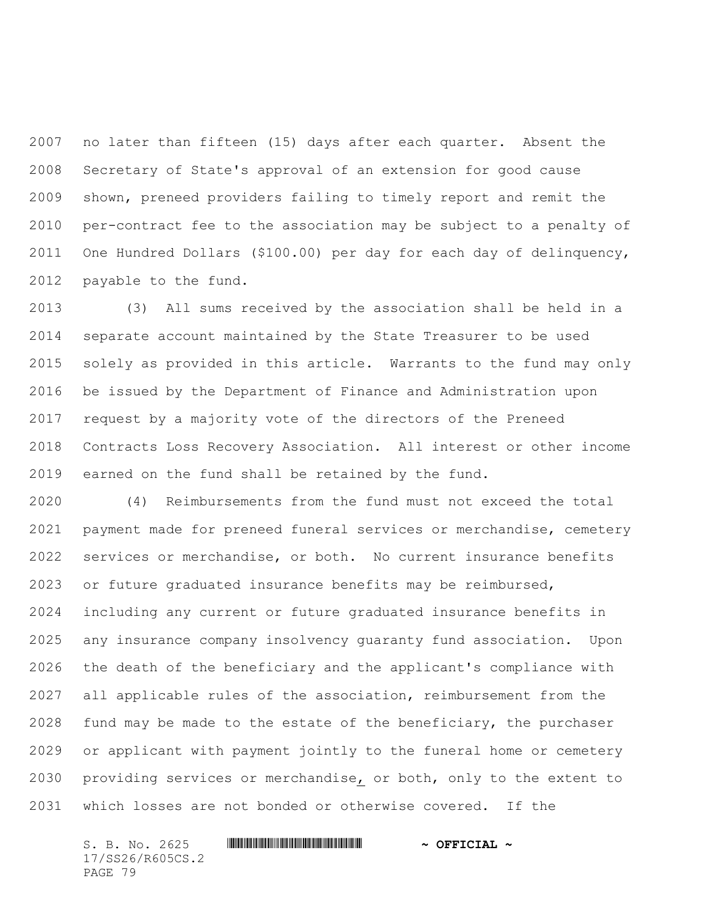no later than fifteen (15) days after each quarter. Absent the Secretary of State's approval of an extension for good cause shown, preneed providers failing to timely report and remit the per-contract fee to the association may be subject to a penalty of One Hundred Dollars (\$100.00) per day for each day of delinquency, payable to the fund.

 (3) All sums received by the association shall be held in a separate account maintained by the State Treasurer to be used solely as provided in this article. Warrants to the fund may only be issued by the Department of Finance and Administration upon request by a majority vote of the directors of the Preneed Contracts Loss Recovery Association. All interest or other income earned on the fund shall be retained by the fund.

 (4) Reimbursements from the fund must not exceed the total payment made for preneed funeral services or merchandise, cemetery services or merchandise, or both. No current insurance benefits or future graduated insurance benefits may be reimbursed, including any current or future graduated insurance benefits in any insurance company insolvency guaranty fund association. Upon the death of the beneficiary and the applicant's compliance with all applicable rules of the association, reimbursement from the fund may be made to the estate of the beneficiary, the purchaser or applicant with payment jointly to the funeral home or cemetery providing services or merchandise, or both, only to the extent to which losses are not bonded or otherwise covered. If the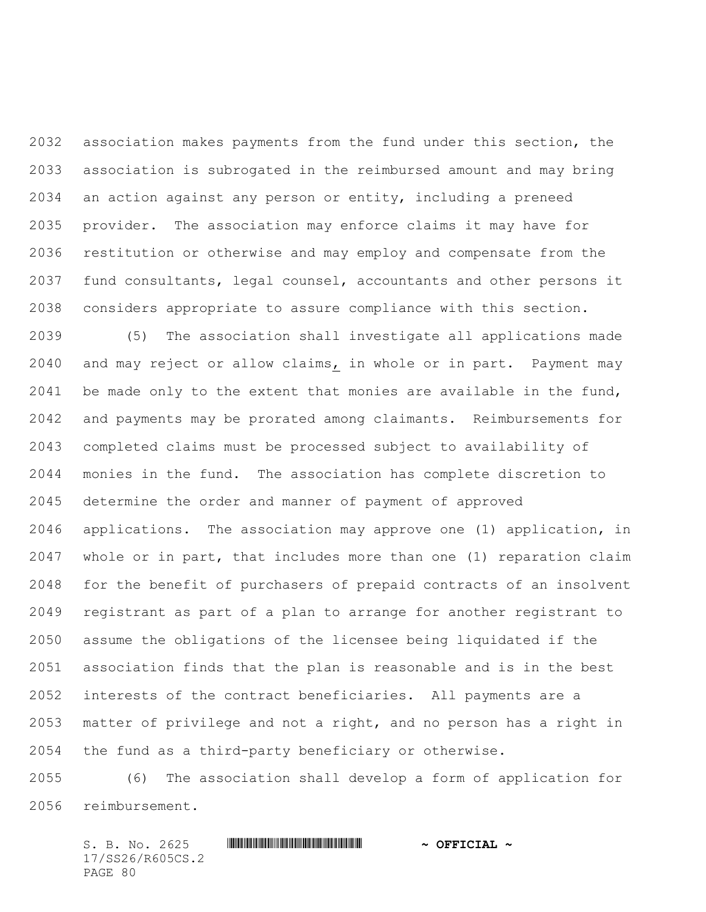association makes payments from the fund under this section, the association is subrogated in the reimbursed amount and may bring an action against any person or entity, including a preneed provider. The association may enforce claims it may have for restitution or otherwise and may employ and compensate from the fund consultants, legal counsel, accountants and other persons it considers appropriate to assure compliance with this section.

 (5) The association shall investigate all applications made and may reject or allow claims, in whole or in part. Payment may be made only to the extent that monies are available in the fund, and payments may be prorated among claimants. Reimbursements for completed claims must be processed subject to availability of monies in the fund. The association has complete discretion to determine the order and manner of payment of approved applications. The association may approve one (1) application, in whole or in part, that includes more than one (1) reparation claim for the benefit of purchasers of prepaid contracts of an insolvent registrant as part of a plan to arrange for another registrant to assume the obligations of the licensee being liquidated if the association finds that the plan is reasonable and is in the best interests of the contract beneficiaries. All payments are a matter of privilege and not a right, and no person has a right in the fund as a third-party beneficiary or otherwise.

 (6) The association shall develop a form of application for reimbursement.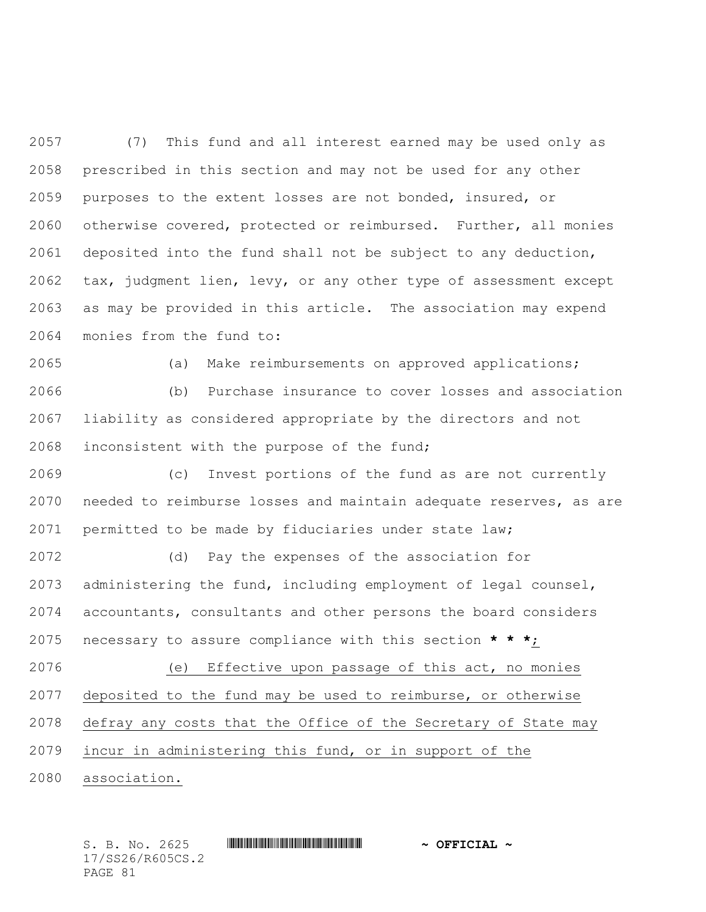(7) This fund and all interest earned may be used only as prescribed in this section and may not be used for any other purposes to the extent losses are not bonded, insured, or otherwise covered, protected or reimbursed. Further, all monies deposited into the fund shall not be subject to any deduction, tax, judgment lien, levy, or any other type of assessment except as may be provided in this article. The association may expend monies from the fund to:

 (a) Make reimbursements on approved applications; (b) Purchase insurance to cover losses and association liability as considered appropriate by the directors and not inconsistent with the purpose of the fund;

 (c) Invest portions of the fund as are not currently needed to reimburse losses and maintain adequate reserves, as are permitted to be made by fiduciaries under state law;

 (d) Pay the expenses of the association for administering the fund, including employment of legal counsel, accountants, consultants and other persons the board considers necessary to assure compliance with this section **\* \* \***;

 (e) Effective upon passage of this act, no monies deposited to the fund may be used to reimburse, or otherwise defray any costs that the Office of the Secretary of State may incur in administering this fund, or in support of the

association.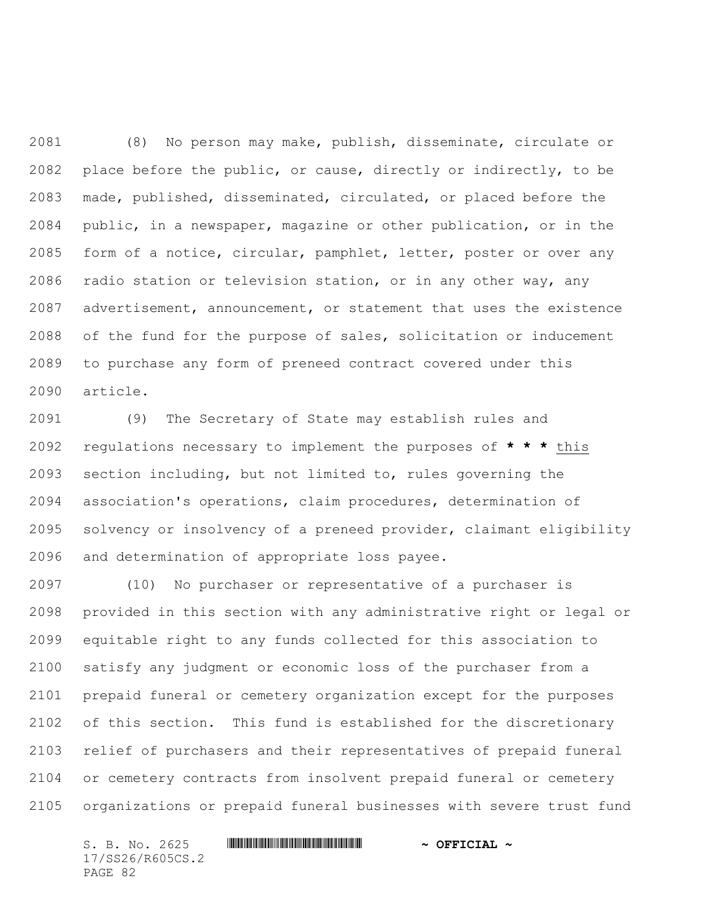(8) No person may make, publish, disseminate, circulate or place before the public, or cause, directly or indirectly, to be made, published, disseminated, circulated, or placed before the public, in a newspaper, magazine or other publication, or in the form of a notice, circular, pamphlet, letter, poster or over any radio station or television station, or in any other way, any advertisement, announcement, or statement that uses the existence of the fund for the purpose of sales, solicitation or inducement to purchase any form of preneed contract covered under this article.

 (9) The Secretary of State may establish rules and regulations necessary to implement the purposes of **\* \* \*** this section including, but not limited to, rules governing the association's operations, claim procedures, determination of solvency or insolvency of a preneed provider, claimant eligibility and determination of appropriate loss payee.

 (10) No purchaser or representative of a purchaser is provided in this section with any administrative right or legal or equitable right to any funds collected for this association to satisfy any judgment or economic loss of the purchaser from a prepaid funeral or cemetery organization except for the purposes of this section. This fund is established for the discretionary relief of purchasers and their representatives of prepaid funeral or cemetery contracts from insolvent prepaid funeral or cemetery organizations or prepaid funeral businesses with severe trust fund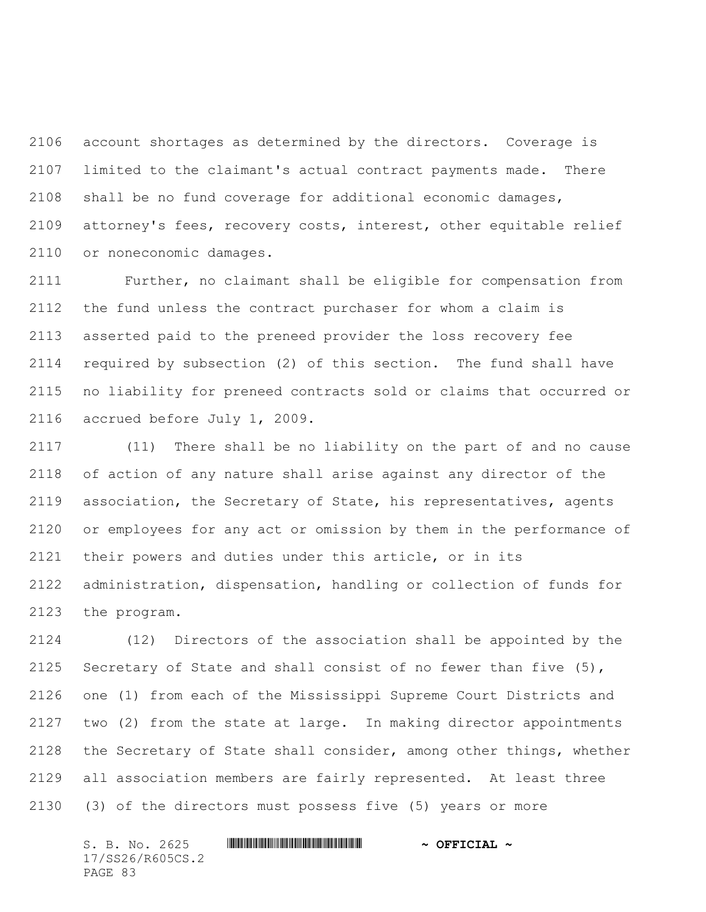account shortages as determined by the directors. Coverage is limited to the claimant's actual contract payments made. There shall be no fund coverage for additional economic damages, attorney's fees, recovery costs, interest, other equitable relief or noneconomic damages.

 Further, no claimant shall be eligible for compensation from the fund unless the contract purchaser for whom a claim is asserted paid to the preneed provider the loss recovery fee required by subsection (2) of this section. The fund shall have no liability for preneed contracts sold or claims that occurred or accrued before July 1, 2009.

 (11) There shall be no liability on the part of and no cause of action of any nature shall arise against any director of the association, the Secretary of State, his representatives, agents or employees for any act or omission by them in the performance of their powers and duties under this article, or in its administration, dispensation, handling or collection of funds for the program.

 (12) Directors of the association shall be appointed by the Secretary of State and shall consist of no fewer than five (5), one (1) from each of the Mississippi Supreme Court Districts and two (2) from the state at large. In making director appointments the Secretary of State shall consider, among other things, whether all association members are fairly represented. At least three (3) of the directors must possess five (5) years or more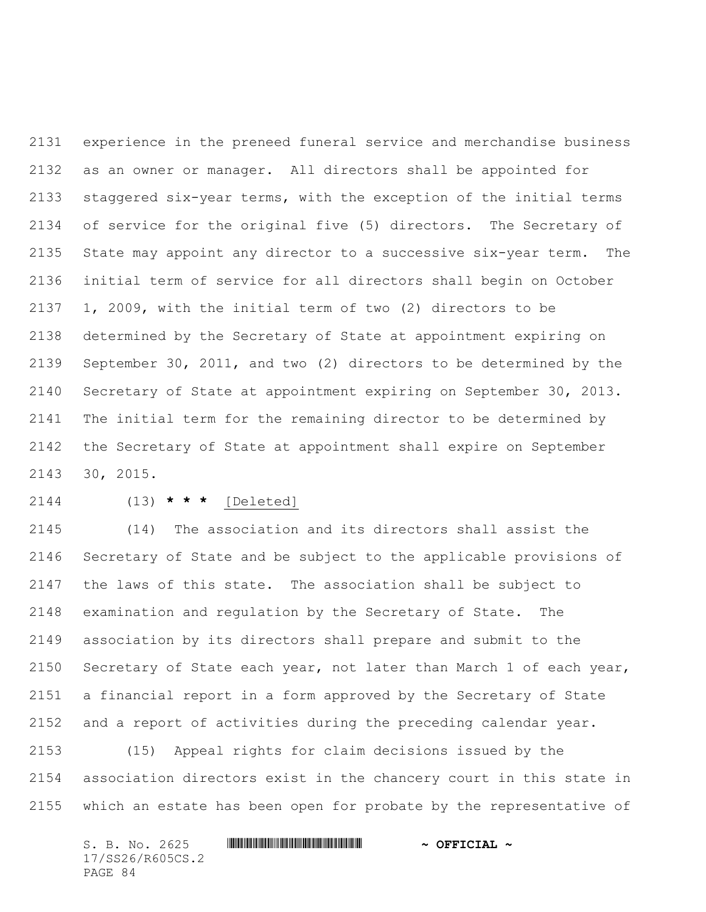experience in the preneed funeral service and merchandise business as an owner or manager. All directors shall be appointed for staggered six-year terms, with the exception of the initial terms of service for the original five (5) directors. The Secretary of State may appoint any director to a successive six-year term. The initial term of service for all directors shall begin on October 1, 2009, with the initial term of two (2) directors to be determined by the Secretary of State at appointment expiring on September 30, 2011, and two (2) directors to be determined by the Secretary of State at appointment expiring on September 30, 2013. The initial term for the remaining director to be determined by the Secretary of State at appointment shall expire on September 30, 2015.

## (13) **\* \* \*** [Deleted]

 (14) The association and its directors shall assist the Secretary of State and be subject to the applicable provisions of the laws of this state. The association shall be subject to examination and regulation by the Secretary of State. The association by its directors shall prepare and submit to the Secretary of State each year, not later than March 1 of each year, a financial report in a form approved by the Secretary of State and a report of activities during the preceding calendar year.

 (15) Appeal rights for claim decisions issued by the association directors exist in the chancery court in this state in which an estate has been open for probate by the representative of

| S. B. No. 2625   |  | $\sim$ OFFICIAL $\sim$ |
|------------------|--|------------------------|
| 17/SS26/R605CS.2 |  |                        |
| PAGE 84          |  |                        |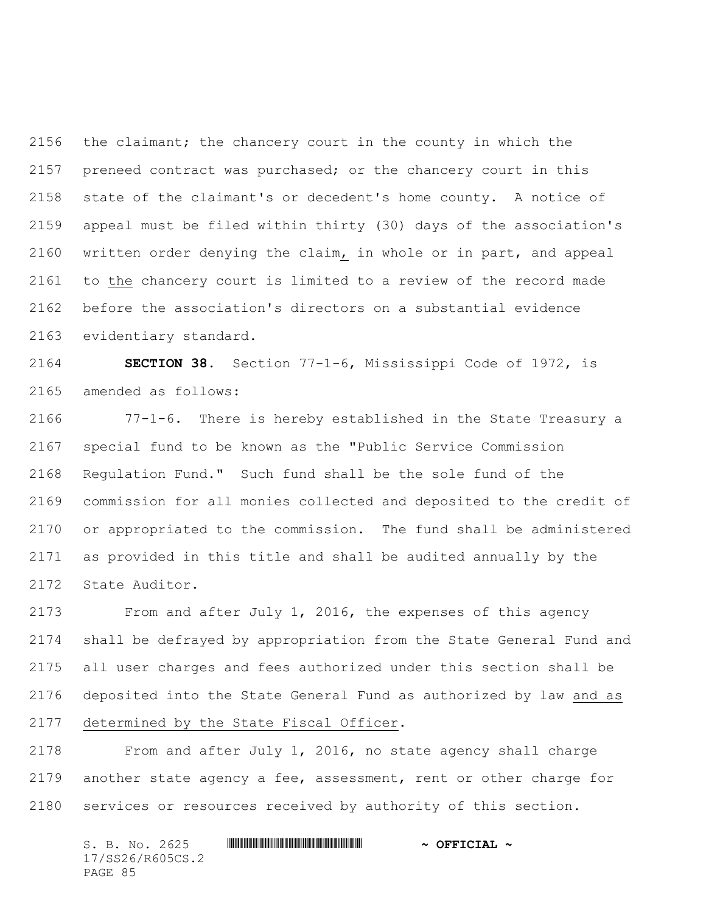the claimant; the chancery court in the county in which the preneed contract was purchased; or the chancery court in this state of the claimant's or decedent's home county. A notice of appeal must be filed within thirty (30) days of the association's written order denying the claim, in whole or in part, and appeal to the chancery court is limited to a review of the record made before the association's directors on a substantial evidence evidentiary standard.

 **SECTION 38.** Section 77-1-6, Mississippi Code of 1972, is amended as follows:

 77-1-6. There is hereby established in the State Treasury a special fund to be known as the "Public Service Commission Regulation Fund." Such fund shall be the sole fund of the commission for all monies collected and deposited to the credit of or appropriated to the commission. The fund shall be administered as provided in this title and shall be audited annually by the State Auditor.

 From and after July 1, 2016, the expenses of this agency shall be defrayed by appropriation from the State General Fund and all user charges and fees authorized under this section shall be deposited into the State General Fund as authorized by law and as determined by the State Fiscal Officer.

 From and after July 1, 2016, no state agency shall charge another state agency a fee, assessment, rent or other charge for services or resources received by authority of this section.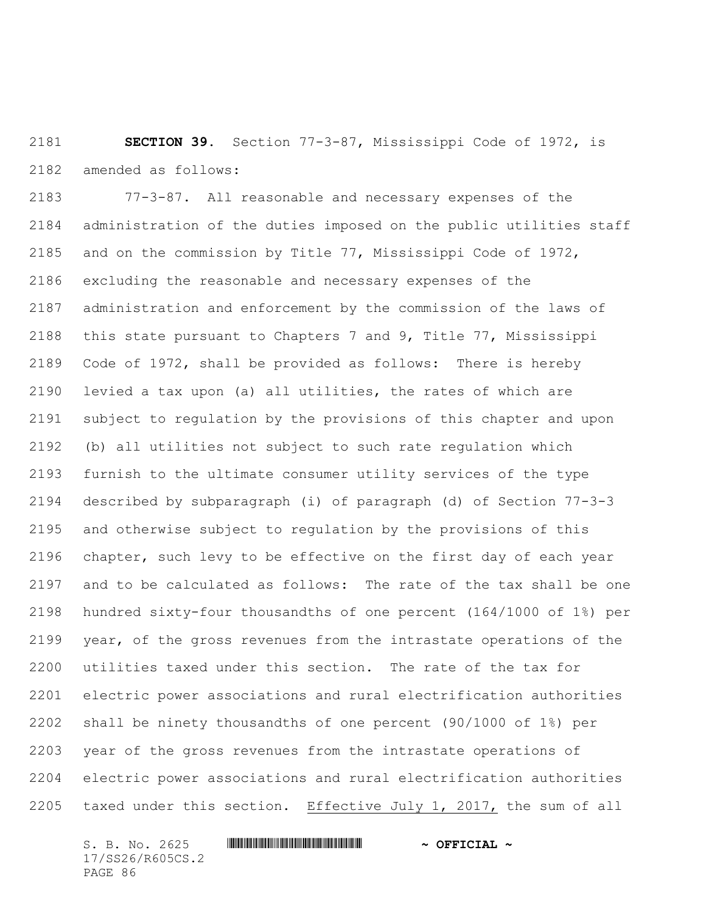**SECTION 39.** Section 77-3-87, Mississippi Code of 1972, is amended as follows:

 77-3-87. All reasonable and necessary expenses of the administration of the duties imposed on the public utilities staff and on the commission by Title 77, Mississippi Code of 1972, excluding the reasonable and necessary expenses of the administration and enforcement by the commission of the laws of this state pursuant to Chapters 7 and 9, Title 77, Mississippi Code of 1972, shall be provided as follows: There is hereby levied a tax upon (a) all utilities, the rates of which are subject to regulation by the provisions of this chapter and upon (b) all utilities not subject to such rate regulation which furnish to the ultimate consumer utility services of the type described by subparagraph (i) of paragraph (d) of Section 77-3-3 and otherwise subject to regulation by the provisions of this chapter, such levy to be effective on the first day of each year and to be calculated as follows: The rate of the tax shall be one hundred sixty-four thousandths of one percent (164/1000 of 1%) per year, of the gross revenues from the intrastate operations of the utilities taxed under this section. The rate of the tax for electric power associations and rural electrification authorities shall be ninety thousandths of one percent (90/1000 of 1%) per year of the gross revenues from the intrastate operations of electric power associations and rural electrification authorities taxed under this section. Effective July 1, 2017, the sum of all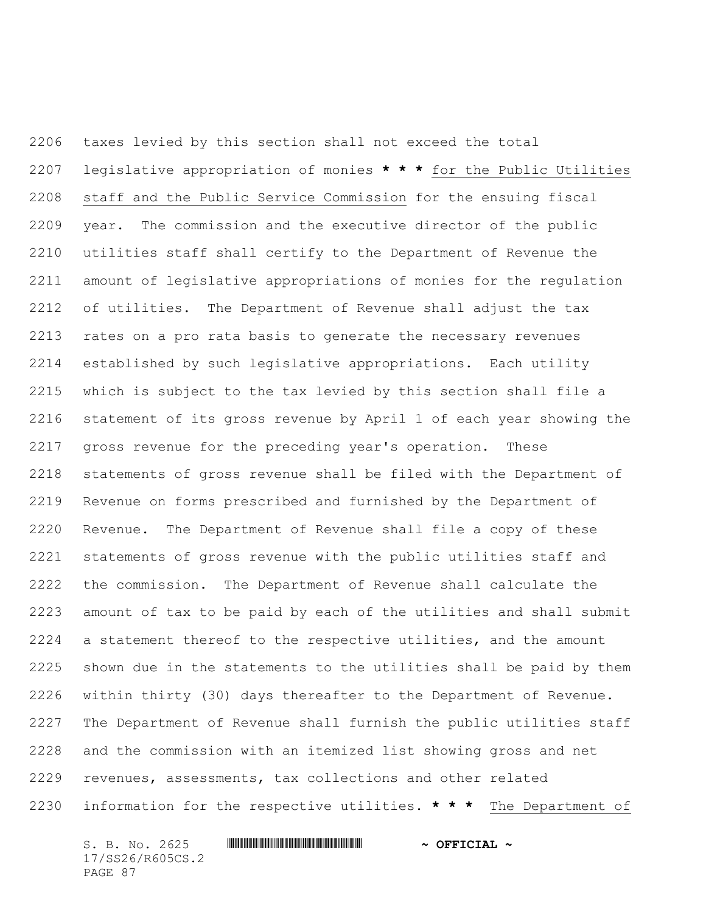taxes levied by this section shall not exceed the total legislative appropriation of monies **\* \* \*** for the Public Utilities staff and the Public Service Commission for the ensuing fiscal year. The commission and the executive director of the public utilities staff shall certify to the Department of Revenue the amount of legislative appropriations of monies for the regulation of utilities. The Department of Revenue shall adjust the tax rates on a pro rata basis to generate the necessary revenues established by such legislative appropriations. Each utility which is subject to the tax levied by this section shall file a statement of its gross revenue by April 1 of each year showing the gross revenue for the preceding year's operation. These statements of gross revenue shall be filed with the Department of Revenue on forms prescribed and furnished by the Department of Revenue. The Department of Revenue shall file a copy of these statements of gross revenue with the public utilities staff and the commission. The Department of Revenue shall calculate the amount of tax to be paid by each of the utilities and shall submit a statement thereof to the respective utilities, and the amount shown due in the statements to the utilities shall be paid by them within thirty (30) days thereafter to the Department of Revenue. The Department of Revenue shall furnish the public utilities staff and the commission with an itemized list showing gross and net revenues, assessments, tax collections and other related information for the respective utilities. **\* \* \*** The Department of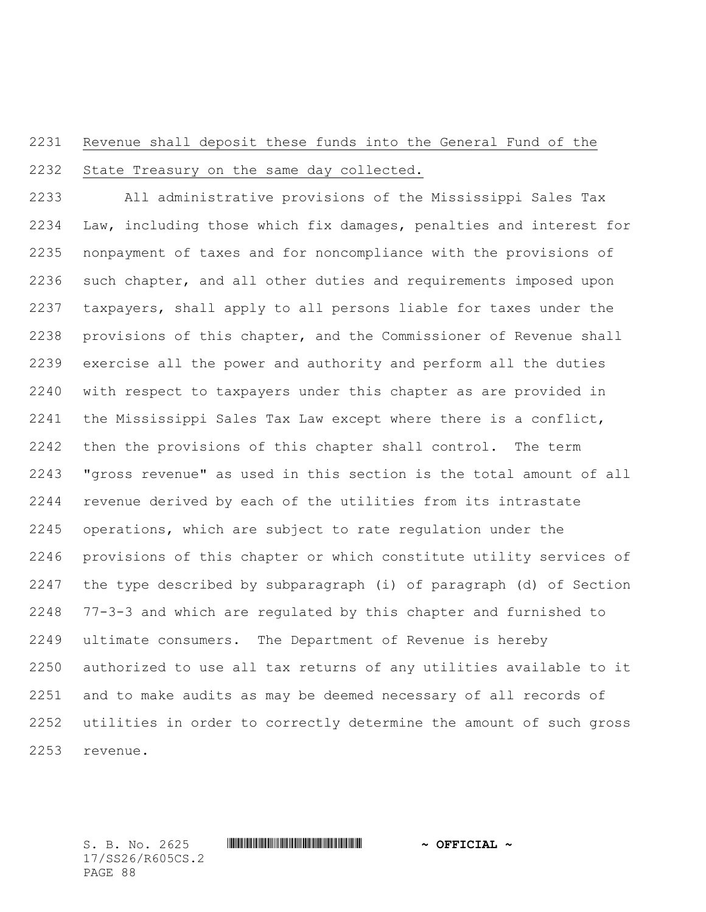## Revenue shall deposit these funds into the General Fund of the State Treasury on the same day collected.

 All administrative provisions of the Mississippi Sales Tax Law, including those which fix damages, penalties and interest for nonpayment of taxes and for noncompliance with the provisions of such chapter, and all other duties and requirements imposed upon taxpayers, shall apply to all persons liable for taxes under the provisions of this chapter, and the Commissioner of Revenue shall exercise all the power and authority and perform all the duties with respect to taxpayers under this chapter as are provided in the Mississippi Sales Tax Law except where there is a conflict, then the provisions of this chapter shall control. The term "gross revenue" as used in this section is the total amount of all revenue derived by each of the utilities from its intrastate operations, which are subject to rate regulation under the provisions of this chapter or which constitute utility services of the type described by subparagraph (i) of paragraph (d) of Section 77-3-3 and which are regulated by this chapter and furnished to ultimate consumers. The Department of Revenue is hereby authorized to use all tax returns of any utilities available to it and to make audits as may be deemed necessary of all records of utilities in order to correctly determine the amount of such gross revenue.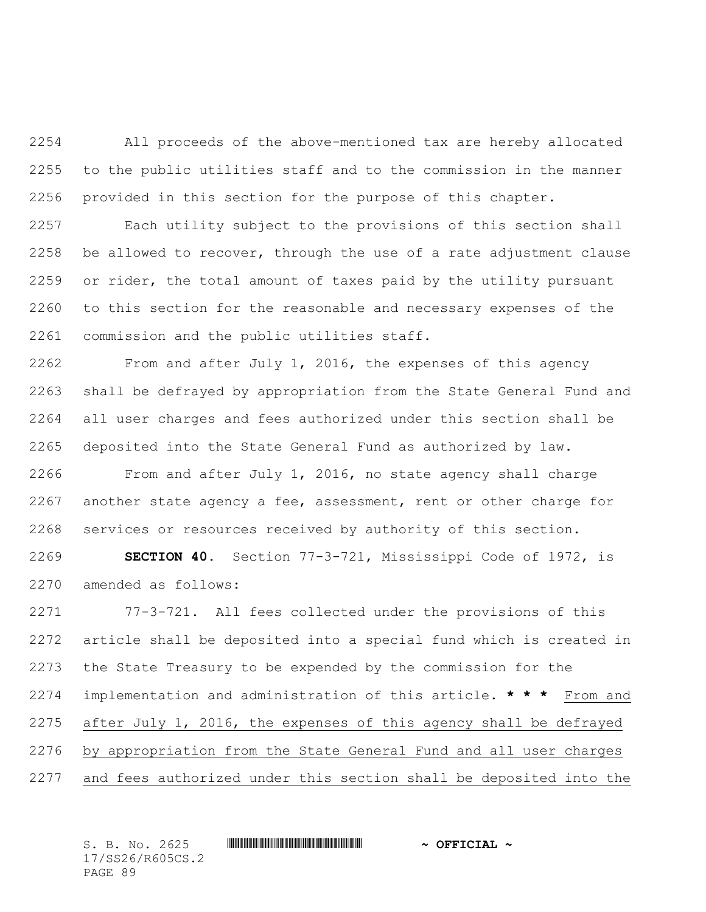All proceeds of the above-mentioned tax are hereby allocated to the public utilities staff and to the commission in the manner provided in this section for the purpose of this chapter.

 Each utility subject to the provisions of this section shall be allowed to recover, through the use of a rate adjustment clause or rider, the total amount of taxes paid by the utility pursuant to this section for the reasonable and necessary expenses of the commission and the public utilities staff.

 From and after July 1, 2016, the expenses of this agency shall be defrayed by appropriation from the State General Fund and all user charges and fees authorized under this section shall be deposited into the State General Fund as authorized by law.

 From and after July 1, 2016, no state agency shall charge another state agency a fee, assessment, rent or other charge for services or resources received by authority of this section.

 **SECTION 40.** Section 77-3-721, Mississippi Code of 1972, is amended as follows:

 77-3-721. All fees collected under the provisions of this article shall be deposited into a special fund which is created in the State Treasury to be expended by the commission for the implementation and administration of this article. **\* \* \*** From and after July 1, 2016, the expenses of this agency shall be defrayed by appropriation from the State General Fund and all user charges and fees authorized under this section shall be deposited into the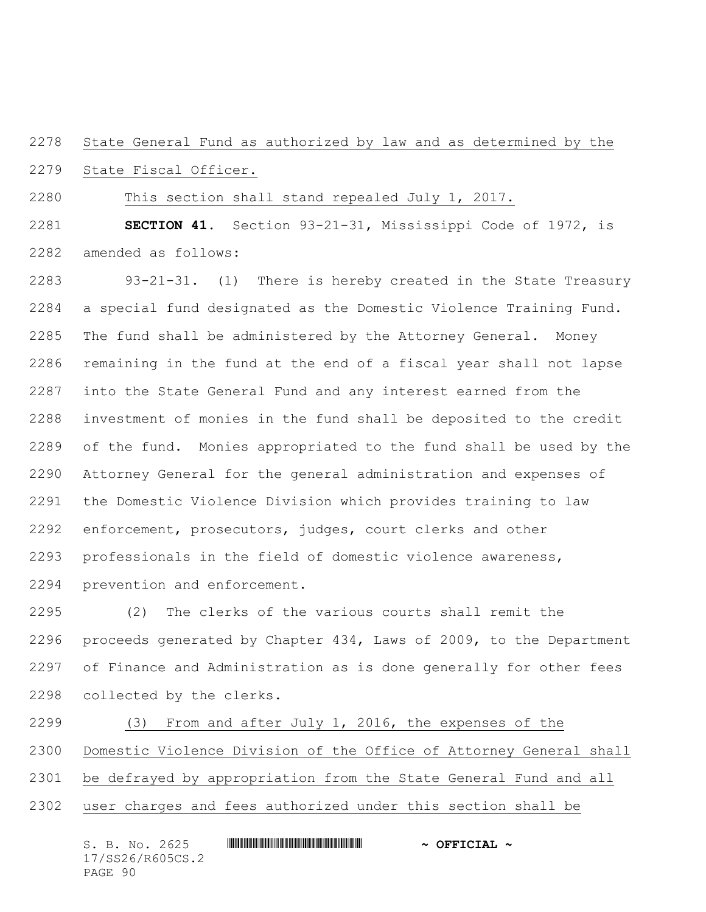State General Fund as authorized by law and as determined by the

State Fiscal Officer.

This section shall stand repealed July 1, 2017.

 **SECTION 41.** Section 93-21-31, Mississippi Code of 1972, is amended as follows:

 93-21-31. (1) There is hereby created in the State Treasury a special fund designated as the Domestic Violence Training Fund. The fund shall be administered by the Attorney General. Money remaining in the fund at the end of a fiscal year shall not lapse into the State General Fund and any interest earned from the investment of monies in the fund shall be deposited to the credit of the fund. Monies appropriated to the fund shall be used by the Attorney General for the general administration and expenses of the Domestic Violence Division which provides training to law enforcement, prosecutors, judges, court clerks and other professionals in the field of domestic violence awareness, prevention and enforcement.

 (2) The clerks of the various courts shall remit the proceeds generated by Chapter 434, Laws of 2009, to the Department of Finance and Administration as is done generally for other fees collected by the clerks.

 (3) From and after July 1, 2016, the expenses of the Domestic Violence Division of the Office of Attorney General shall be defrayed by appropriation from the State General Fund and all user charges and fees authorized under this section shall be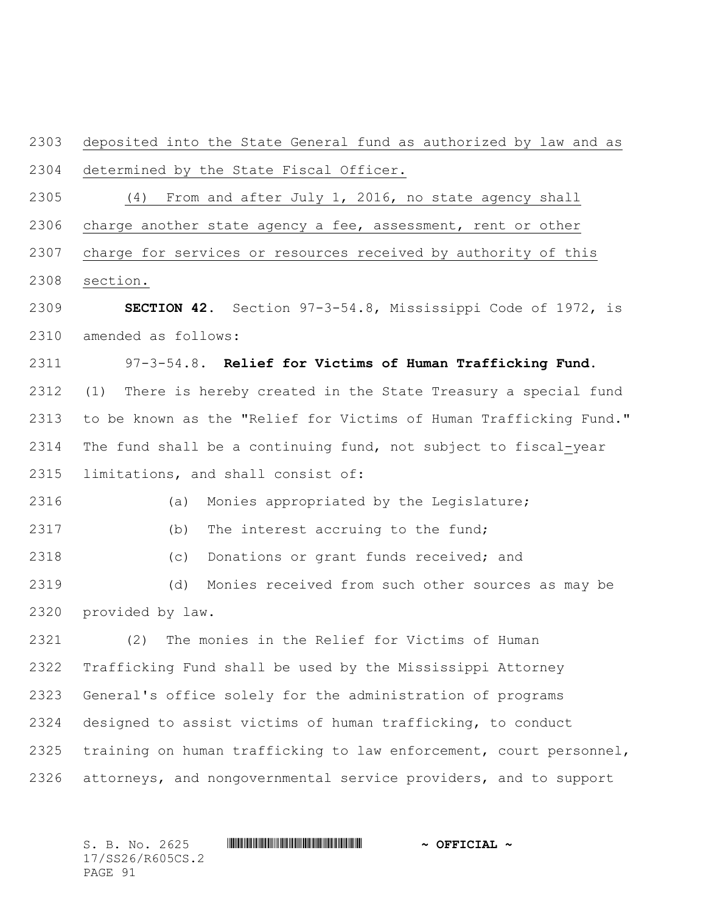deposited into the State General fund as authorized by law and as determined by the State Fiscal Officer.

(4) From and after July 1, 2016, no state agency shall

charge another state agency a fee, assessment, rent or other

 charge for services or resources received by authority of this section.

 **SECTION 42.** Section 97-3-54.8, Mississippi Code of 1972, is amended as follows:

 97-3-54.8. **Relief for Victims of Human Trafficking Fund.**  (1) There is hereby created in the State Treasury a special fund to be known as the "Relief for Victims of Human Trafficking Fund." The fund shall be a continuing fund, not subject to fiscal-year limitations, and shall consist of:

(a) Monies appropriated by the Legislature;

2317 (b) The interest accruing to the fund;

(c) Donations or grant funds received; and

 (d) Monies received from such other sources as may be provided by law.

 (2) The monies in the Relief for Victims of Human Trafficking Fund shall be used by the Mississippi Attorney General's office solely for the administration of programs designed to assist victims of human trafficking, to conduct training on human trafficking to law enforcement, court personnel, attorneys, and nongovernmental service providers, and to support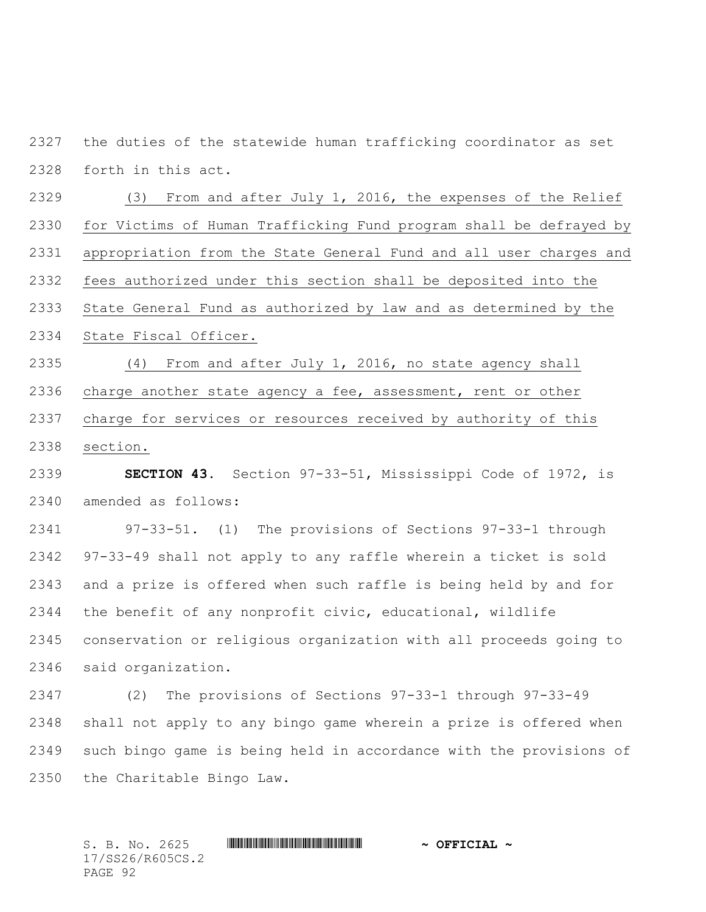the duties of the statewide human trafficking coordinator as set forth in this act.

 (3) From and after July 1, 2016, the expenses of the Relief for Victims of Human Trafficking Fund program shall be defrayed by appropriation from the State General Fund and all user charges and fees authorized under this section shall be deposited into the State General Fund as authorized by law and as determined by the State Fiscal Officer.

 (4) From and after July 1, 2016, no state agency shall charge another state agency a fee, assessment, rent or other charge for services or resources received by authority of this section.

 **SECTION 43.** Section 97-33-51, Mississippi Code of 1972, is amended as follows:

 97-33-51. (1) The provisions of Sections 97-33-1 through 97-33-49 shall not apply to any raffle wherein a ticket is sold and a prize is offered when such raffle is being held by and for the benefit of any nonprofit civic, educational, wildlife conservation or religious organization with all proceeds going to said organization.

 (2) The provisions of Sections 97-33-1 through 97-33-49 shall not apply to any bingo game wherein a prize is offered when such bingo game is being held in accordance with the provisions of the Charitable Bingo Law.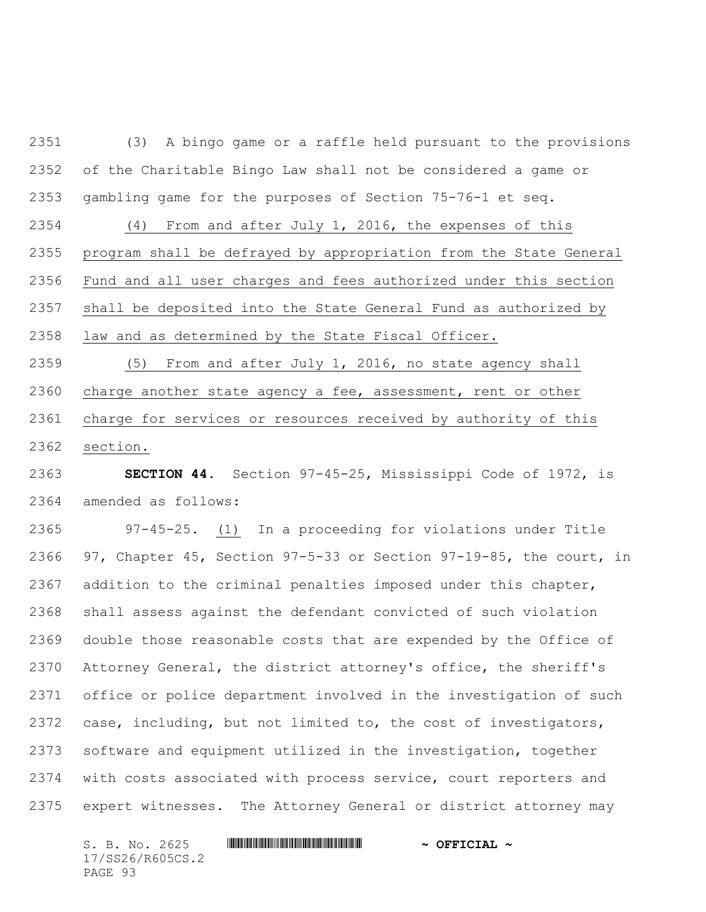(3) A bingo game or a raffle held pursuant to the provisions of the Charitable Bingo Law shall not be considered a game or gambling game for the purposes of Section 75-76-1 et seq.

 (4) From and after July 1, 2016, the expenses of this program shall be defrayed by appropriation from the State General Fund and all user charges and fees authorized under this section shall be deposited into the State General Fund as authorized by law and as determined by the State Fiscal Officer.

 (5) From and after July 1, 2016, no state agency shall charge another state agency a fee, assessment, rent or other charge for services or resources received by authority of this section.

 **SECTION 44.** Section 97-45-25, Mississippi Code of 1972, is amended as follows:

 97-45-25. (1) In a proceeding for violations under Title 97, Chapter 45, Section 97-5-33 or Section 97-19-85, the court, in addition to the criminal penalties imposed under this chapter, shall assess against the defendant convicted of such violation double those reasonable costs that are expended by the Office of Attorney General, the district attorney's office, the sheriff's office or police department involved in the investigation of such case, including, but not limited to, the cost of investigators, software and equipment utilized in the investigation, together with costs associated with process service, court reporters and expert witnesses. The Attorney General or district attorney may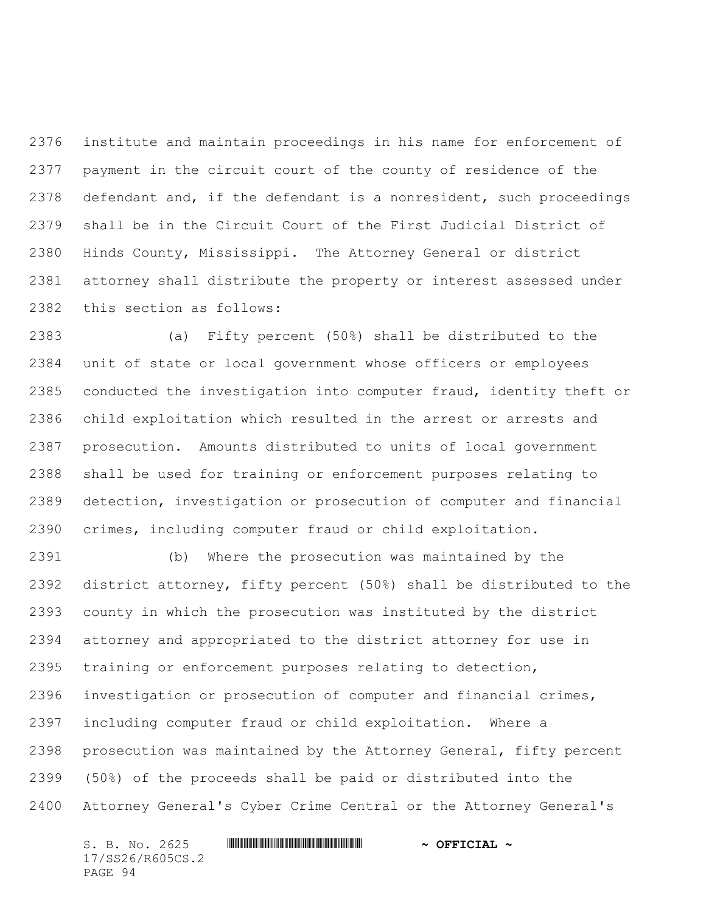institute and maintain proceedings in his name for enforcement of payment in the circuit court of the county of residence of the defendant and, if the defendant is a nonresident, such proceedings shall be in the Circuit Court of the First Judicial District of Hinds County, Mississippi. The Attorney General or district attorney shall distribute the property or interest assessed under this section as follows:

 (a) Fifty percent (50%) shall be distributed to the unit of state or local government whose officers or employees conducted the investigation into computer fraud, identity theft or child exploitation which resulted in the arrest or arrests and prosecution. Amounts distributed to units of local government shall be used for training or enforcement purposes relating to detection, investigation or prosecution of computer and financial crimes, including computer fraud or child exploitation.

 (b) Where the prosecution was maintained by the district attorney, fifty percent (50%) shall be distributed to the county in which the prosecution was instituted by the district attorney and appropriated to the district attorney for use in training or enforcement purposes relating to detection, investigation or prosecution of computer and financial crimes, including computer fraud or child exploitation. Where a prosecution was maintained by the Attorney General, fifty percent (50%) of the proceeds shall be paid or distributed into the Attorney General's Cyber Crime Central or the Attorney General's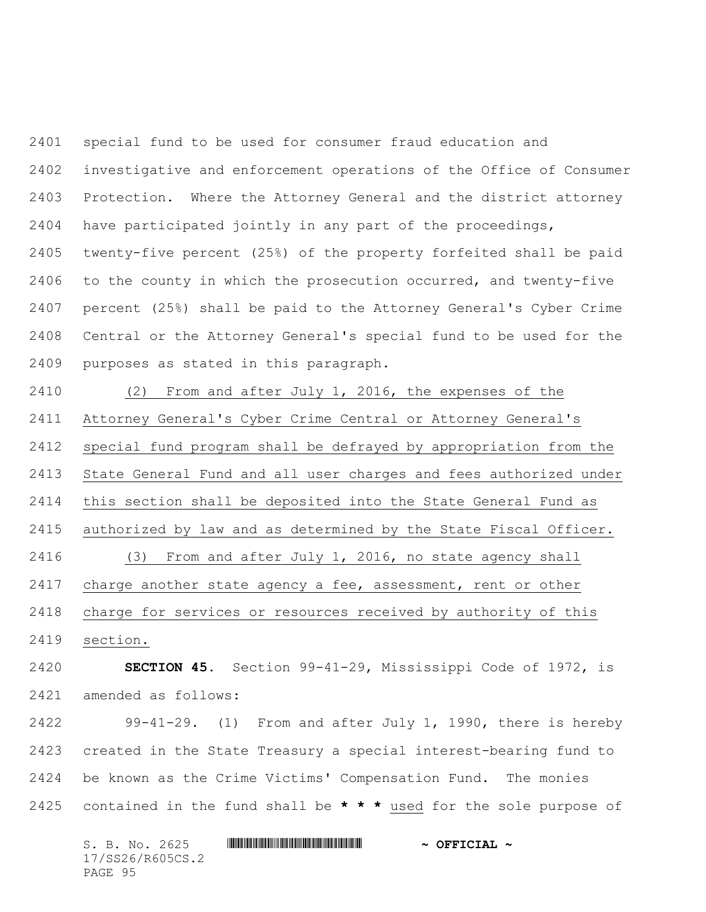special fund to be used for consumer fraud education and investigative and enforcement operations of the Office of Consumer Protection. Where the Attorney General and the district attorney have participated jointly in any part of the proceedings, twenty-five percent (25%) of the property forfeited shall be paid to the county in which the prosecution occurred, and twenty-five percent (25%) shall be paid to the Attorney General's Cyber Crime Central or the Attorney General's special fund to be used for the purposes as stated in this paragraph.

 (2) From and after July 1, 2016, the expenses of the Attorney General's Cyber Crime Central or Attorney General's special fund program shall be defrayed by appropriation from the State General Fund and all user charges and fees authorized under this section shall be deposited into the State General Fund as authorized by law and as determined by the State Fiscal Officer. (3) From and after July 1, 2016, no state agency shall charge another state agency a fee, assessment, rent or other charge for services or resources received by authority of this section.

 **SECTION 45.** Section 99-41-29, Mississippi Code of 1972, is amended as follows:

 99-41-29. (1) From and after July 1, 1990, there is hereby created in the State Treasury a special interest-bearing fund to be known as the Crime Victims' Compensation Fund. The monies contained in the fund shall be **\* \* \*** used for the sole purpose of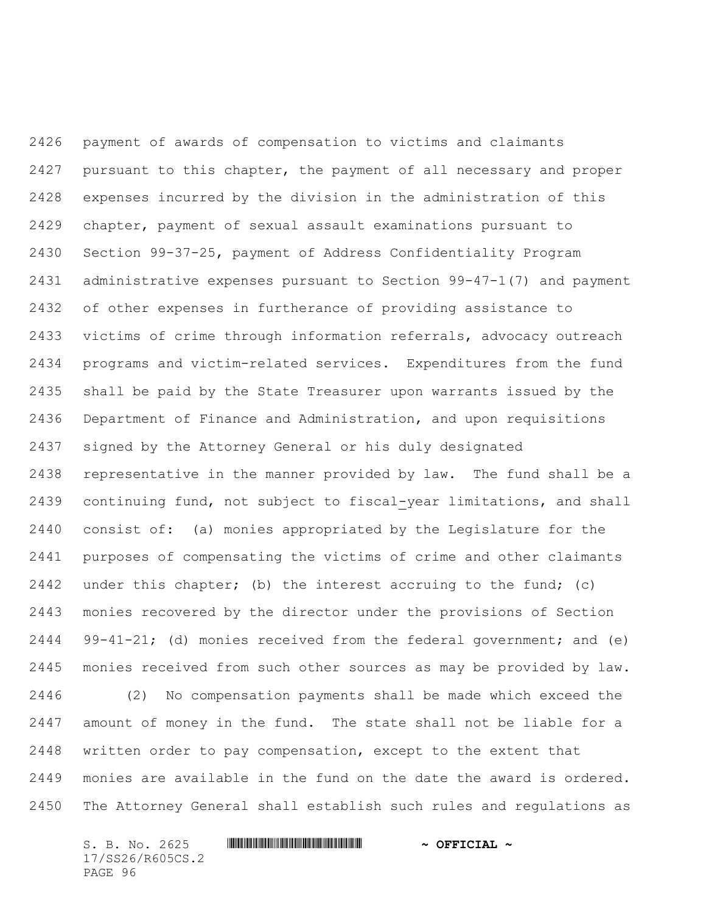payment of awards of compensation to victims and claimants pursuant to this chapter, the payment of all necessary and proper expenses incurred by the division in the administration of this chapter, payment of sexual assault examinations pursuant to Section 99-37-25, payment of Address Confidentiality Program administrative expenses pursuant to Section 99-47-1(7) and payment of other expenses in furtherance of providing assistance to victims of crime through information referrals, advocacy outreach programs and victim-related services. Expenditures from the fund shall be paid by the State Treasurer upon warrants issued by the Department of Finance and Administration, and upon requisitions signed by the Attorney General or his duly designated representative in the manner provided by law. The fund shall be a continuing fund, not subject to fiscal-year limitations, and shall consist of: (a) monies appropriated by the Legislature for the purposes of compensating the victims of crime and other claimants under this chapter; (b) the interest accruing to the fund; (c) monies recovered by the director under the provisions of Section 99-41-21; (d) monies received from the federal government; and (e) monies received from such other sources as may be provided by law. (2) No compensation payments shall be made which exceed the amount of money in the fund. The state shall not be liable for a written order to pay compensation, except to the extent that monies are available in the fund on the date the award is ordered. The Attorney General shall establish such rules and regulations as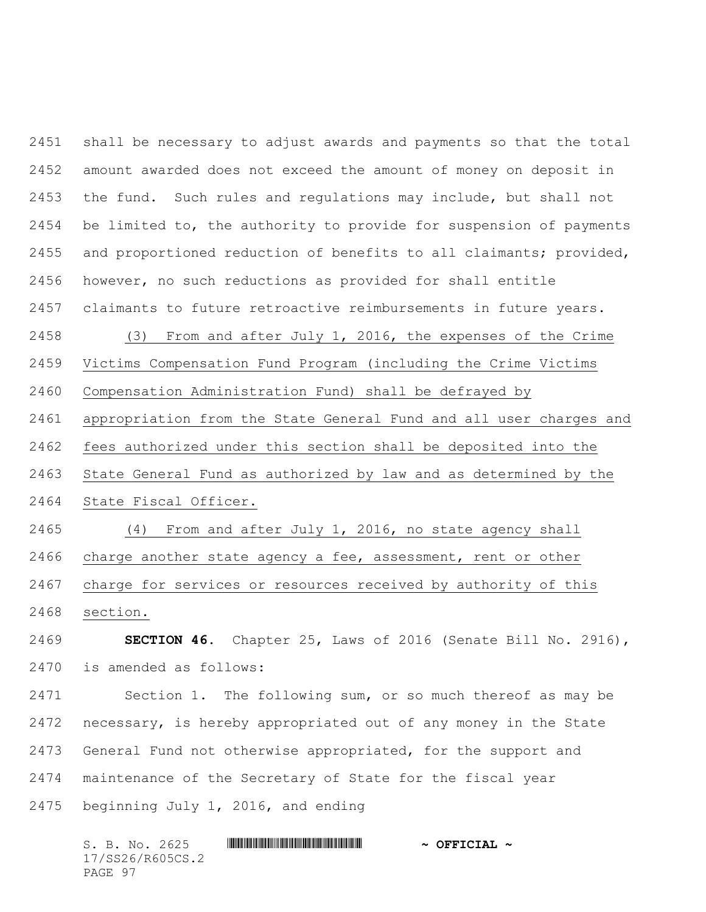shall be necessary to adjust awards and payments so that the total amount awarded does not exceed the amount of money on deposit in the fund. Such rules and regulations may include, but shall not be limited to, the authority to provide for suspension of payments and proportioned reduction of benefits to all claimants; provided, however, no such reductions as provided for shall entitle claimants to future retroactive reimbursements in future years.

(3) From and after July 1, 2016, the expenses of the Crime

Victims Compensation Fund Program (including the Crime Victims

Compensation Administration Fund) shall be defrayed by

appropriation from the State General Fund and all user charges and

fees authorized under this section shall be deposited into the

State General Fund as authorized by law and as determined by the

State Fiscal Officer.

 (4) From and after July 1, 2016, no state agency shall charge another state agency a fee, assessment, rent or other charge for services or resources received by authority of this section.

 **SECTION 46.** Chapter 25, Laws of 2016 (Senate Bill No. 2916), is amended as follows:

 Section 1. The following sum, or so much thereof as may be necessary, is hereby appropriated out of any money in the State General Fund not otherwise appropriated, for the support and maintenance of the Secretary of State for the fiscal year beginning July 1, 2016, and ending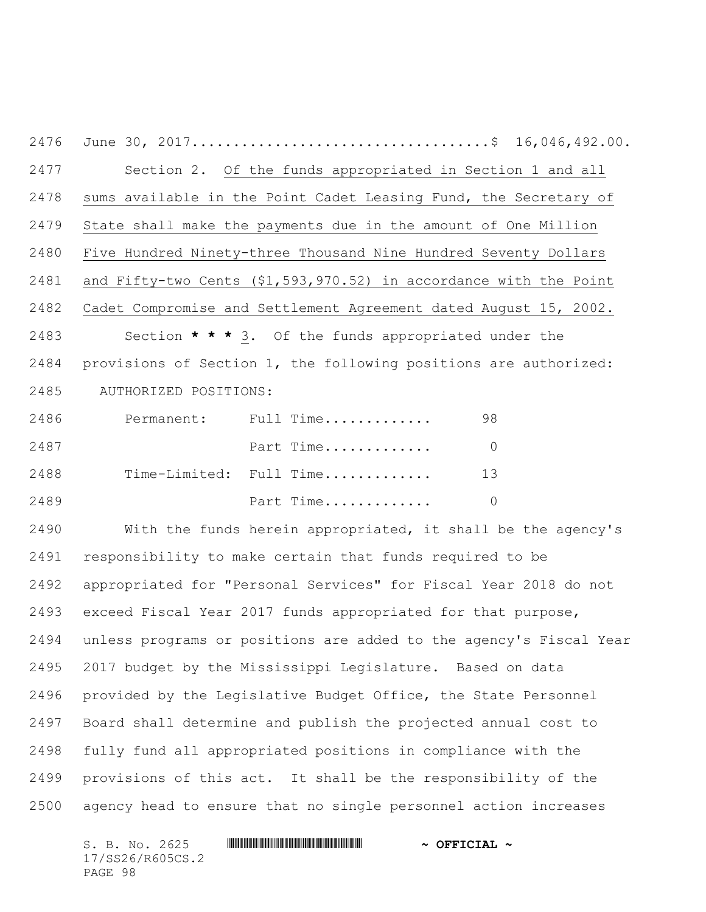June 30, 2017....................................\$ 16,046,492.00. Section 2. Of the funds appropriated in Section 1 and all sums available in the Point Cadet Leasing Fund, the Secretary of State shall make the payments due in the amount of One Million Five Hundred Ninety-three Thousand Nine Hundred Seventy Dollars and Fifty-two Cents (\$1,593,970.52) in accordance with the Point Cadet Compromise and Settlement Agreement dated August 15, 2002. Section **\* \* \*** 3. Of the funds appropriated under the provisions of Section 1, the following positions are authorized: 2485 AUTHORIZED POSITIONS:

| 2486 | Permanent: Full Time    | 98. |
|------|-------------------------|-----|
| 2487 | Part Time               |     |
| 2488 | Time-Limited: Full Time | 13  |
| 2489 | Part Time               |     |

 With the funds herein appropriated, it shall be the agency's responsibility to make certain that funds required to be appropriated for "Personal Services" for Fiscal Year 2018 do not exceed Fiscal Year 2017 funds appropriated for that purpose, unless programs or positions are added to the agency's Fiscal Year 2017 budget by the Mississippi Legislature. Based on data provided by the Legislative Budget Office, the State Personnel Board shall determine and publish the projected annual cost to fully fund all appropriated positions in compliance with the provisions of this act. It shall be the responsibility of the agency head to ensure that no single personnel action increases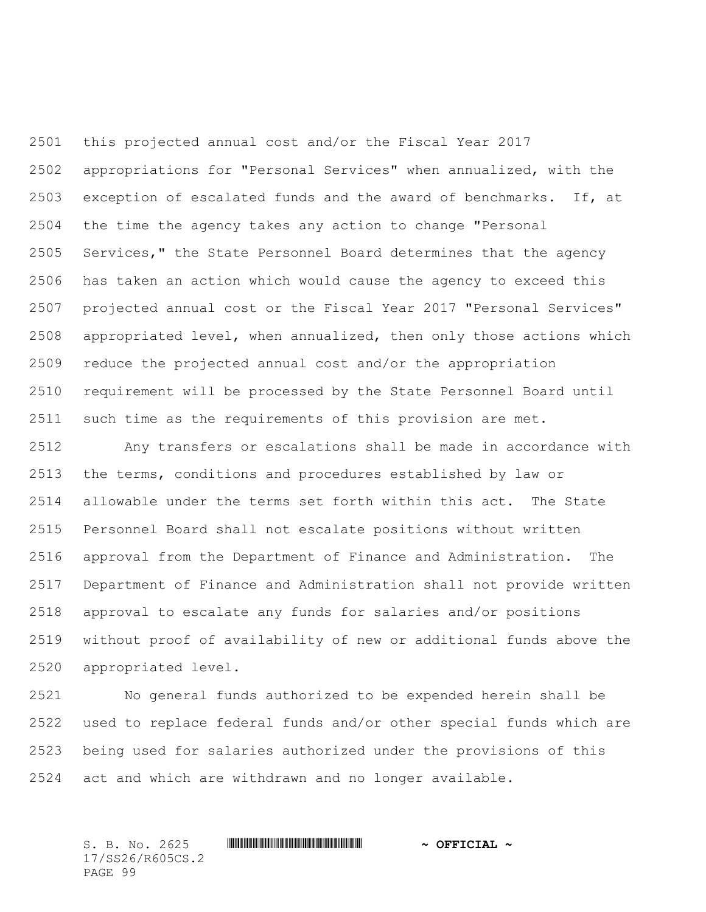this projected annual cost and/or the Fiscal Year 2017 appropriations for "Personal Services" when annualized, with the exception of escalated funds and the award of benchmarks. If, at the time the agency takes any action to change "Personal Services," the State Personnel Board determines that the agency has taken an action which would cause the agency to exceed this projected annual cost or the Fiscal Year 2017 "Personal Services" appropriated level, when annualized, then only those actions which reduce the projected annual cost and/or the appropriation requirement will be processed by the State Personnel Board until such time as the requirements of this provision are met.

 Any transfers or escalations shall be made in accordance with the terms, conditions and procedures established by law or allowable under the terms set forth within this act. The State Personnel Board shall not escalate positions without written approval from the Department of Finance and Administration. The Department of Finance and Administration shall not provide written approval to escalate any funds for salaries and/or positions without proof of availability of new or additional funds above the appropriated level.

 No general funds authorized to be expended herein shall be used to replace federal funds and/or other special funds which are being used for salaries authorized under the provisions of this act and which are withdrawn and no longer available.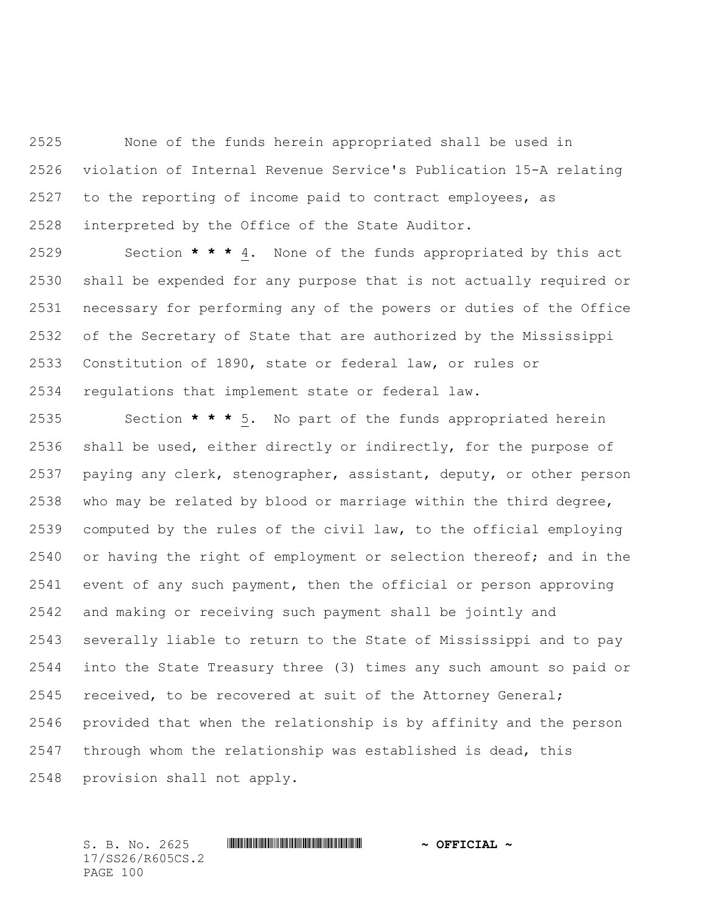None of the funds herein appropriated shall be used in violation of Internal Revenue Service's Publication 15-A relating to the reporting of income paid to contract employees, as interpreted by the Office of the State Auditor.

 Section **\* \* \*** 4. None of the funds appropriated by this act shall be expended for any purpose that is not actually required or necessary for performing any of the powers or duties of the Office of the Secretary of State that are authorized by the Mississippi Constitution of 1890, state or federal law, or rules or regulations that implement state or federal law.

 Section **\* \* \*** 5. No part of the funds appropriated herein shall be used, either directly or indirectly, for the purpose of paying any clerk, stenographer, assistant, deputy, or other person who may be related by blood or marriage within the third degree, computed by the rules of the civil law, to the official employing or having the right of employment or selection thereof; and in the event of any such payment, then the official or person approving and making or receiving such payment shall be jointly and severally liable to return to the State of Mississippi and to pay into the State Treasury three (3) times any such amount so paid or received, to be recovered at suit of the Attorney General; provided that when the relationship is by affinity and the person through whom the relationship was established is dead, this provision shall not apply.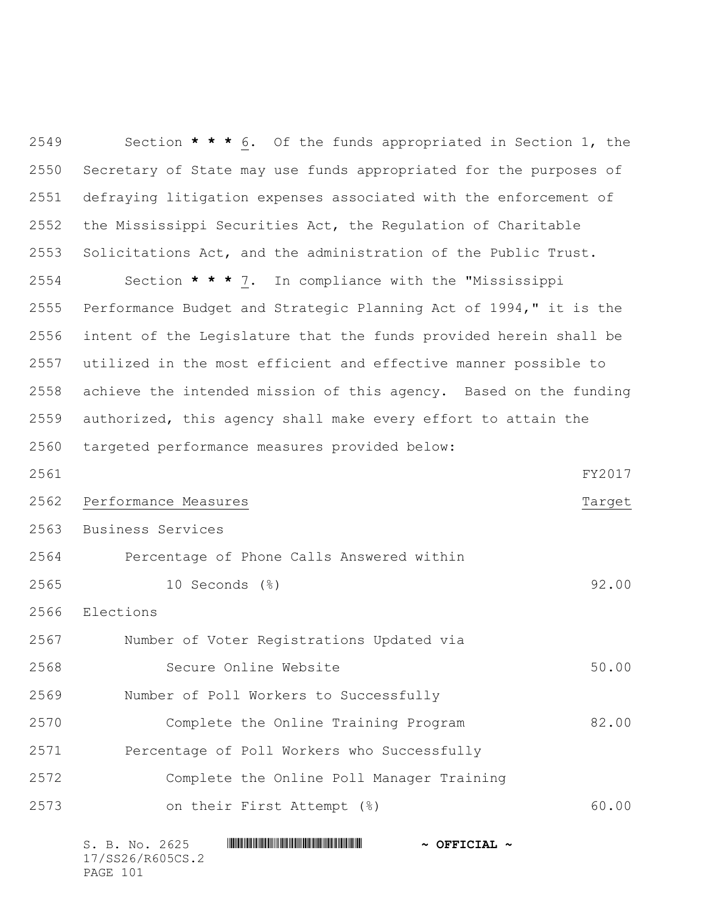| 2549 | Section $\star \star \star 6$ . Of the funds appropriated in Section 1, the |  |  |
|------|-----------------------------------------------------------------------------|--|--|
| 2550 | Secretary of State may use funds appropriated for the purposes of           |  |  |
| 2551 | defraying litigation expenses associated with the enforcement of            |  |  |
| 2552 | the Mississippi Securities Act, the Regulation of Charitable                |  |  |
| 2553 | Solicitations Act, and the administration of the Public Trust.              |  |  |
| 2554 | Section * * * 7. In compliance with the "Mississippi                        |  |  |
| 2555 | Performance Budget and Strategic Planning Act of 1994," it is the           |  |  |
| 2556 | intent of the Legislature that the funds provided herein shall be           |  |  |
| 2557 | utilized in the most efficient and effective manner possible to             |  |  |
| 2558 | achieve the intended mission of this agency. Based on the funding           |  |  |
| 2559 | authorized, this agency shall make every effort to attain the               |  |  |
| 2560 | targeted performance measures provided below:                               |  |  |
| 2561 | FY2017                                                                      |  |  |
| 2562 | Performance Measures<br>Target                                              |  |  |
| 2563 | Business Services                                                           |  |  |
| 2564 | Percentage of Phone Calls Answered within                                   |  |  |
| 2565 | 10 Seconds (%)<br>92.00                                                     |  |  |
| 2566 | Elections                                                                   |  |  |
| 2567 | Number of Voter Registrations Updated via                                   |  |  |
| 2568 | 50.00<br>Secure Online Website                                              |  |  |
| 2569 | Number of Poll Workers to Successfully                                      |  |  |
| 2570 | Complete the Online Training Program<br>82.00                               |  |  |
| 2571 | Percentage of Poll Workers who Successfully                                 |  |  |
| 2572 | Complete the Online Poll Manager Training                                   |  |  |
| 2573 | on their First Attempt (%)<br>60.00                                         |  |  |
|      |                                                                             |  |  |

| S. B. No. 2625   | $\sim$ OFFICIAL $\sim$ |
|------------------|------------------------|
| 17/SS26/R605CS.2 |                        |
| PAGE 101         |                        |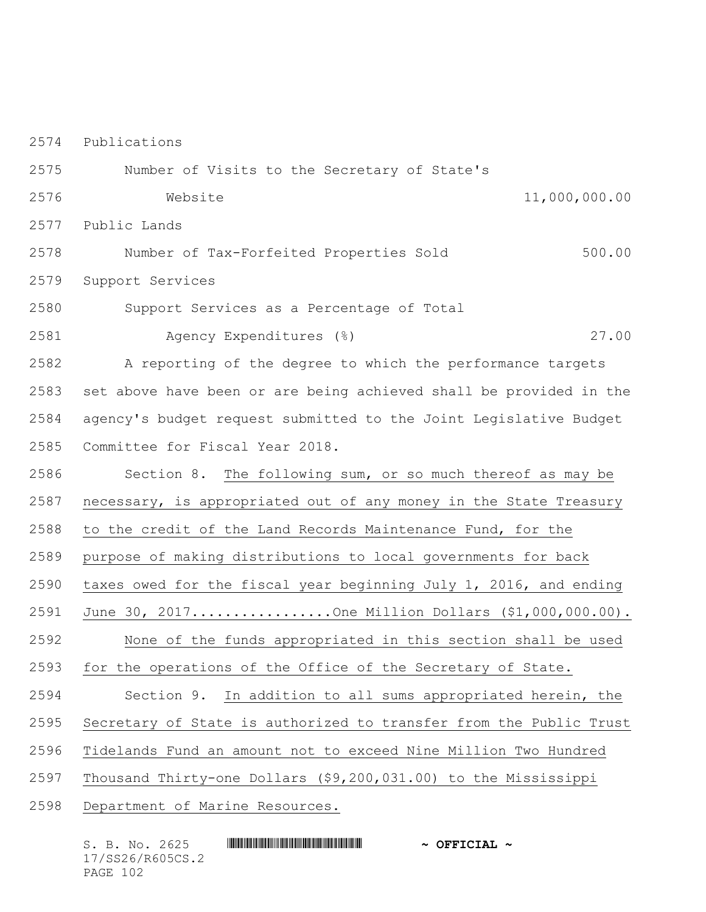Publications

 Number of Visits to the Secretary of State's Website 11,000,000.00

Public Lands

 Number of Tax-Forfeited Properties Sold 500.00 Support Services

Support Services as a Percentage of Total

Agency Expenditures (%) 27.00

 A reporting of the degree to which the performance targets set above have been or are being achieved shall be provided in the agency's budget request submitted to the Joint Legislative Budget Committee for Fiscal Year 2018.

Section 8. The following sum, or so much thereof as may be

necessary, is appropriated out of any money in the State Treasury

to the credit of the Land Records Maintenance Fund, for the

purpose of making distributions to local governments for back

taxes owed for the fiscal year beginning July 1, 2016, and ending

June 30, 2017.................One Million Dollars (\$1,000,000.00).

None of the funds appropriated in this section shall be used

for the operations of the Office of the Secretary of State.

Section 9. In addition to all sums appropriated herein, the

Secretary of State is authorized to transfer from the Public Trust

Tidelands Fund an amount not to exceed Nine Million Two Hundred

Thousand Thirty-one Dollars (\$9,200,031.00) to the Mississippi

Department of Marine Resources.